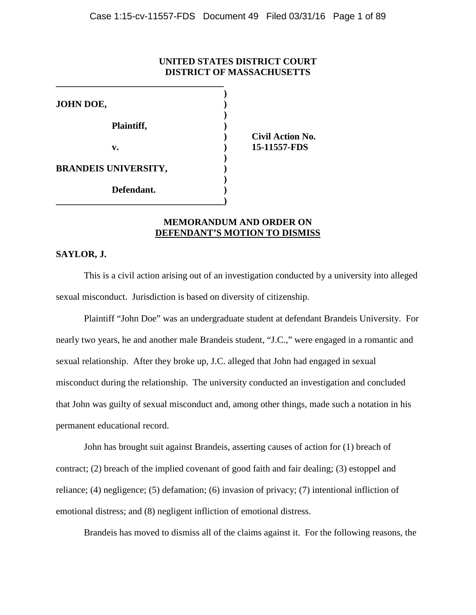### **UNITED STATES DISTRICT COURT DISTRICT OF MASSACHUSETTS**

| JOHN DOE,                   |            |
|-----------------------------|------------|
|                             |            |
| Plaintiff,                  |            |
|                             | <b>Civ</b> |
| v.                          | $15 - 1$   |
|                             |            |
| <b>BRANDEIS UNIVERSITY,</b> |            |
|                             |            |
| Defendant.                  |            |
|                             |            |

**) Civil Action No. v. ) 15-11557-FDS**

# **MEMORANDUM AND ORDER ON DEFENDANT'S MOTION TO DISMISS**

### **SAYLOR, J.**

This is a civil action arising out of an investigation conducted by a university into alleged sexual misconduct. Jurisdiction is based on diversity of citizenship.

Plaintiff "John Doe" was an undergraduate student at defendant Brandeis University. For nearly two years, he and another male Brandeis student, "J.C.," were engaged in a romantic and sexual relationship. After they broke up, J.C. alleged that John had engaged in sexual misconduct during the relationship. The university conducted an investigation and concluded that John was guilty of sexual misconduct and, among other things, made such a notation in his permanent educational record.

John has brought suit against Brandeis, asserting causes of action for (1) breach of contract; (2) breach of the implied covenant of good faith and fair dealing; (3) estoppel and reliance; (4) negligence; (5) defamation; (6) invasion of privacy; (7) intentional infliction of emotional distress; and (8) negligent infliction of emotional distress.

Brandeis has moved to dismiss all of the claims against it. For the following reasons, the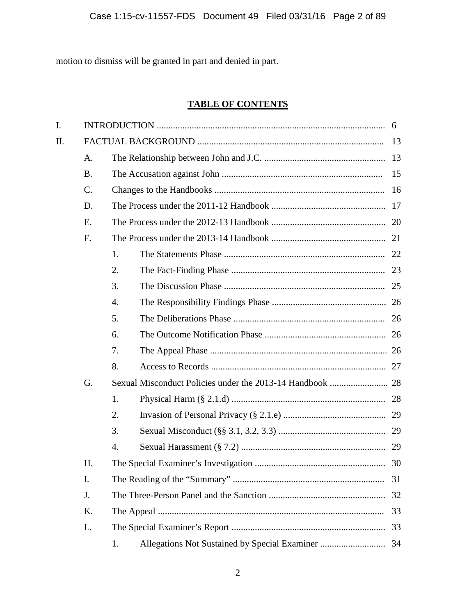motion to dismiss will be granted in part and denied in part.

# **TABLE OF CONTENTS**

| I. |           |    |  |    |  |  |  |
|----|-----------|----|--|----|--|--|--|
| Π. |           |    |  |    |  |  |  |
|    | A.        |    |  |    |  |  |  |
|    | <b>B.</b> | 15 |  |    |  |  |  |
|    | C.        |    |  |    |  |  |  |
|    | D.        |    |  |    |  |  |  |
|    | E.        |    |  |    |  |  |  |
|    | F.        |    |  |    |  |  |  |
|    |           | 1. |  |    |  |  |  |
|    |           | 2. |  |    |  |  |  |
|    |           | 3. |  |    |  |  |  |
|    |           | 4. |  |    |  |  |  |
|    |           | 5. |  |    |  |  |  |
|    |           | 6. |  |    |  |  |  |
|    |           | 7. |  |    |  |  |  |
|    |           | 8. |  |    |  |  |  |
|    | G.        |    |  |    |  |  |  |
|    |           | 1. |  |    |  |  |  |
|    |           | 2. |  |    |  |  |  |
|    |           | 3. |  |    |  |  |  |
|    |           | 4. |  |    |  |  |  |
|    | Η.        |    |  |    |  |  |  |
|    | I.        |    |  | 31 |  |  |  |
|    | J.        |    |  |    |  |  |  |
|    | K.        |    |  | 33 |  |  |  |
|    | L.        | 33 |  |    |  |  |  |
|    |           | 1. |  |    |  |  |  |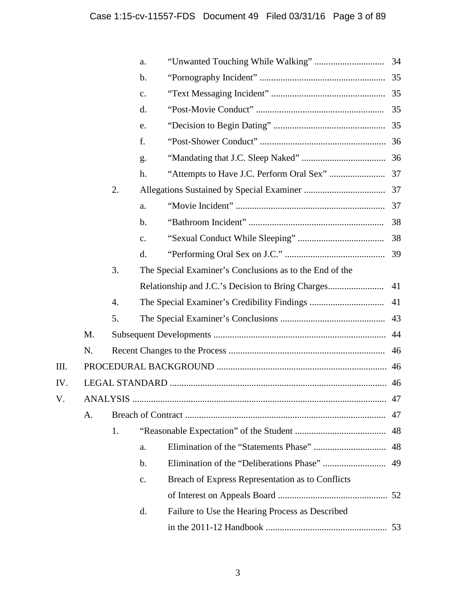|      |    |    | a.             |                                                         |    |
|------|----|----|----------------|---------------------------------------------------------|----|
|      |    |    | $\mathbf b$ .  |                                                         |    |
|      |    |    | c.             |                                                         |    |
|      |    |    | d.             |                                                         |    |
|      |    |    | e.             |                                                         |    |
|      |    |    | f.             |                                                         |    |
|      |    |    | g.             |                                                         |    |
|      |    |    | h.             |                                                         |    |
|      |    | 2. |                |                                                         |    |
|      |    |    | a.             |                                                         |    |
|      |    |    | b.             |                                                         | 38 |
|      |    |    | $\mathbf{c}$ . |                                                         |    |
|      |    |    | d.             |                                                         |    |
|      |    | 3. |                | The Special Examiner's Conclusions as to the End of the |    |
|      |    |    |                |                                                         | 41 |
|      |    | 4. |                |                                                         | 41 |
|      |    | 5. |                |                                                         | 43 |
|      | M. |    |                |                                                         |    |
|      | N. | 46 |                |                                                         |    |
| III. |    |    |                |                                                         |    |
| IV.  |    |    |                |                                                         | 46 |
| V.   |    |    |                |                                                         |    |
|      | A. |    |                |                                                         | 47 |
|      |    | 1. |                |                                                         | 48 |
|      |    |    | a.             |                                                         | 48 |
|      |    |    | b.             |                                                         | 49 |
|      |    |    | c.             | Breach of Express Representation as to Conflicts        |    |
|      |    |    |                |                                                         |    |
|      |    |    | d.             | Failure to Use the Hearing Process as Described         |    |
|      |    |    |                |                                                         | 53 |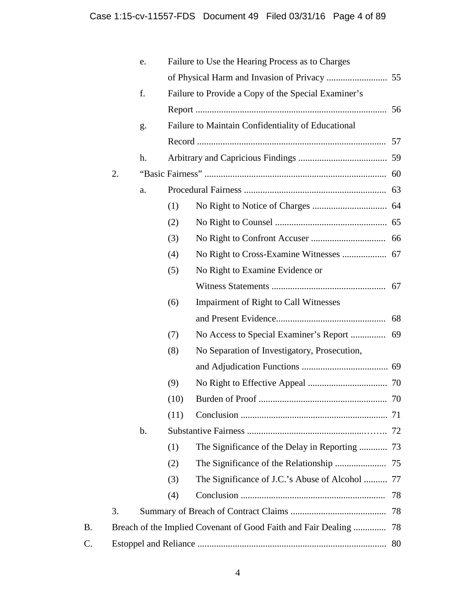|    |    | e.            |      | Failure to Use the Hearing Process as to Charges    |  |
|----|----|---------------|------|-----------------------------------------------------|--|
|    |    |               |      |                                                     |  |
|    |    | f.            |      | Failure to Provide a Copy of the Special Examiner's |  |
|    |    |               |      |                                                     |  |
|    |    | g.            |      | Failure to Maintain Confidentiality of Educational  |  |
|    |    |               |      |                                                     |  |
|    |    | h.            |      |                                                     |  |
|    | 2. |               |      |                                                     |  |
|    |    | a.            |      |                                                     |  |
|    |    |               | (1)  |                                                     |  |
|    |    |               | (2)  |                                                     |  |
|    |    |               | (3)  |                                                     |  |
|    |    |               | (4)  |                                                     |  |
|    |    |               | (5)  | No Right to Examine Evidence or                     |  |
|    |    |               |      |                                                     |  |
|    |    |               | (6)  | <b>Impairment of Right to Call Witnesses</b>        |  |
|    |    |               |      |                                                     |  |
|    |    |               | (7)  |                                                     |  |
|    |    |               | (8)  | No Separation of Investigatory, Prosecution,        |  |
|    |    |               |      |                                                     |  |
|    |    |               | (9)  |                                                     |  |
|    |    |               | (10) |                                                     |  |
|    |    |               | (11) |                                                     |  |
|    |    | $\mathbf b$ . |      |                                                     |  |
|    |    |               | (1)  | The Significance of the Delay in Reporting  73      |  |
|    |    |               | (2)  |                                                     |  |
|    |    |               | (3)  | The Significance of J.C.'s Abuse of Alcohol  77     |  |
|    |    |               | (4)  | 78                                                  |  |
|    | 3. |               |      | 78                                                  |  |
| Β. |    |               |      |                                                     |  |
| C. |    |               |      | 80                                                  |  |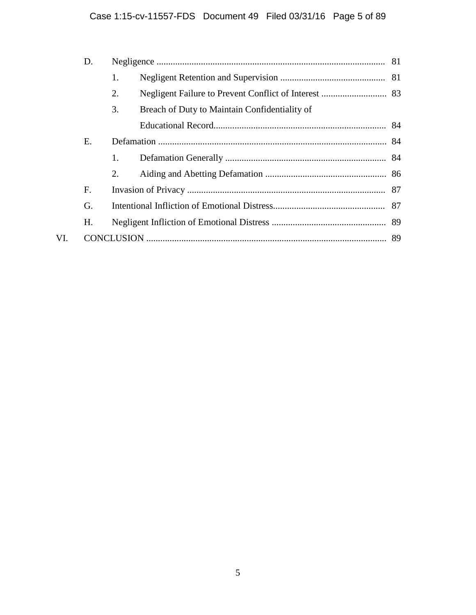|     | D. |    |                                               |  |  |  |  |
|-----|----|----|-----------------------------------------------|--|--|--|--|
|     |    | 1. |                                               |  |  |  |  |
|     |    | 2. |                                               |  |  |  |  |
|     |    | 3. | Breach of Duty to Maintain Confidentiality of |  |  |  |  |
|     |    |    |                                               |  |  |  |  |
|     | Ε. |    |                                               |  |  |  |  |
|     |    | 1. |                                               |  |  |  |  |
|     |    | 2. |                                               |  |  |  |  |
|     | F. |    |                                               |  |  |  |  |
|     | G. |    |                                               |  |  |  |  |
|     | Н. |    |                                               |  |  |  |  |
| VI. |    |    |                                               |  |  |  |  |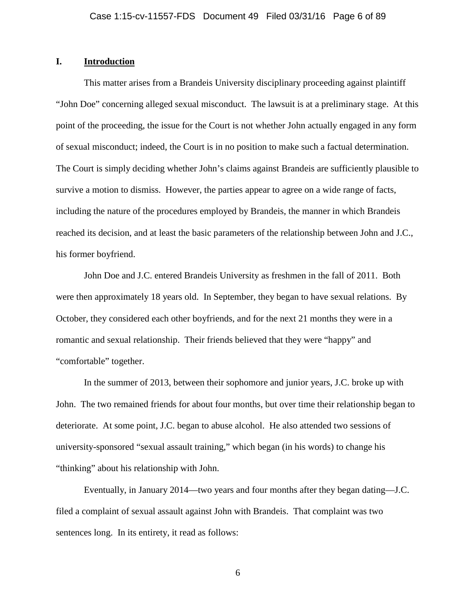### **I. Introduction**

This matter arises from a Brandeis University disciplinary proceeding against plaintiff "John Doe" concerning alleged sexual misconduct. The lawsuit is at a preliminary stage. At this point of the proceeding, the issue for the Court is not whether John actually engaged in any form of sexual misconduct; indeed, the Court is in no position to make such a factual determination. The Court is simply deciding whether John's claims against Brandeis are sufficiently plausible to survive a motion to dismiss. However, the parties appear to agree on a wide range of facts, including the nature of the procedures employed by Brandeis, the manner in which Brandeis reached its decision, and at least the basic parameters of the relationship between John and J.C., his former boyfriend.

John Doe and J.C. entered Brandeis University as freshmen in the fall of 2011. Both were then approximately 18 years old. In September, they began to have sexual relations. By October, they considered each other boyfriends, and for the next 21 months they were in a romantic and sexual relationship. Their friends believed that they were "happy" and "comfortable" together.

In the summer of 2013, between their sophomore and junior years, J.C. broke up with John. The two remained friends for about four months, but over time their relationship began to deteriorate. At some point, J.C. began to abuse alcohol. He also attended two sessions of university-sponsored "sexual assault training," which began (in his words) to change his "thinking" about his relationship with John.

Eventually, in January 2014—two years and four months after they began dating—J.C. filed a complaint of sexual assault against John with Brandeis. That complaint was two sentences long. In its entirety, it read as follows: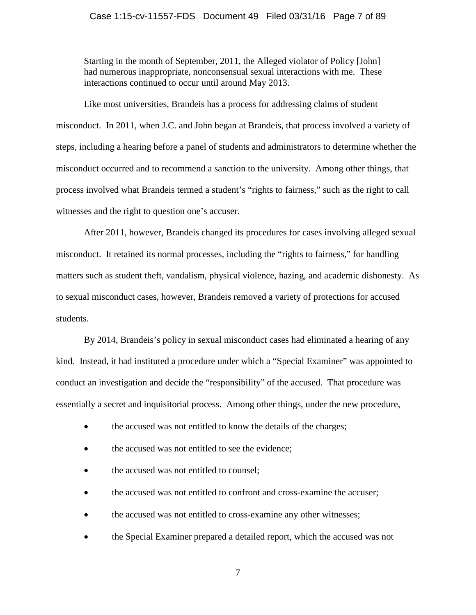### Case 1:15-cv-11557-FDS Document 49 Filed 03/31/16 Page 7 of 89

Starting in the month of September, 2011, the Alleged violator of Policy [John] had numerous inappropriate, nonconsensual sexual interactions with me. These interactions continued to occur until around May 2013.

Like most universities, Brandeis has a process for addressing claims of student misconduct. In 2011, when J.C. and John began at Brandeis, that process involved a variety of steps, including a hearing before a panel of students and administrators to determine whether the misconduct occurred and to recommend a sanction to the university. Among other things, that process involved what Brandeis termed a student's "rights to fairness," such as the right to call witnesses and the right to question one's accuser.

After 2011, however, Brandeis changed its procedures for cases involving alleged sexual misconduct. It retained its normal processes, including the "rights to fairness," for handling matters such as student theft, vandalism, physical violence, hazing, and academic dishonesty. As to sexual misconduct cases, however, Brandeis removed a variety of protections for accused students.

By 2014, Brandeis's policy in sexual misconduct cases had eliminated a hearing of any kind. Instead, it had instituted a procedure under which a "Special Examiner" was appointed to conduct an investigation and decide the "responsibility" of the accused. That procedure was essentially a secret and inquisitorial process. Among other things, under the new procedure,

- the accused was not entitled to know the details of the charges;
- the accused was not entitled to see the evidence;
- the accused was not entitled to counsel;
- the accused was not entitled to confront and cross-examine the accuser;
- the accused was not entitled to cross-examine any other witnesses;
- the Special Examiner prepared a detailed report, which the accused was not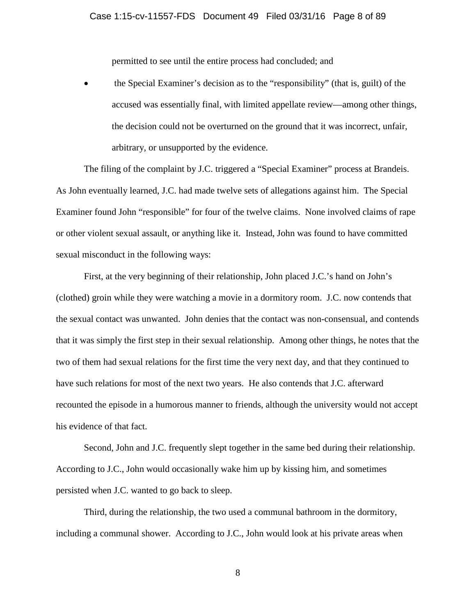permitted to see until the entire process had concluded; and

• the Special Examiner's decision as to the "responsibility" (that is, guilt) of the accused was essentially final, with limited appellate review—among other things, the decision could not be overturned on the ground that it was incorrect, unfair, arbitrary, or unsupported by the evidence.

The filing of the complaint by J.C. triggered a "Special Examiner" process at Brandeis. As John eventually learned, J.C. had made twelve sets of allegations against him. The Special Examiner found John "responsible" for four of the twelve claims. None involved claims of rape or other violent sexual assault, or anything like it. Instead, John was found to have committed sexual misconduct in the following ways:

First, at the very beginning of their relationship, John placed J.C.'s hand on John's (clothed) groin while they were watching a movie in a dormitory room. J.C. now contends that the sexual contact was unwanted. John denies that the contact was non-consensual, and contends that it was simply the first step in their sexual relationship. Among other things, he notes that the two of them had sexual relations for the first time the very next day, and that they continued to have such relations for most of the next two years. He also contends that J.C. afterward recounted the episode in a humorous manner to friends, although the university would not accept his evidence of that fact.

Second, John and J.C. frequently slept together in the same bed during their relationship. According to J.C., John would occasionally wake him up by kissing him, and sometimes persisted when J.C. wanted to go back to sleep.

Third, during the relationship, the two used a communal bathroom in the dormitory, including a communal shower. According to J.C., John would look at his private areas when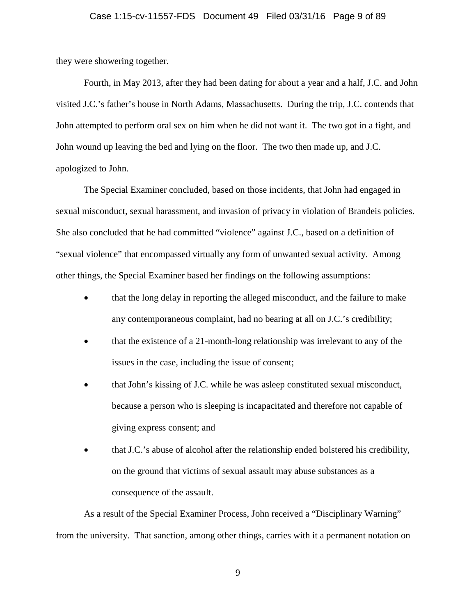### Case 1:15-cv-11557-FDS Document 49 Filed 03/31/16 Page 9 of 89

they were showering together.

Fourth, in May 2013, after they had been dating for about a year and a half, J.C. and John visited J.C.'s father's house in North Adams, Massachusetts. During the trip, J.C. contends that John attempted to perform oral sex on him when he did not want it. The two got in a fight, and John wound up leaving the bed and lying on the floor. The two then made up, and J.C. apologized to John.

The Special Examiner concluded, based on those incidents, that John had engaged in sexual misconduct, sexual harassment, and invasion of privacy in violation of Brandeis policies. She also concluded that he had committed "violence" against J.C., based on a definition of "sexual violence" that encompassed virtually any form of unwanted sexual activity. Among other things, the Special Examiner based her findings on the following assumptions:

- that the long delay in reporting the alleged misconduct, and the failure to make any contemporaneous complaint, had no bearing at all on J.C.'s credibility;
- that the existence of a 21-month-long relationship was irrelevant to any of the issues in the case, including the issue of consent;
- that John's kissing of J.C. while he was asleep constituted sexual misconduct, because a person who is sleeping is incapacitated and therefore not capable of giving express consent; and
- that J.C.'s abuse of alcohol after the relationship ended bolstered his credibility, on the ground that victims of sexual assault may abuse substances as a consequence of the assault.

As a result of the Special Examiner Process, John received a "Disciplinary Warning" from the university. That sanction, among other things, carries with it a permanent notation on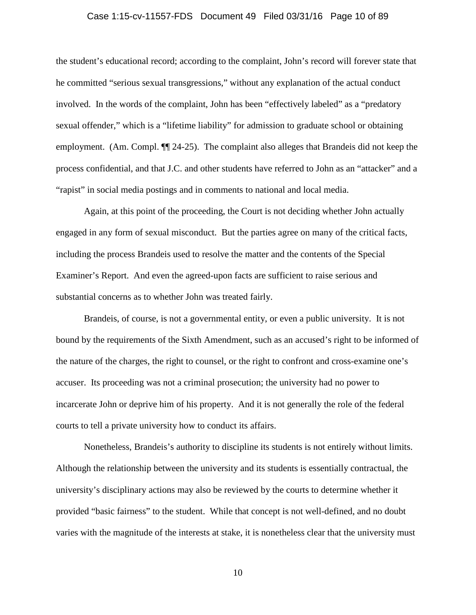### Case 1:15-cv-11557-FDS Document 49 Filed 03/31/16 Page 10 of 89

the student's educational record; according to the complaint, John's record will forever state that he committed "serious sexual transgressions," without any explanation of the actual conduct involved. In the words of the complaint, John has been "effectively labeled" as a "predatory sexual offender," which is a "lifetime liability" for admission to graduate school or obtaining employment. (Am. Compl. ¶¶ 24-25). The complaint also alleges that Brandeis did not keep the process confidential, and that J.C. and other students have referred to John as an "attacker" and a "rapist" in social media postings and in comments to national and local media.

Again, at this point of the proceeding, the Court is not deciding whether John actually engaged in any form of sexual misconduct. But the parties agree on many of the critical facts, including the process Brandeis used to resolve the matter and the contents of the Special Examiner's Report. And even the agreed-upon facts are sufficient to raise serious and substantial concerns as to whether John was treated fairly.

Brandeis, of course, is not a governmental entity, or even a public university. It is not bound by the requirements of the Sixth Amendment, such as an accused's right to be informed of the nature of the charges, the right to counsel, or the right to confront and cross-examine one's accuser. Its proceeding was not a criminal prosecution; the university had no power to incarcerate John or deprive him of his property. And it is not generally the role of the federal courts to tell a private university how to conduct its affairs.

Nonetheless, Brandeis's authority to discipline its students is not entirely without limits. Although the relationship between the university and its students is essentially contractual, the university's disciplinary actions may also be reviewed by the courts to determine whether it provided "basic fairness" to the student. While that concept is not well-defined, and no doubt varies with the magnitude of the interests at stake, it is nonetheless clear that the university must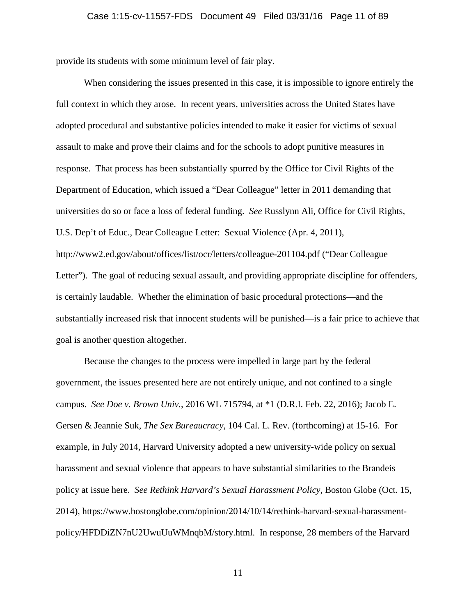provide its students with some minimum level of fair play.

When considering the issues presented in this case, it is impossible to ignore entirely the full context in which they arose. In recent years, universities across the United States have adopted procedural and substantive policies intended to make it easier for victims of sexual assault to make and prove their claims and for the schools to adopt punitive measures in response. That process has been substantially spurred by the Office for Civil Rights of the Department of Education, which issued a "Dear Colleague" letter in 2011 demanding that universities do so or face a loss of federal funding. *See* Russlynn Ali, Office for Civil Rights, U.S. Dep't of Educ., Dear Colleague Letter: Sexual Violence (Apr. 4, 2011), http://www2.ed.gov/about/offices/list/ocr/letters/colleague-201104.pdf ("Dear Colleague Letter"). The goal of reducing sexual assault, and providing appropriate discipline for offenders, is certainly laudable. Whether the elimination of basic procedural protections—and the substantially increased risk that innocent students will be punished—is a fair price to achieve that goal is another question altogether.

Because the changes to the process were impelled in large part by the federal government, the issues presented here are not entirely unique, and not confined to a single campus. *See Doe v. Brown Univ.*, 2016 WL 715794, at \*1 (D.R.I. Feb. 22, 2016); Jacob E. Gersen & Jeannie Suk, *The Sex Bureaucracy*, 104 Cal. L. Rev. (forthcoming) at 15-16. For example, in July 2014, Harvard University adopted a new university-wide policy on sexual harassment and sexual violence that appears to have substantial similarities to the Brandeis policy at issue here. *See Rethink Harvard's Sexual Harassment Policy*, Boston Globe (Oct. 15, 2014), https://www.bostonglobe.com/opinion/2014/10/14/rethink-harvard-sexual-harassmentpolicy/HFDDiZN7nU2UwuUuWMnqbM/story.html. In response, 28 members of the Harvard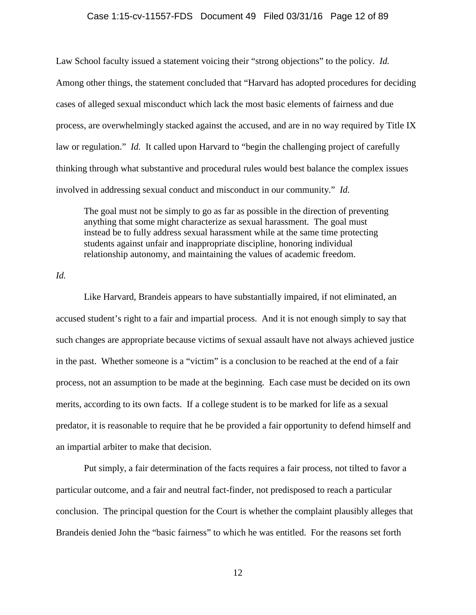#### Case 1:15-cv-11557-FDS Document 49 Filed 03/31/16 Page 12 of 89

Law School faculty issued a statement voicing their "strong objections" to the policy. *Id.* Among other things, the statement concluded that "Harvard has adopted procedures for deciding cases of alleged sexual misconduct which lack the most basic elements of fairness and due process, are overwhelmingly stacked against the accused, and are in no way required by Title IX law or regulation." *Id.* It called upon Harvard to "begin the challenging project of carefully thinking through what substantive and procedural rules would best balance the complex issues involved in addressing sexual conduct and misconduct in our community." *Id.*

The goal must not be simply to go as far as possible in the direction of preventing anything that some might characterize as sexual harassment. The goal must instead be to fully address sexual harassment while at the same time protecting students against unfair and inappropriate discipline, honoring individual relationship autonomy, and maintaining the values of academic freedom.

*Id.*

Like Harvard, Brandeis appears to have substantially impaired, if not eliminated, an accused student's right to a fair and impartial process. And it is not enough simply to say that such changes are appropriate because victims of sexual assault have not always achieved justice in the past. Whether someone is a "victim" is a conclusion to be reached at the end of a fair process, not an assumption to be made at the beginning. Each case must be decided on its own merits, according to its own facts. If a college student is to be marked for life as a sexual predator, it is reasonable to require that he be provided a fair opportunity to defend himself and an impartial arbiter to make that decision.

Put simply, a fair determination of the facts requires a fair process, not tilted to favor a particular outcome, and a fair and neutral fact-finder, not predisposed to reach a particular conclusion. The principal question for the Court is whether the complaint plausibly alleges that Brandeis denied John the "basic fairness" to which he was entitled. For the reasons set forth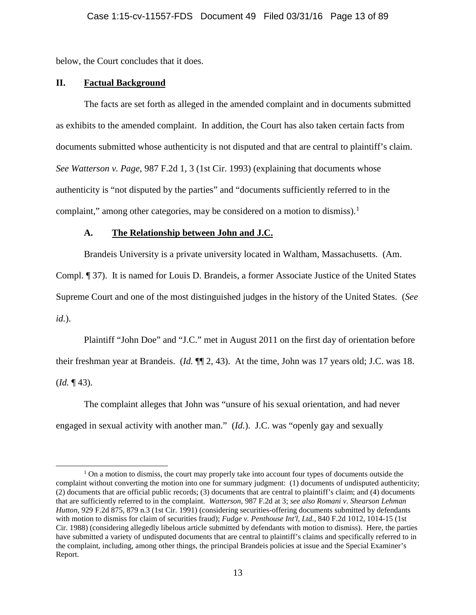below, the Court concludes that it does.

### **II. Factual Background**

The facts are set forth as alleged in the amended complaint and in documents submitted as exhibits to the amended complaint. In addition, the Court has also taken certain facts from documents submitted whose authenticity is not disputed and that are central to plaintiff's claim. *See Watterson v. Page*, 987 F.2d 1, 3 (1st Cir. 1993) (explaining that documents whose authenticity is "not disputed by the parties" and "documents sufficiently referred to in the complaint," among other categories, may be considered on a motion to dismiss).<sup>[1](#page-12-0)</sup>

### **A. The Relationship between John and J.C.**

Brandeis University is a private university located in Waltham, Massachusetts. (Am.

Compl. ¶ 37). It is named for Louis D. Brandeis, a former Associate Justice of the United States Supreme Court and one of the most distinguished judges in the history of the United States. (*See id.*).

Plaintiff "John Doe" and "J.C." met in August 2011 on the first day of orientation before their freshman year at Brandeis. (*Id.* ¶¶ 2, 43). At the time, John was 17 years old; J.C. was 18. (*Id.* ¶ 43).

The complaint alleges that John was "unsure of his sexual orientation, and had never engaged in sexual activity with another man." (*Id.*). J.C. was "openly gay and sexually

<span id="page-12-0"></span><sup>&</sup>lt;sup>1</sup> On a motion to dismiss, the court may properly take into account four types of documents outside the complaint without converting the motion into one for summary judgment: (1) documents of undisputed authenticity; (2) documents that are official public records; (3) documents that are central to plaintiff's claim; and (4) documents that are sufficiently referred to in the complaint. *Watterson*, 987 F.2d at 3; *see also Romani v. Shearson Lehman Hutton*, 929 F.2d 875, 879 n.3 (1st Cir. 1991) (considering securities-offering documents submitted by defendants with motion to dismiss for claim of securities fraud); *Fudge v. Penthouse Int'l, Ltd.*, 840 F.2d 1012, 1014-15 (1st Cir. 1988) (considering allegedly libelous article submitted by defendants with motion to dismiss). Here, the parties have submitted a variety of undisputed documents that are central to plaintiff's claims and specifically referred to in the complaint, including, among other things, the principal Brandeis policies at issue and the Special Examiner's Report.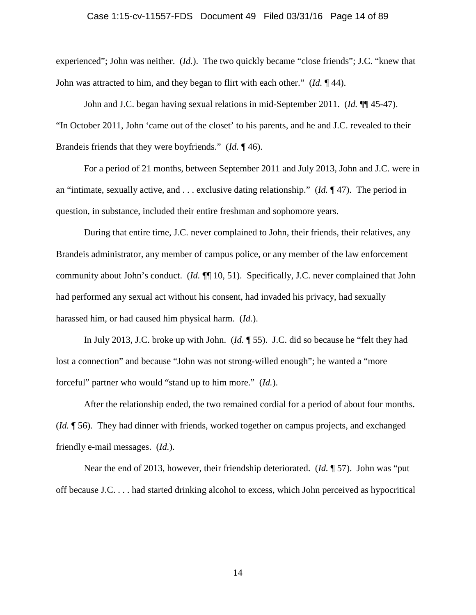### Case 1:15-cv-11557-FDS Document 49 Filed 03/31/16 Page 14 of 89

experienced"; John was neither. (*Id.*). The two quickly became "close friends"; J.C. "knew that John was attracted to him, and they began to flirt with each other." (*Id.* ¶ 44).

John and J.C. began having sexual relations in mid-September 2011. (*Id.* ¶¶ 45-47). "In October 2011, John 'came out of the closet' to his parents, and he and J.C. revealed to their Brandeis friends that they were boyfriends." (*Id.* ¶ 46).

For a period of 21 months, between September 2011 and July 2013, John and J.C. were in an "intimate, sexually active, and . . . exclusive dating relationship." (*Id.* ¶ 47). The period in question, in substance, included their entire freshman and sophomore years.

During that entire time, J.C. never complained to John, their friends, their relatives, any Brandeis administrator, any member of campus police, or any member of the law enforcement community about John's conduct. (*Id.* ¶¶ 10, 51). Specifically, J.C. never complained that John had performed any sexual act without his consent, had invaded his privacy, had sexually harassed him, or had caused him physical harm. (*Id.*).

In July 2013, J.C. broke up with John. (*Id.* ¶ 55). J.C. did so because he "felt they had lost a connection" and because "John was not strong-willed enough"; he wanted a "more forceful" partner who would "stand up to him more." (*Id.*).

After the relationship ended, the two remained cordial for a period of about four months. (*Id.* ¶ 56). They had dinner with friends, worked together on campus projects, and exchanged friendly e-mail messages. (*Id.*).

Near the end of 2013, however, their friendship deteriorated. (*Id.* ¶ 57). John was "put off because J.C. . . . had started drinking alcohol to excess, which John perceived as hypocritical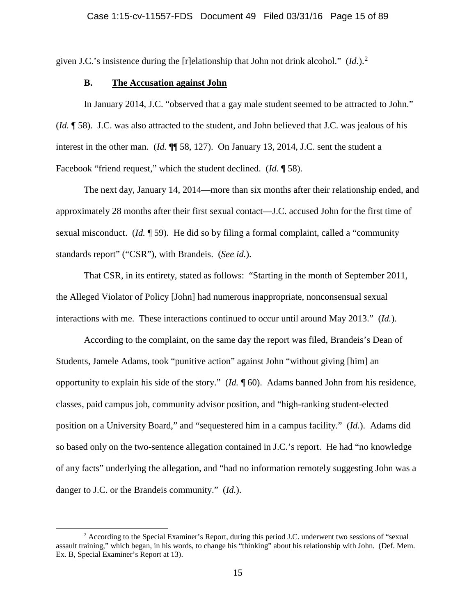given J.C.'s insistence during the [r]elationship that John not drink alcohol." (*Id.*).[2](#page-14-0)

### **B. The Accusation against John**

In January 2014, J.C. "observed that a gay male student seemed to be attracted to John." (*Id.* ¶ 58). J.C. was also attracted to the student, and John believed that J.C. was jealous of his interest in the other man. (*Id.*  $\P$  58, 127). On January 13, 2014, J.C. sent the student a Facebook "friend request," which the student declined. (*Id.* ¶ 58).

The next day, January 14, 2014—more than six months after their relationship ended, and approximately 28 months after their first sexual contact—J.C. accused John for the first time of sexual misconduct. (*Id.* ¶ 59). He did so by filing a formal complaint, called a "community standards report" ("CSR"), with Brandeis. (*See id.*).

That CSR, in its entirety, stated as follows: "Starting in the month of September 2011, the Alleged Violator of Policy [John] had numerous inappropriate, nonconsensual sexual interactions with me. These interactions continued to occur until around May 2013." (*Id.*).

According to the complaint, on the same day the report was filed, Brandeis's Dean of Students, Jamele Adams, took "punitive action" against John "without giving [him] an opportunity to explain his side of the story." (*Id.* ¶ 60). Adams banned John from his residence, classes, paid campus job, community advisor position, and "high-ranking student-elected position on a University Board," and "sequestered him in a campus facility." (*Id.*). Adams did so based only on the two-sentence allegation contained in J.C.'s report. He had "no knowledge of any facts" underlying the allegation, and "had no information remotely suggesting John was a danger to J.C. or the Brandeis community." (*Id.*).

<span id="page-14-0"></span> <sup>2</sup> According to the Special Examiner's Report, during this period J.C. underwent two sessions of "sexual assault training," which began, in his words, to change his "thinking" about his relationship with John. (Def. Mem. Ex. B, Special Examiner's Report at 13).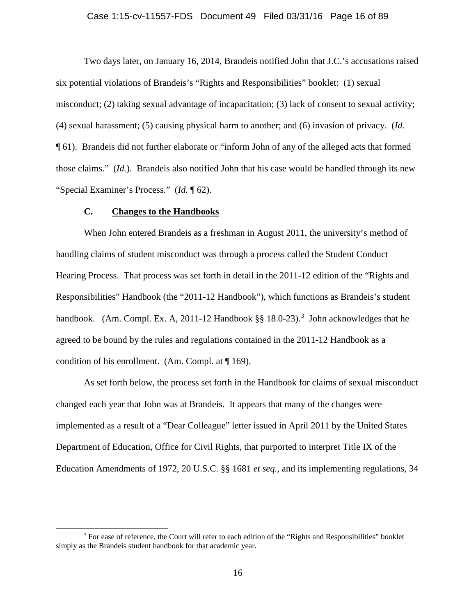### Case 1:15-cv-11557-FDS Document 49 Filed 03/31/16 Page 16 of 89

Two days later, on January 16, 2014, Brandeis notified John that J.C.'s accusations raised six potential violations of Brandeis's "Rights and Responsibilities" booklet: (1) sexual misconduct; (2) taking sexual advantage of incapacitation; (3) lack of consent to sexual activity; (4) sexual harassment; (5) causing physical harm to another; and (6) invasion of privacy. (*Id.* ¶ 61). Brandeis did not further elaborate or "inform John of any of the alleged acts that formed those claims." (*Id.*). Brandeis also notified John that his case would be handled through its new "Special Examiner's Process." (*Id.* ¶ 62).

### **C. Changes to the Handbooks**

When John entered Brandeis as a freshman in August 2011, the university's method of handling claims of student misconduct was through a process called the Student Conduct Hearing Process. That process was set forth in detail in the 2011-12 edition of the "Rights and Responsibilities" Handbook (the "2011-12 Handbook"), which functions as Brandeis's student handbook. (Am. Compl. Ex. A, 2011-12 Handbook  $\S$ § 18.0-2[3](#page-15-0)).<sup>3</sup> John acknowledges that he agreed to be bound by the rules and regulations contained in the 2011-12 Handbook as a condition of his enrollment. (Am. Compl. at ¶ 169).

As set forth below, the process set forth in the Handbook for claims of sexual misconduct changed each year that John was at Brandeis. It appears that many of the changes were implemented as a result of a "Dear Colleague" letter issued in April 2011 by the United States Department of Education, Office for Civil Rights, that purported to interpret Title IX of the Education Amendments of 1972, 20 U.S.C. §§ 1681 *et seq.*, and its implementing regulations, 34

<span id="page-15-0"></span><sup>&</sup>lt;sup>3</sup> For ease of reference, the Court will refer to each edition of the "Rights and Responsibilities" booklet simply as the Brandeis student handbook for that academic year.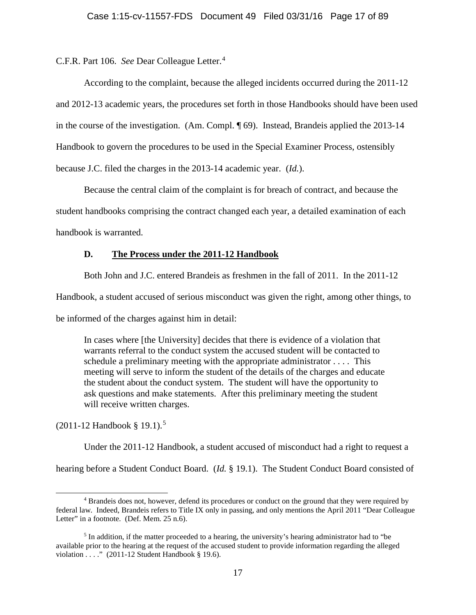C.F.R. Part 106. *See* Dear Colleague Letter.[4](#page-16-0)

According to the complaint, because the alleged incidents occurred during the 2011-12 and 2012-13 academic years, the procedures set forth in those Handbooks should have been used in the course of the investigation. (Am. Compl. ¶ 69). Instead, Brandeis applied the 2013-14 Handbook to govern the procedures to be used in the Special Examiner Process, ostensibly because J.C. filed the charges in the 2013-14 academic year. (*Id.*).

Because the central claim of the complaint is for breach of contract, and because the

student handbooks comprising the contract changed each year, a detailed examination of each

handbook is warranted.

### **D. The Process under the 2011-12 Handbook**

Both John and J.C. entered Brandeis as freshmen in the fall of 2011. In the 2011-12

Handbook, a student accused of serious misconduct was given the right, among other things, to

be informed of the charges against him in detail:

In cases where [the University] decides that there is evidence of a violation that warrants referral to the conduct system the accused student will be contacted to schedule a preliminary meeting with the appropriate administrator . . . . This meeting will serve to inform the student of the details of the charges and educate the student about the conduct system. The student will have the opportunity to ask questions and make statements. After this preliminary meeting the student will receive written charges.

(2011-12 Handbook § 19.1).[5](#page-16-1)

Under the 2011-12 Handbook, a student accused of misconduct had a right to request a

hearing before a Student Conduct Board. (*Id.* § 19.1). The Student Conduct Board consisted of

<span id="page-16-0"></span> <sup>4</sup> Brandeis does not, however, defend its procedures or conduct on the ground that they were required by federal law. Indeed, Brandeis refers to Title IX only in passing, and only mentions the April 2011 "Dear Colleague Letter" in a footnote. (Def. Mem. 25 n.6).

<span id="page-16-1"></span><sup>&</sup>lt;sup>5</sup> In addition, if the matter proceeded to a hearing, the university's hearing administrator had to "be" available prior to the hearing at the request of the accused student to provide information regarding the alleged violation . . . ." (2011-12 Student Handbook § 19.6).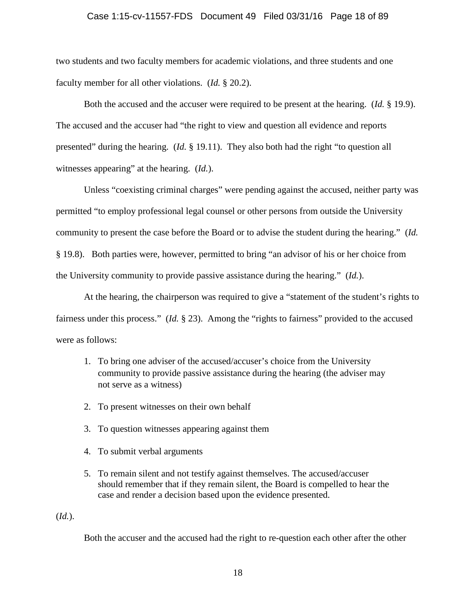### Case 1:15-cv-11557-FDS Document 49 Filed 03/31/16 Page 18 of 89

two students and two faculty members for academic violations, and three students and one faculty member for all other violations. (*Id.* § 20.2).

Both the accused and the accuser were required to be present at the hearing. (*Id.* § 19.9). The accused and the accuser had "the right to view and question all evidence and reports presented" during the hearing. (*Id.* § 19.11). They also both had the right "to question all witnesses appearing" at the hearing. (*Id.*).

Unless "coexisting criminal charges" were pending against the accused, neither party was permitted "to employ professional legal counsel or other persons from outside the University community to present the case before the Board or to advise the student during the hearing." (*Id.*  § 19.8). Both parties were, however, permitted to bring "an advisor of his or her choice from the University community to provide passive assistance during the hearing." (*Id.*).

At the hearing, the chairperson was required to give a "statement of the student's rights to fairness under this process." (*Id.* § 23). Among the "rights to fairness" provided to the accused were as follows:

- 1. To bring one adviser of the accused/accuser's choice from the University community to provide passive assistance during the hearing (the adviser may not serve as a witness)
- 2. To present witnesses on their own behalf
- 3. To question witnesses appearing against them
- 4. To submit verbal arguments
- 5. To remain silent and not testify against themselves. The accused/accuser should remember that if they remain silent, the Board is compelled to hear the case and render a decision based upon the evidence presented.

(*Id.*).

Both the accuser and the accused had the right to re-question each other after the other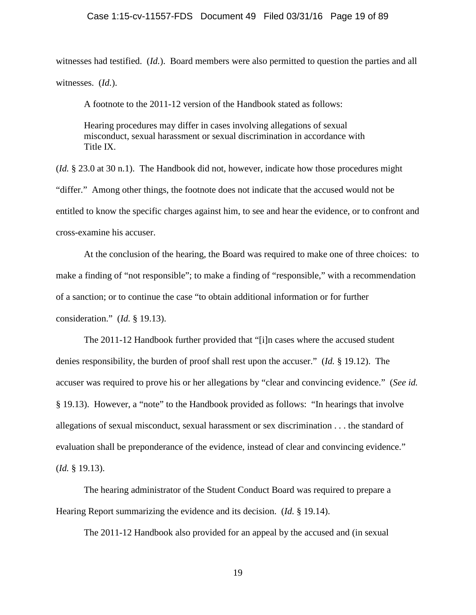witnesses had testified. (*Id.*). Board members were also permitted to question the parties and all witnesses. (*Id.*).

A footnote to the 2011-12 version of the Handbook stated as follows:

Hearing procedures may differ in cases involving allegations of sexual misconduct, sexual harassment or sexual discrimination in accordance with Title IX.

(*Id.* § 23.0 at 30 n.1). The Handbook did not, however, indicate how those procedures might "differ." Among other things, the footnote does not indicate that the accused would not be entitled to know the specific charges against him, to see and hear the evidence, or to confront and cross-examine his accuser.

At the conclusion of the hearing, the Board was required to make one of three choices: to make a finding of "not responsible"; to make a finding of "responsible," with a recommendation of a sanction; or to continue the case "to obtain additional information or for further consideration." (*Id.* § 19.13).

The 2011-12 Handbook further provided that "[i]n cases where the accused student denies responsibility, the burden of proof shall rest upon the accuser." (*Id.* § 19.12). The accuser was required to prove his or her allegations by "clear and convincing evidence." (*See id.* § 19.13). However, a "note" to the Handbook provided as follows: "In hearings that involve allegations of sexual misconduct, sexual harassment or sex discrimination . . . the standard of evaluation shall be preponderance of the evidence, instead of clear and convincing evidence." (*Id.* § 19.13).

The hearing administrator of the Student Conduct Board was required to prepare a Hearing Report summarizing the evidence and its decision. (*Id.* § 19.14).

The 2011-12 Handbook also provided for an appeal by the accused and (in sexual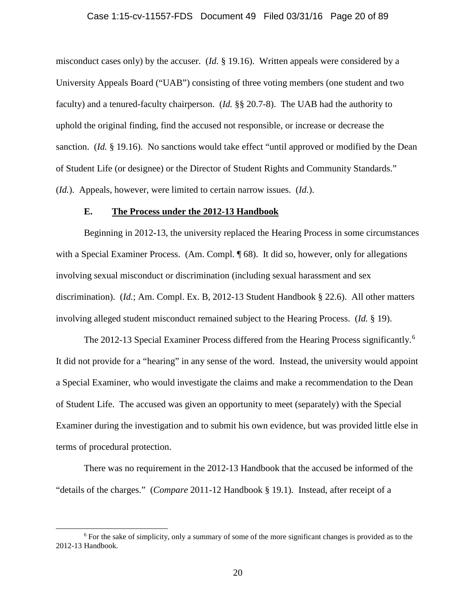### Case 1:15-cv-11557-FDS Document 49 Filed 03/31/16 Page 20 of 89

misconduct cases only) by the accuser. (*Id.* § 19.16). Written appeals were considered by a University Appeals Board ("UAB") consisting of three voting members (one student and two faculty) and a tenured-faculty chairperson. (*Id.* §§ 20.7-8). The UAB had the authority to uphold the original finding, find the accused not responsible, or increase or decrease the sanction. (*Id.* § 19.16). No sanctions would take effect "until approved or modified by the Dean of Student Life (or designee) or the Director of Student Rights and Community Standards." (*Id.*). Appeals, however, were limited to certain narrow issues. (*Id.*).

### **E. The Process under the 2012-13 Handbook**

Beginning in 2012-13, the university replaced the Hearing Process in some circumstances with a Special Examiner Process. (Am. Compl. ¶ 68). It did so, however, only for allegations involving sexual misconduct or discrimination (including sexual harassment and sex discrimination). (*Id.*; Am. Compl. Ex. B, 2012-13 Student Handbook § 22.6). All other matters involving alleged student misconduct remained subject to the Hearing Process. (*Id.* § 19).

The 2012-13 Special Examiner Process differed from the Hearing Process significantly.<sup>[6](#page-19-0)</sup> It did not provide for a "hearing" in any sense of the word. Instead, the university would appoint a Special Examiner, who would investigate the claims and make a recommendation to the Dean of Student Life. The accused was given an opportunity to meet (separately) with the Special Examiner during the investigation and to submit his own evidence, but was provided little else in terms of procedural protection.

There was no requirement in the 2012-13 Handbook that the accused be informed of the "details of the charges." (*Compare* 2011-12 Handbook § 19.1). Instead, after receipt of a

<span id="page-19-0"></span> <sup>6</sup> For the sake of simplicity, only a summary of some of the more significant changes is provided as to the 2012-13 Handbook.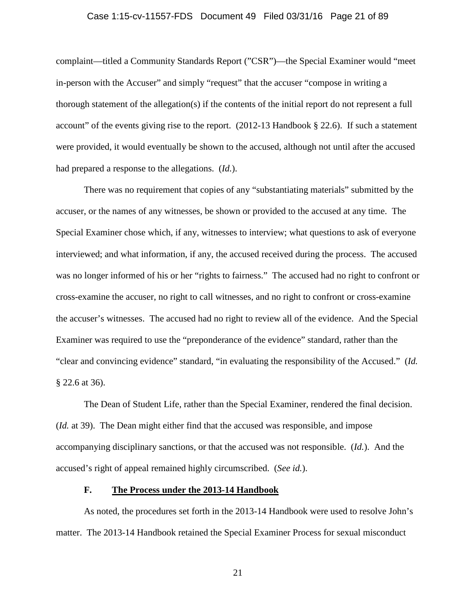### Case 1:15-cv-11557-FDS Document 49 Filed 03/31/16 Page 21 of 89

complaint—titled a Community Standards Report ("CSR")—the Special Examiner would "meet in-person with the Accuser" and simply "request" that the accuser "compose in writing a thorough statement of the allegation(s) if the contents of the initial report do not represent a full account" of the events giving rise to the report. (2012-13 Handbook § 22.6). If such a statement were provided, it would eventually be shown to the accused, although not until after the accused had prepared a response to the allegations. (*Id.*).

There was no requirement that copies of any "substantiating materials" submitted by the accuser, or the names of any witnesses, be shown or provided to the accused at any time. The Special Examiner chose which, if any, witnesses to interview; what questions to ask of everyone interviewed; and what information, if any, the accused received during the process. The accused was no longer informed of his or her "rights to fairness." The accused had no right to confront or cross-examine the accuser, no right to call witnesses, and no right to confront or cross-examine the accuser's witnesses. The accused had no right to review all of the evidence. And the Special Examiner was required to use the "preponderance of the evidence" standard, rather than the "clear and convincing evidence" standard, "in evaluating the responsibility of the Accused." (*Id.* § 22.6 at 36).

The Dean of Student Life, rather than the Special Examiner, rendered the final decision. (*Id.* at 39). The Dean might either find that the accused was responsible, and impose accompanying disciplinary sanctions, or that the accused was not responsible. (*Id.*). And the accused's right of appeal remained highly circumscribed. (*See id.*).

### **F. The Process under the 2013-14 Handbook**

As noted, the procedures set forth in the 2013-14 Handbook were used to resolve John's matter. The 2013-14 Handbook retained the Special Examiner Process for sexual misconduct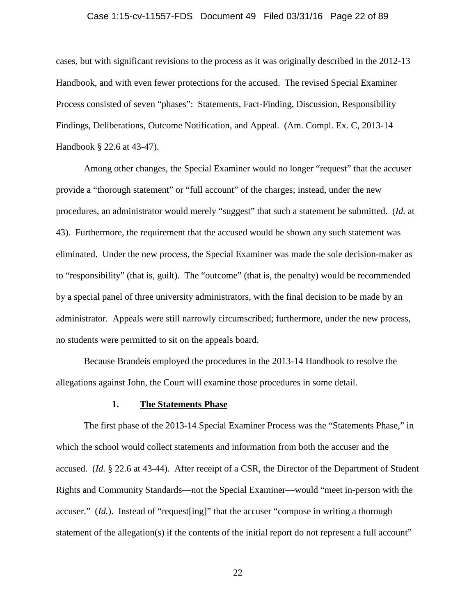### Case 1:15-cv-11557-FDS Document 49 Filed 03/31/16 Page 22 of 89

cases, but with significant revisions to the process as it was originally described in the 2012-13 Handbook, and with even fewer protections for the accused. The revised Special Examiner Process consisted of seven "phases": Statements, Fact-Finding, Discussion, Responsibility Findings, Deliberations, Outcome Notification, and Appeal. (Am. Compl. Ex. C, 2013-14 Handbook § 22.6 at 43-47).

Among other changes, the Special Examiner would no longer "request" that the accuser provide a "thorough statement" or "full account" of the charges; instead, under the new procedures, an administrator would merely "suggest" that such a statement be submitted. (*Id.* at 43). Furthermore, the requirement that the accused would be shown any such statement was eliminated. Under the new process, the Special Examiner was made the sole decision-maker as to "responsibility" (that is, guilt). The "outcome" (that is, the penalty) would be recommended by a special panel of three university administrators, with the final decision to be made by an administrator. Appeals were still narrowly circumscribed; furthermore, under the new process, no students were permitted to sit on the appeals board.

Because Brandeis employed the procedures in the 2013-14 Handbook to resolve the allegations against John, the Court will examine those procedures in some detail.

#### **1. The Statements Phase**

The first phase of the 2013-14 Special Examiner Process was the "Statements Phase," in which the school would collect statements and information from both the accuser and the accused. (*Id.* § 22.6 at 43-44). After receipt of a CSR, the Director of the Department of Student Rights and Community Standards—not the Special Examiner—would "meet in-person with the accuser." *(Id.)*. Instead of "request [ing]" that the accuser "compose in writing a thorough statement of the allegation(s) if the contents of the initial report do not represent a full account"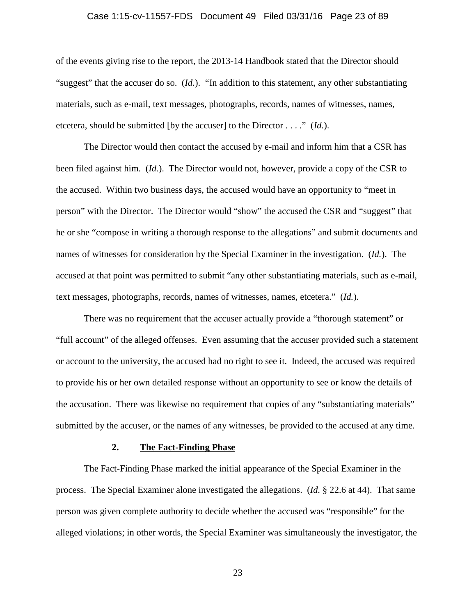### Case 1:15-cv-11557-FDS Document 49 Filed 03/31/16 Page 23 of 89

of the events giving rise to the report, the 2013-14 Handbook stated that the Director should "suggest" that the accuser do so. (*Id.*). "In addition to this statement, any other substantiating materials, such as e-mail, text messages, photographs, records, names of witnesses, names, etcetera, should be submitted [by the accuser] to the Director . . . ." (*Id.*).

The Director would then contact the accused by e-mail and inform him that a CSR has been filed against him. (*Id.*). The Director would not, however, provide a copy of the CSR to the accused. Within two business days, the accused would have an opportunity to "meet in person" with the Director. The Director would "show" the accused the CSR and "suggest" that he or she "compose in writing a thorough response to the allegations" and submit documents and names of witnesses for consideration by the Special Examiner in the investigation. (*Id.*). The accused at that point was permitted to submit "any other substantiating materials, such as e-mail, text messages, photographs, records, names of witnesses, names, etcetera." (*Id.*).

There was no requirement that the accuser actually provide a "thorough statement" or "full account" of the alleged offenses. Even assuming that the accuser provided such a statement or account to the university, the accused had no right to see it. Indeed, the accused was required to provide his or her own detailed response without an opportunity to see or know the details of the accusation. There was likewise no requirement that copies of any "substantiating materials" submitted by the accuser, or the names of any witnesses, be provided to the accused at any time.

### **2. The Fact-Finding Phase**

The Fact-Finding Phase marked the initial appearance of the Special Examiner in the process. The Special Examiner alone investigated the allegations. (*Id.* § 22.6 at 44). That same person was given complete authority to decide whether the accused was "responsible" for the alleged violations; in other words, the Special Examiner was simultaneously the investigator, the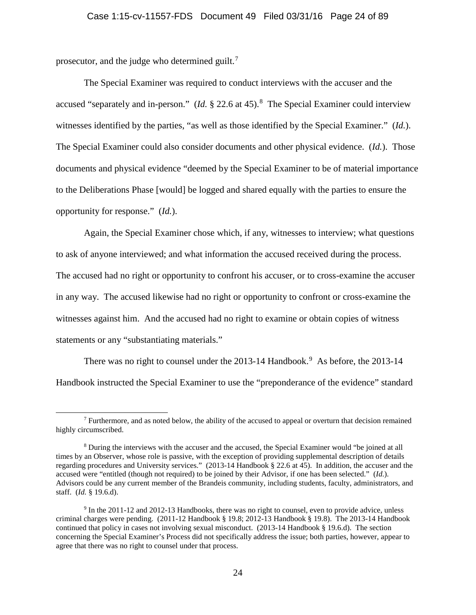prosecutor, and the judge who determined guilt.<sup>[7](#page-23-0)</sup>

The Special Examiner was required to conduct interviews with the accuser and the accused "separately and in-person." (*Id.* § 22.6 at 45).<sup>[8](#page-23-1)</sup> The Special Examiner could interview witnesses identified by the parties, "as well as those identified by the Special Examiner." (*Id.*). The Special Examiner could also consider documents and other physical evidence. (*Id.*). Those documents and physical evidence "deemed by the Special Examiner to be of material importance to the Deliberations Phase [would] be logged and shared equally with the parties to ensure the opportunity for response." (*Id.*).

Again, the Special Examiner chose which, if any, witnesses to interview; what questions to ask of anyone interviewed; and what information the accused received during the process. The accused had no right or opportunity to confront his accuser, or to cross-examine the accuser in any way. The accused likewise had no right or opportunity to confront or cross-examine the witnesses against him. And the accused had no right to examine or obtain copies of witness statements or any "substantiating materials."

There was no right to counsel under the  $2013-14$  Handbook.<sup>[9](#page-23-2)</sup> As before, the  $2013-14$ Handbook instructed the Special Examiner to use the "preponderance of the evidence" standard

<span id="page-23-0"></span> <sup>7</sup> Furthermore, and as noted below, the ability of the accused to appeal or overturn that decision remained highly circumscribed.

<span id="page-23-1"></span><sup>8</sup> During the interviews with the accuser and the accused, the Special Examiner would "be joined at all times by an Observer, whose role is passive, with the exception of providing supplemental description of details regarding procedures and University services." (2013-14 Handbook § 22.6 at 45). In addition, the accuser and the accused were "entitled (though not required) to be joined by their Advisor, if one has been selected." (*Id.*). Advisors could be any current member of the Brandeis community, including students, faculty, administrators, and staff. (*Id.* § 19.6.d).

<span id="page-23-2"></span><sup>9</sup> In the 2011-12 and 2012-13 Handbooks, there was no right to counsel, even to provide advice, unless criminal charges were pending. (2011-12 Handbook § 19.8; 2012-13 Handbook § 19.8). The 2013-14 Handbook continued that policy in cases not involving sexual misconduct. (2013-14 Handbook § 19.6.d). The section concerning the Special Examiner's Process did not specifically address the issue; both parties, however, appear to agree that there was no right to counsel under that process.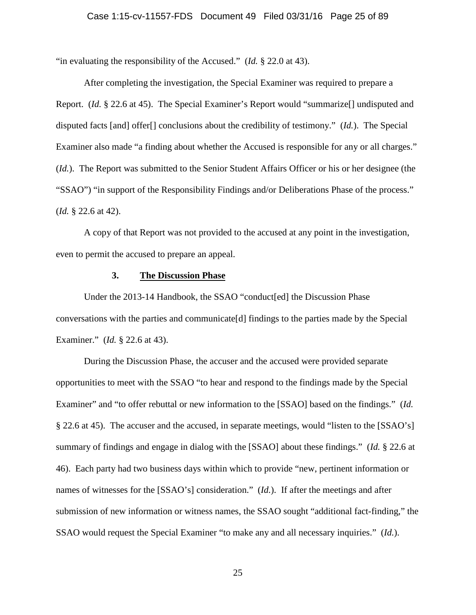"in evaluating the responsibility of the Accused." (*Id.* § 22.0 at 43).

After completing the investigation, the Special Examiner was required to prepare a Report. (*Id.* § 22.6 at 45). The Special Examiner's Report would "summarize[] undisputed and disputed facts [and] offer[] conclusions about the credibility of testimony." (*Id.*). The Special Examiner also made "a finding about whether the Accused is responsible for any or all charges." (*Id.*). The Report was submitted to the Senior Student Affairs Officer or his or her designee (the "SSAO") "in support of the Responsibility Findings and/or Deliberations Phase of the process." (*Id.* § 22.6 at 42).

A copy of that Report was not provided to the accused at any point in the investigation, even to permit the accused to prepare an appeal.

#### **3. The Discussion Phase**

Under the 2013-14 Handbook, the SSAO "conduct[ed] the Discussion Phase conversations with the parties and communicate[d] findings to the parties made by the Special Examiner." (*Id.* § 22.6 at 43).

During the Discussion Phase, the accuser and the accused were provided separate opportunities to meet with the SSAO "to hear and respond to the findings made by the Special Examiner" and "to offer rebuttal or new information to the [SSAO] based on the findings." (*Id.* § 22.6 at 45). The accuser and the accused, in separate meetings, would "listen to the [SSAO's] summary of findings and engage in dialog with the [SSAO] about these findings." (*Id.* § 22.6 at 46). Each party had two business days within which to provide "new, pertinent information or names of witnesses for the [SSAO's] consideration." (*Id.*). If after the meetings and after submission of new information or witness names, the SSAO sought "additional fact-finding," the SSAO would request the Special Examiner "to make any and all necessary inquiries." (*Id.*).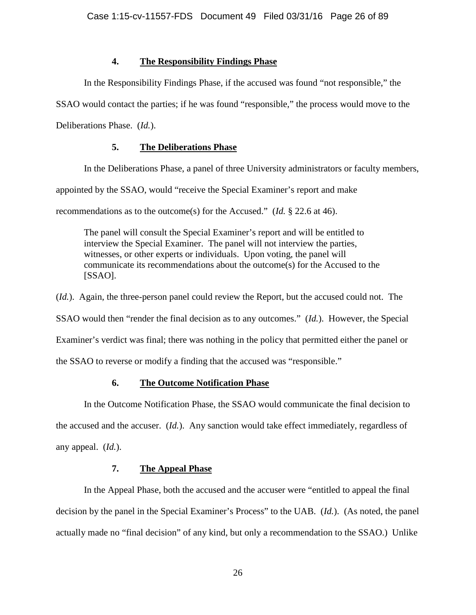### **4. The Responsibility Findings Phase**

In the Responsibility Findings Phase, if the accused was found "not responsible," the

SSAO would contact the parties; if he was found "responsible," the process would move to the

Deliberations Phase. (*Id.*).

# **5. The Deliberations Phase**

In the Deliberations Phase, a panel of three University administrators or faculty members,

appointed by the SSAO, would "receive the Special Examiner's report and make

recommendations as to the outcome(s) for the Accused." (*Id.* § 22.6 at 46).

The panel will consult the Special Examiner's report and will be entitled to interview the Special Examiner. The panel will not interview the parties, witnesses, or other experts or individuals. Upon voting, the panel will communicate its recommendations about the outcome(s) for the Accused to the [SSAO].

(*Id.*). Again, the three-person panel could review the Report, but the accused could not. The SSAO would then "render the final decision as to any outcomes." (*Id.*). However, the Special

Examiner's verdict was final; there was nothing in the policy that permitted either the panel or

the SSAO to reverse or modify a finding that the accused was "responsible."

# **6. The Outcome Notification Phase**

In the Outcome Notification Phase, the SSAO would communicate the final decision to the accused and the accuser. (*Id.*). Any sanction would take effect immediately, regardless of any appeal. (*Id.*).

# **7. The Appeal Phase**

In the Appeal Phase, both the accused and the accuser were "entitled to appeal the final decision by the panel in the Special Examiner's Process" to the UAB. (*Id.*). (As noted, the panel actually made no "final decision" of any kind, but only a recommendation to the SSAO.) Unlike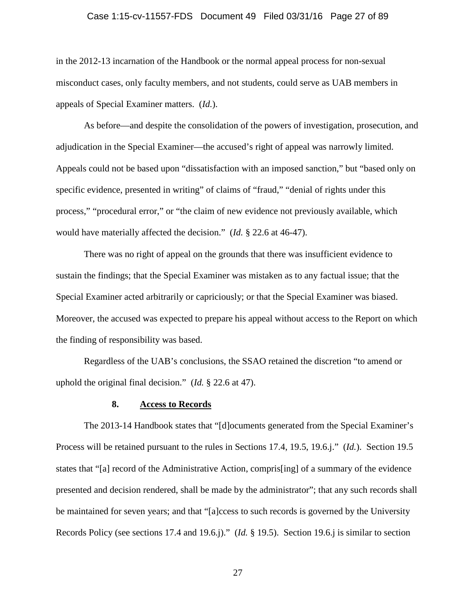### Case 1:15-cv-11557-FDS Document 49 Filed 03/31/16 Page 27 of 89

in the 2012-13 incarnation of the Handbook or the normal appeal process for non-sexual misconduct cases, only faculty members, and not students, could serve as UAB members in appeals of Special Examiner matters. (*Id.*).

As before—and despite the consolidation of the powers of investigation, prosecution, and adjudication in the Special Examiner—the accused's right of appeal was narrowly limited. Appeals could not be based upon "dissatisfaction with an imposed sanction," but "based only on specific evidence, presented in writing" of claims of "fraud," "denial of rights under this process," "procedural error," or "the claim of new evidence not previously available, which would have materially affected the decision." (*Id.* § 22.6 at 46-47).

There was no right of appeal on the grounds that there was insufficient evidence to sustain the findings; that the Special Examiner was mistaken as to any factual issue; that the Special Examiner acted arbitrarily or capriciously; or that the Special Examiner was biased. Moreover, the accused was expected to prepare his appeal without access to the Report on which the finding of responsibility was based.

Regardless of the UAB's conclusions, the SSAO retained the discretion "to amend or uphold the original final decision." (*Id.* § 22.6 at 47).

#### **8. Access to Records**

The 2013-14 Handbook states that "[d]ocuments generated from the Special Examiner's Process will be retained pursuant to the rules in Sections 17.4, 19.5, 19.6.j." (*Id.*). Section 19.5 states that "[a] record of the Administrative Action, compris[ing] of a summary of the evidence presented and decision rendered, shall be made by the administrator"; that any such records shall be maintained for seven years; and that "[a]ccess to such records is governed by the University Records Policy (see sections 17.4 and 19.6.j)." (*Id.* § 19.5). Section 19.6.j is similar to section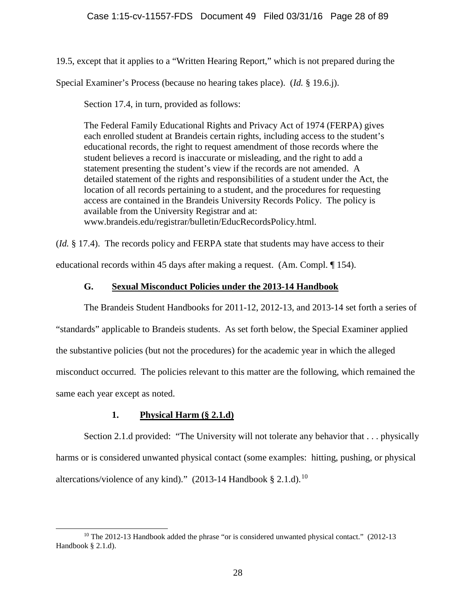19.5, except that it applies to a "Written Hearing Report," which is not prepared during the

Special Examiner's Process (because no hearing takes place). (*Id.* § 19.6.j).

Section 17.4, in turn, provided as follows:

The Federal Family Educational Rights and Privacy Act of 1974 (FERPA) gives each enrolled student at Brandeis certain rights, including access to the student's educational records, the right to request amendment of those records where the student believes a record is inaccurate or misleading, and the right to add a statement presenting the student's view if the records are not amended. A detailed statement of the rights and responsibilities of a student under the Act, the location of all records pertaining to a student, and the procedures for requesting access are contained in the Brandeis University Records Policy. The policy is available from the University Registrar and at: www.brandeis.edu/registrar/bulletin/EducRecordsPolicy.html.

(*Id.* § 17.4). The records policy and FERPA state that students may have access to their educational records within 45 days after making a request. (Am. Compl. ¶ 154).

# **G. Sexual Misconduct Policies under the 2013-14 Handbook**

The Brandeis Student Handbooks for 2011-12, 2012-13, and 2013-14 set forth a series of "standards" applicable to Brandeis students. As set forth below, the Special Examiner applied the substantive policies (but not the procedures) for the academic year in which the alleged misconduct occurred. The policies relevant to this matter are the following, which remained the same each year except as noted.

# **1. Physical Harm (§ 2.1.d)**

Section 2.1.d provided: "The University will not tolerate any behavior that . . . physically harms or is considered unwanted physical contact (some examples: hitting, pushing, or physical altercations/violence of any kind)." (2013-14 Handbook § 2.1.d).<sup>[10](#page-27-0)</sup>

<span id="page-27-0"></span><sup>&</sup>lt;sup>10</sup> The 2012-13 Handbook added the phrase "or is considered unwanted physical contact." (2012-13 Handbook § 2.1.d).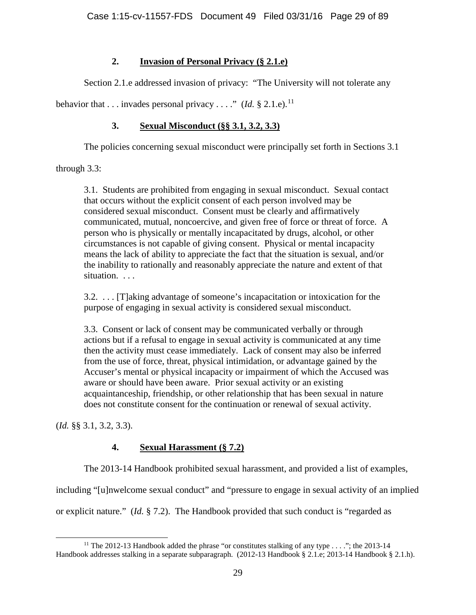# **2. Invasion of Personal Privacy (§ 2.1.e)**

Section 2.1.e addressed invasion of privacy: "The University will not tolerate any

behavior that  $\dots$  invades personal privacy  $\dots$  " (*Id.* § 2.1.e).<sup>[11](#page-28-0)</sup>

# **3. Sexual Misconduct (§§ 3.1, 3.2, 3.3)**

The policies concerning sexual misconduct were principally set forth in Sections 3.1

through 3.3:

3.1. Students are prohibited from engaging in sexual misconduct. Sexual contact that occurs without the explicit consent of each person involved may be considered sexual misconduct. Consent must be clearly and affirmatively communicated, mutual, noncoercive, and given free of force or threat of force. A person who is physically or mentally incapacitated by drugs, alcohol, or other circumstances is not capable of giving consent. Physical or mental incapacity means the lack of ability to appreciate the fact that the situation is sexual, and/or the inability to rationally and reasonably appreciate the nature and extent of that situation. . . .

3.2. . . . [T]aking advantage of someone's incapacitation or intoxication for the purpose of engaging in sexual activity is considered sexual misconduct.

3.3. Consent or lack of consent may be communicated verbally or through actions but if a refusal to engage in sexual activity is communicated at any time then the activity must cease immediately. Lack of consent may also be inferred from the use of force, threat, physical intimidation, or advantage gained by the Accuser's mental or physical incapacity or impairment of which the Accused was aware or should have been aware. Prior sexual activity or an existing acquaintanceship, friendship, or other relationship that has been sexual in nature does not constitute consent for the continuation or renewal of sexual activity.

(*Id.* §§ 3.1, 3.2, 3.3).

# **4. Sexual Harassment (§ 7.2)**

The 2013-14 Handbook prohibited sexual harassment, and provided a list of examples,

including "[u]nwelcome sexual conduct" and "pressure to engage in sexual activity of an implied

or explicit nature." (*Id.* § 7.2). The Handbook provided that such conduct is "regarded as

<span id="page-28-0"></span><sup>&</sup>lt;sup>11</sup> The 2012-13 Handbook added the phrase "or constitutes stalking of any type  $\dots$ "; the 2013-14 Handbook addresses stalking in a separate subparagraph. (2012-13 Handbook § 2.1.e; 2013-14 Handbook § 2.1.h).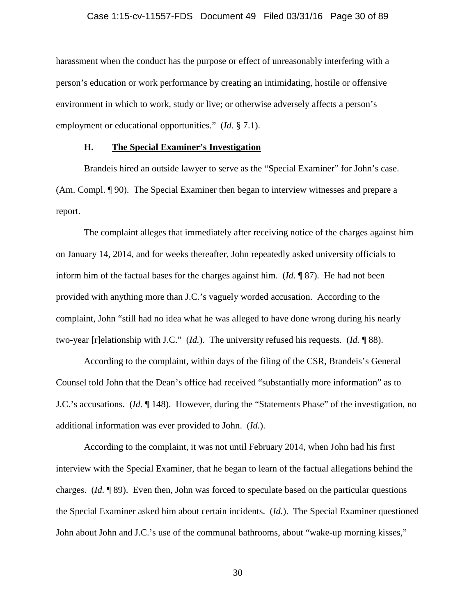### Case 1:15-cv-11557-FDS Document 49 Filed 03/31/16 Page 30 of 89

harassment when the conduct has the purpose or effect of unreasonably interfering with a person's education or work performance by creating an intimidating, hostile or offensive environment in which to work, study or live; or otherwise adversely affects a person's employment or educational opportunities." (*Id.* § 7.1).

### **H. The Special Examiner's Investigation**

Brandeis hired an outside lawyer to serve as the "Special Examiner" for John's case. (Am. Compl. ¶ 90). The Special Examiner then began to interview witnesses and prepare a report.

The complaint alleges that immediately after receiving notice of the charges against him on January 14, 2014, and for weeks thereafter, John repeatedly asked university officials to inform him of the factual bases for the charges against him. (*Id*. ¶ 87). He had not been provided with anything more than J.C.'s vaguely worded accusation. According to the complaint, John "still had no idea what he was alleged to have done wrong during his nearly two-year [r]elationship with J.C." (*Id.*). The university refused his requests. (*Id.* ¶ 88).

According to the complaint, within days of the filing of the CSR, Brandeis's General Counsel told John that the Dean's office had received "substantially more information" as to J.C.'s accusations. (*Id.* ¶ 148). However, during the "Statements Phase" of the investigation, no additional information was ever provided to John. (*Id.*).

According to the complaint, it was not until February 2014, when John had his first interview with the Special Examiner, that he began to learn of the factual allegations behind the charges. (*Id.* ¶ 89). Even then, John was forced to speculate based on the particular questions the Special Examiner asked him about certain incidents. (*Id.*). The Special Examiner questioned John about John and J.C.'s use of the communal bathrooms, about "wake-up morning kisses,"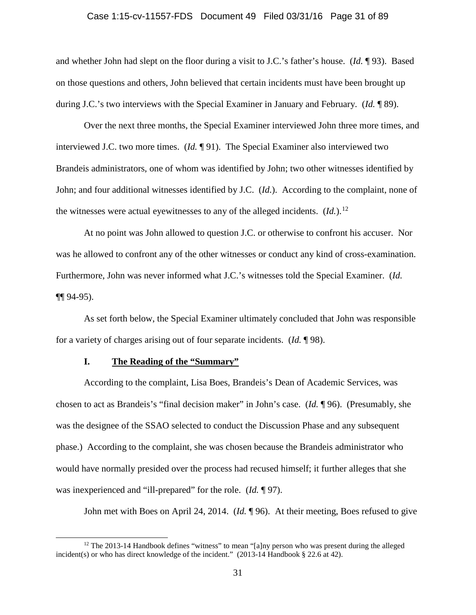### Case 1:15-cv-11557-FDS Document 49 Filed 03/31/16 Page 31 of 89

and whether John had slept on the floor during a visit to J.C.'s father's house. (*Id.* ¶ 93). Based on those questions and others, John believed that certain incidents must have been brought up during J.C.'s two interviews with the Special Examiner in January and February. (*Id.* ¶ 89).

Over the next three months, the Special Examiner interviewed John three more times, and interviewed J.C. two more times. (*Id.* ¶ 91). The Special Examiner also interviewed two Brandeis administrators, one of whom was identified by John; two other witnesses identified by John; and four additional witnesses identified by J.C. (*Id.*). According to the complaint, none of the witnesses were actual eyewitnesses to any of the alleged incidents.  $(Id.)^{12}$  $(Id.)^{12}$  $(Id.)^{12}$ 

At no point was John allowed to question J.C. or otherwise to confront his accuser. Nor was he allowed to confront any of the other witnesses or conduct any kind of cross-examination. Furthermore, John was never informed what J.C.'s witnesses told the Special Examiner. (*Id.* ¶¶ 94-95).

As set forth below, the Special Examiner ultimately concluded that John was responsible for a variety of charges arising out of four separate incidents. (*Id.* ¶ 98).

### **I. The Reading of the "Summary"**

According to the complaint, Lisa Boes, Brandeis's Dean of Academic Services, was chosen to act as Brandeis's "final decision maker" in John's case. (*Id.* ¶ 96). (Presumably, she was the designee of the SSAO selected to conduct the Discussion Phase and any subsequent phase.) According to the complaint, she was chosen because the Brandeis administrator who would have normally presided over the process had recused himself; it further alleges that she was inexperienced and "ill-prepared" for the role. (*Id.* ¶ 97).

John met with Boes on April 24, 2014. (*Id.* ¶ 96). At their meeting, Boes refused to give

<span id="page-30-0"></span> $12$  The 2013-14 Handbook defines "witness" to mean "[a]ny person who was present during the alleged incident(s) or who has direct knowledge of the incident." (2013-14 Handbook § 22.6 at 42).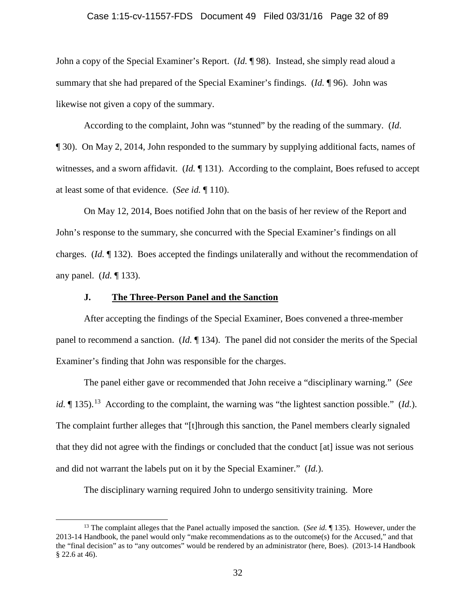#### Case 1:15-cv-11557-FDS Document 49 Filed 03/31/16 Page 32 of 89

John a copy of the Special Examiner's Report. (*Id.* ¶ 98). Instead, she simply read aloud a summary that she had prepared of the Special Examiner's findings. (*Id.* ¶ 96). John was likewise not given a copy of the summary.

According to the complaint, John was "stunned" by the reading of the summary. (*Id*. ¶ 30). On May 2, 2014, John responded to the summary by supplying additional facts, names of witnesses, and a sworn affidavit. (*Id.* 131). According to the complaint, Boes refused to accept at least some of that evidence. (*See id.* ¶ 110).

On May 12, 2014, Boes notified John that on the basis of her review of the Report and John's response to the summary, she concurred with the Special Examiner's findings on all charges. (*Id.* ¶ 132). Boes accepted the findings unilaterally and without the recommendation of any panel. (*Id.* ¶ 133).

### **J. The Three-Person Panel and the Sanction**

After accepting the findings of the Special Examiner, Boes convened a three-member panel to recommend a sanction. (*Id.* ¶ 134). The panel did not consider the merits of the Special Examiner's finding that John was responsible for the charges.

The panel either gave or recommended that John receive a "disciplinary warning." (*See id.*  $\P$  [13](#page-31-0)5).<sup>13</sup> According to the complaint, the warning was "the lightest sanction possible." (*Id.*). The complaint further alleges that "[t]hrough this sanction, the Panel members clearly signaled that they did not agree with the findings or concluded that the conduct [at] issue was not serious and did not warrant the labels put on it by the Special Examiner." (*Id.*).

The disciplinary warning required John to undergo sensitivity training. More

<span id="page-31-0"></span> <sup>13</sup> The complaint alleges that the Panel actually imposed the sanction. (*See id.* ¶ 135). However, under the 2013-14 Handbook, the panel would only "make recommendations as to the outcome(s) for the Accused," and that the "final decision" as to "any outcomes" would be rendered by an administrator (here, Boes). (2013-14 Handbook § 22.6 at 46).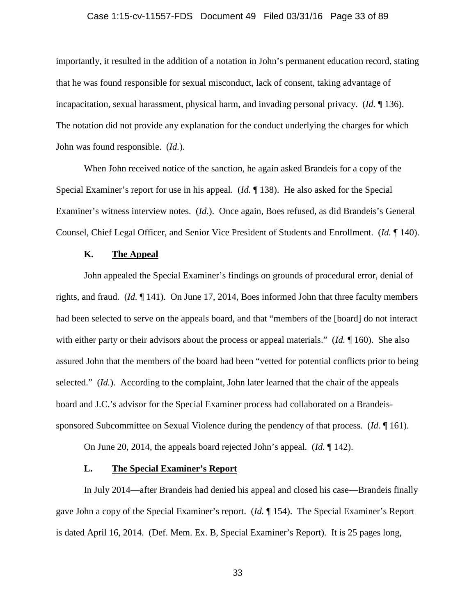### Case 1:15-cv-11557-FDS Document 49 Filed 03/31/16 Page 33 of 89

importantly, it resulted in the addition of a notation in John's permanent education record, stating that he was found responsible for sexual misconduct, lack of consent, taking advantage of incapacitation, sexual harassment, physical harm, and invading personal privacy. (*Id.* ¶ 136). The notation did not provide any explanation for the conduct underlying the charges for which John was found responsible. (*Id.*).

When John received notice of the sanction, he again asked Brandeis for a copy of the Special Examiner's report for use in his appeal. (*Id.* ¶ 138). He also asked for the Special Examiner's witness interview notes. (*Id.*). Once again, Boes refused, as did Brandeis's General Counsel, Chief Legal Officer, and Senior Vice President of Students and Enrollment. (*Id.* ¶ 140).

### **K. The Appeal**

John appealed the Special Examiner's findings on grounds of procedural error, denial of rights, and fraud. (*Id.* ¶ 141). On June 17, 2014, Boes informed John that three faculty members had been selected to serve on the appeals board, and that "members of the [board] do not interact with either party or their advisors about the process or appeal materials." (*Id.* 160). She also assured John that the members of the board had been "vetted for potential conflicts prior to being selected." *(Id.).* According to the complaint, John later learned that the chair of the appeals board and J.C.'s advisor for the Special Examiner process had collaborated on a Brandeissponsored Subcommittee on Sexual Violence during the pendency of that process. (*Id.* ¶ 161).

On June 20, 2014, the appeals board rejected John's appeal. (*Id.* ¶ 142).

### **L. The Special Examiner's Report**

In July 2014—after Brandeis had denied his appeal and closed his case—Brandeis finally gave John a copy of the Special Examiner's report. (*Id.* ¶ 154). The Special Examiner's Report is dated April 16, 2014. (Def. Mem. Ex. B, Special Examiner's Report). It is 25 pages long,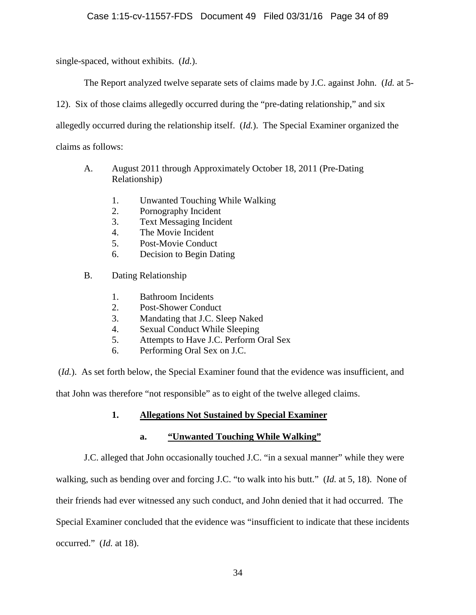single-spaced, without exhibits. (*Id.*).

The Report analyzed twelve separate sets of claims made by J.C. against John. (*Id.* at 5-

12). Six of those claims allegedly occurred during the "pre-dating relationship," and six

allegedly occurred during the relationship itself. (*Id.*). The Special Examiner organized the

claims as follows:

- A. August 2011 through Approximately October 18, 2011 (Pre-Dating Relationship)
	- 1. Unwanted Touching While Walking
	- 2. Pornography Incident
	- 3. Text Messaging Incident
	- 4. The Movie Incident
	- 5. Post-Movie Conduct
	- 6. Decision to Begin Dating
- B. Dating Relationship
	- 1. Bathroom Incidents
	- 2. Post-Shower Conduct
	- 3. Mandating that J.C. Sleep Naked
	- 4. Sexual Conduct While Sleeping
	- 5. Attempts to Have J.C. Perform Oral Sex
	- 6. Performing Oral Sex on J.C.

(*Id.*). As set forth below, the Special Examiner found that the evidence was insufficient, and that John was therefore "not responsible" as to eight of the twelve alleged claims.

# **1. Allegations Not Sustained by Special Examiner**

# **a. "Unwanted Touching While Walking"**

J.C. alleged that John occasionally touched J.C. "in a sexual manner" while they were walking, such as bending over and forcing J.C. "to walk into his butt." (*Id.* at 5, 18). None of their friends had ever witnessed any such conduct, and John denied that it had occurred. The Special Examiner concluded that the evidence was "insufficient to indicate that these incidents occurred." (*Id.* at 18).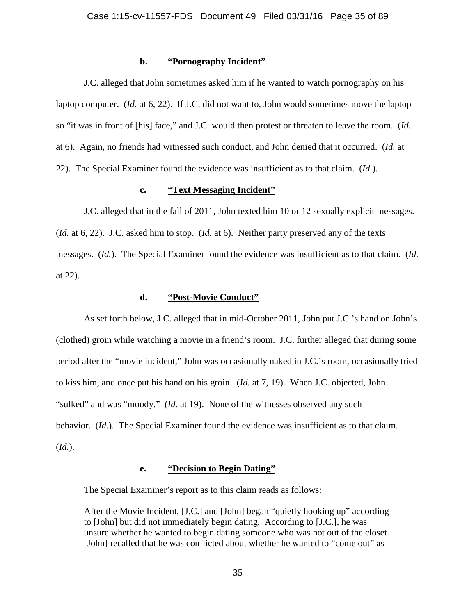### **b. "Pornography Incident"**

J.C. alleged that John sometimes asked him if he wanted to watch pornography on his laptop computer. (*Id.* at 6, 22). If J.C. did not want to, John would sometimes move the laptop so "it was in front of [his] face," and J.C. would then protest or threaten to leave the room. (*Id.* at 6). Again, no friends had witnessed such conduct, and John denied that it occurred. (*Id.* at 22). The Special Examiner found the evidence was insufficient as to that claim. (*Id.*).

### **c. "Text Messaging Incident"**

J.C. alleged that in the fall of 2011, John texted him 10 or 12 sexually explicit messages. (*Id.* at 6, 22). J.C. asked him to stop. (*Id.* at 6). Neither party preserved any of the texts messages. (*Id.*). The Special Examiner found the evidence was insufficient as to that claim. (*Id.*  at 22).

### **d. "Post-Movie Conduct"**

As set forth below, J.C. alleged that in mid-October 2011, John put J.C.'s hand on John's (clothed) groin while watching a movie in a friend's room. J.C. further alleged that during some period after the "movie incident," John was occasionally naked in J.C.'s room, occasionally tried to kiss him, and once put his hand on his groin. (*Id.* at 7, 19). When J.C. objected, John "sulked" and was "moody." (*Id.* at 19). None of the witnesses observed any such behavior. (*Id.*). The Special Examiner found the evidence was insufficient as to that claim. (*Id.*).

### **e. "Decision to Begin Dating"**

The Special Examiner's report as to this claim reads as follows:

After the Movie Incident, [J.C.] and [John] began "quietly hooking up" according to [John] but did not immediately begin dating. According to [J.C.], he was unsure whether he wanted to begin dating someone who was not out of the closet. [John] recalled that he was conflicted about whether he wanted to "come out" as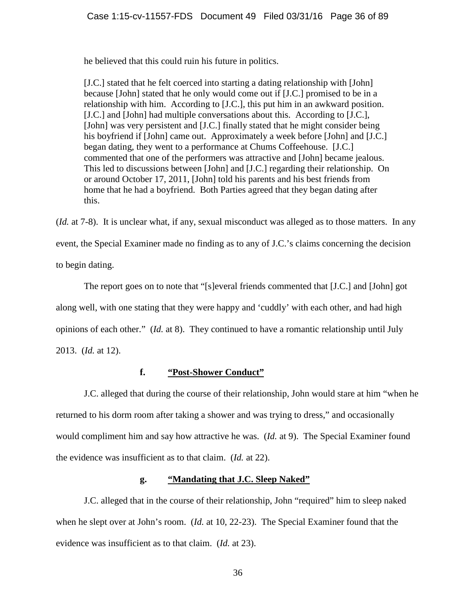he believed that this could ruin his future in politics.

[J.C.] stated that he felt coerced into starting a dating relationship with [John] because [John] stated that he only would come out if [J.C.] promised to be in a relationship with him. According to [J.C.], this put him in an awkward position. [J.C.] and [John] had multiple conversations about this. According to [J.C.], [John] was very persistent and [J.C.] finally stated that he might consider being his boyfriend if [John] came out. Approximately a week before [John] and [J.C.] began dating, they went to a performance at Chums Coffeehouse. [J.C.] commented that one of the performers was attractive and [John] became jealous. This led to discussions between [John] and [J.C.] regarding their relationship. On or around October 17, 2011, [John] told his parents and his best friends from home that he had a boyfriend. Both Parties agreed that they began dating after this.

(*Id.* at 7-8). It is unclear what, if any, sexual misconduct was alleged as to those matters. In any event, the Special Examiner made no finding as to any of J.C.'s claims concerning the decision to begin dating.

The report goes on to note that "[s]everal friends commented that [J.C.] and [John] got along well, with one stating that they were happy and 'cuddly' with each other, and had high opinions of each other." (*Id.* at 8). They continued to have a romantic relationship until July 2013. (*Id.* at 12).

### **f. "Post-Shower Conduct"**

J.C. alleged that during the course of their relationship, John would stare at him "when he returned to his dorm room after taking a shower and was trying to dress," and occasionally would compliment him and say how attractive he was. (*Id.* at 9). The Special Examiner found the evidence was insufficient as to that claim. (*Id.* at 22).

### **g. "Mandating that J.C. Sleep Naked"**

J.C. alleged that in the course of their relationship, John "required" him to sleep naked when he slept over at John's room. (*Id.* at 10, 22-23). The Special Examiner found that the evidence was insufficient as to that claim. (*Id.* at 23).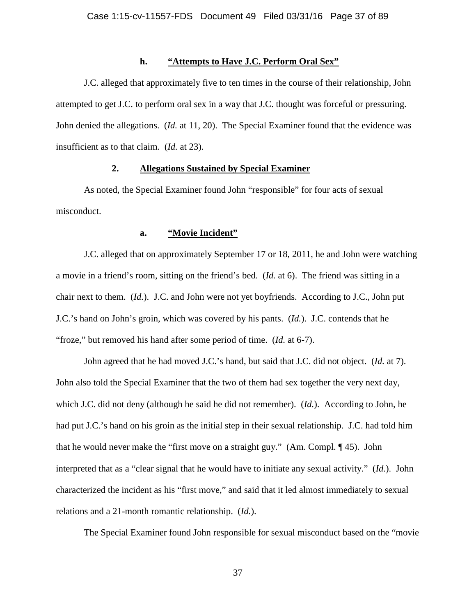## **h. "Attempts to Have J.C. Perform Oral Sex"**

J.C. alleged that approximately five to ten times in the course of their relationship, John attempted to get J.C. to perform oral sex in a way that J.C. thought was forceful or pressuring. John denied the allegations. (*Id.* at 11, 20). The Special Examiner found that the evidence was insufficient as to that claim. (*Id.* at 23).

## **2. Allegations Sustained by Special Examiner**

As noted, the Special Examiner found John "responsible" for four acts of sexual misconduct.

## **a. "Movie Incident"**

J.C. alleged that on approximately September 17 or 18, 2011, he and John were watching a movie in a friend's room, sitting on the friend's bed. (*Id.* at 6). The friend was sitting in a chair next to them. (*Id.*). J.C. and John were not yet boyfriends. According to J.C., John put J.C.'s hand on John's groin, which was covered by his pants. (*Id.*). J.C. contends that he "froze," but removed his hand after some period of time. (*Id.* at 6-7).

John agreed that he had moved J.C.'s hand, but said that J.C. did not object. (*Id.* at 7). John also told the Special Examiner that the two of them had sex together the very next day, which J.C. did not deny (although he said he did not remember). (*Id.*). According to John, he had put J.C.'s hand on his groin as the initial step in their sexual relationship. J.C. had told him that he would never make the "first move on a straight guy." (Am. Compl. ¶ 45). John interpreted that as a "clear signal that he would have to initiate any sexual activity." (*Id.*). John characterized the incident as his "first move," and said that it led almost immediately to sexual relations and a 21-month romantic relationship. (*Id.*).

The Special Examiner found John responsible for sexual misconduct based on the "movie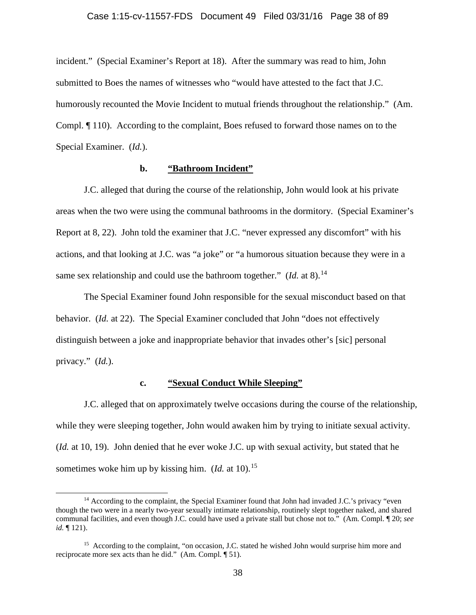#### Case 1:15-cv-11557-FDS Document 49 Filed 03/31/16 Page 38 of 89

incident." (Special Examiner's Report at 18). After the summary was read to him, John submitted to Boes the names of witnesses who "would have attested to the fact that J.C. humorously recounted the Movie Incident to mutual friends throughout the relationship." (Am. Compl. ¶ 110). According to the complaint, Boes refused to forward those names on to the Special Examiner. (*Id.*).

## **b. "Bathroom Incident"**

J.C. alleged that during the course of the relationship, John would look at his private areas when the two were using the communal bathrooms in the dormitory. (Special Examiner's Report at 8, 22). John told the examiner that J.C. "never expressed any discomfort" with his actions, and that looking at J.C. was "a joke" or "a humorous situation because they were in a same sex relationship and could use the bathroom together." (*Id.* at 8).<sup>14</sup>

The Special Examiner found John responsible for the sexual misconduct based on that behavior. (*Id.* at 22). The Special Examiner concluded that John "does not effectively distinguish between a joke and inappropriate behavior that invades other's [sic] personal privacy." (*Id.*).

## **c. "Sexual Conduct While Sleeping"**

J.C. alleged that on approximately twelve occasions during the course of the relationship, while they were sleeping together, John would awaken him by trying to initiate sexual activity. (*Id.* at 10, 19). John denied that he ever woke J.C. up with sexual activity, but stated that he sometimes woke him up by kissing him.  $(Id.$  at 10).<sup>[15](#page-37-1)</sup>

<span id="page-37-0"></span><sup>&</sup>lt;sup>14</sup> According to the complaint, the Special Examiner found that John had invaded J.C.'s privacy "even though the two were in a nearly two-year sexually intimate relationship, routinely slept together naked, and shared communal facilities, and even though J.C. could have used a private stall but chose not to." (Am. Compl. ¶ 20; *see id.* ¶ 121).

<span id="page-37-1"></span><sup>&</sup>lt;sup>15</sup> According to the complaint, "on occasion, J.C. stated he wished John would surprise him more and reciprocate more sex acts than he did." (Am. Compl. ¶ 51).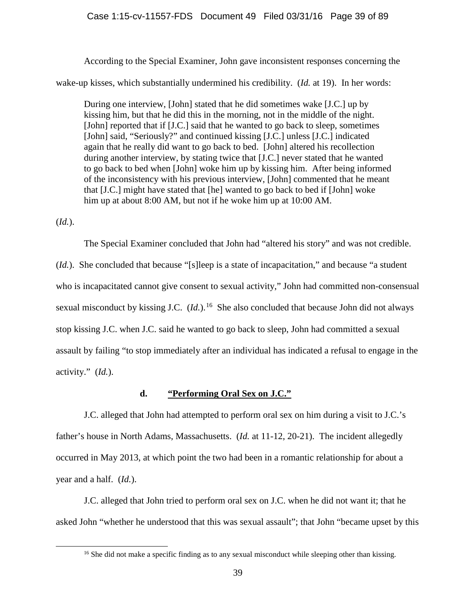## Case 1:15-cv-11557-FDS Document 49 Filed 03/31/16 Page 39 of 89

According to the Special Examiner, John gave inconsistent responses concerning the wake-up kisses, which substantially undermined his credibility. (*Id.* at 19). In her words:

During one interview, [John] stated that he did sometimes wake [J.C.] up by kissing him, but that he did this in the morning, not in the middle of the night. [John] reported that if [J.C.] said that he wanted to go back to sleep, sometimes [John] said, "Seriously?" and continued kissing [J.C.] unless [J.C.] indicated again that he really did want to go back to bed. [John] altered his recollection during another interview, by stating twice that [J.C.] never stated that he wanted to go back to bed when [John] woke him up by kissing him. After being informed of the inconsistency with his previous interview, [John] commented that he meant that [J.C.] might have stated that [he] wanted to go back to bed if [John] woke him up at about 8:00 AM, but not if he woke him up at 10:00 AM.

(*Id.*).

The Special Examiner concluded that John had "altered his story" and was not credible.

(*Id.*). She concluded that because "[s]leep is a state of incapacitation," and because "a student who is incapacitated cannot give consent to sexual activity," John had committed non-consensual sexual misconduct by kissing J.C. (*Id.*).<sup>[16](#page-38-0)</sup> She also concluded that because John did not always stop kissing J.C. when J.C. said he wanted to go back to sleep, John had committed a sexual assault by failing "to stop immediately after an individual has indicated a refusal to engage in the activity." (*Id.*).

## **d. "Performing Oral Sex on J.C."**

J.C. alleged that John had attempted to perform oral sex on him during a visit to J.C.'s father's house in North Adams, Massachusetts. (*Id.* at 11-12, 20-21). The incident allegedly occurred in May 2013, at which point the two had been in a romantic relationship for about a year and a half. (*Id.*).

<span id="page-38-0"></span>J.C. alleged that John tried to perform oral sex on J.C. when he did not want it; that he asked John "whether he understood that this was sexual assault"; that John "became upset by this

<sup>&</sup>lt;sup>16</sup> She did not make a specific finding as to any sexual misconduct while sleeping other than kissing.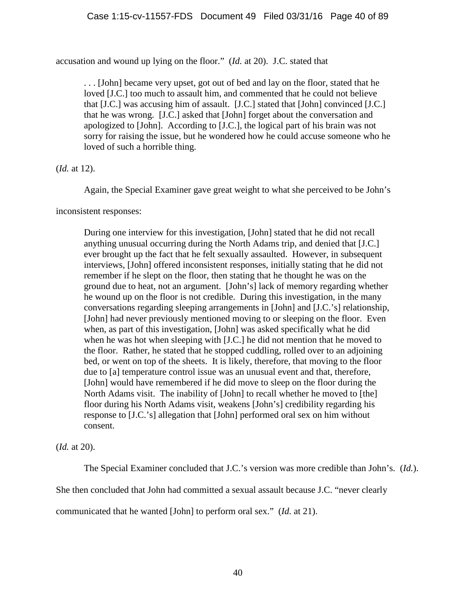accusation and wound up lying on the floor." (*Id.* at 20). J.C. stated that

. . . [John] became very upset, got out of bed and lay on the floor, stated that he loved [J.C.] too much to assault him, and commented that he could not believe that [J.C.] was accusing him of assault. [J.C.] stated that [John] convinced [J.C.] that he was wrong. [J.C.] asked that [John] forget about the conversation and apologized to [John]. According to [J.C.], the logical part of his brain was not sorry for raising the issue, but he wondered how he could accuse someone who he loved of such a horrible thing.

(*Id.* at 12).

Again, the Special Examiner gave great weight to what she perceived to be John's

inconsistent responses:

During one interview for this investigation, [John] stated that he did not recall anything unusual occurring during the North Adams trip, and denied that [J.C.] ever brought up the fact that he felt sexually assaulted. However, in subsequent interviews, [John] offered inconsistent responses, initially stating that he did not remember if he slept on the floor, then stating that he thought he was on the ground due to heat, not an argument. [John's] lack of memory regarding whether he wound up on the floor is not credible. During this investigation, in the many conversations regarding sleeping arrangements in [John] and [J.C.'s] relationship, [John] had never previously mentioned moving to or sleeping on the floor. Even when, as part of this investigation, [John] was asked specifically what he did when he was hot when sleeping with [J.C.] he did not mention that he moved to the floor. Rather, he stated that he stopped cuddling, rolled over to an adjoining bed, or went on top of the sheets. It is likely, therefore, that moving to the floor due to [a] temperature control issue was an unusual event and that, therefore, [John] would have remembered if he did move to sleep on the floor during the North Adams visit. The inability of [John] to recall whether he moved to [the] floor during his North Adams visit, weakens [John's] credibility regarding his response to [J.C.'s] allegation that [John] performed oral sex on him without consent.

(*Id.* at 20).

The Special Examiner concluded that J.C.'s version was more credible than John's. (*Id.*).

She then concluded that John had committed a sexual assault because J.C. "never clearly

communicated that he wanted [John] to perform oral sex." (*Id.* at 21).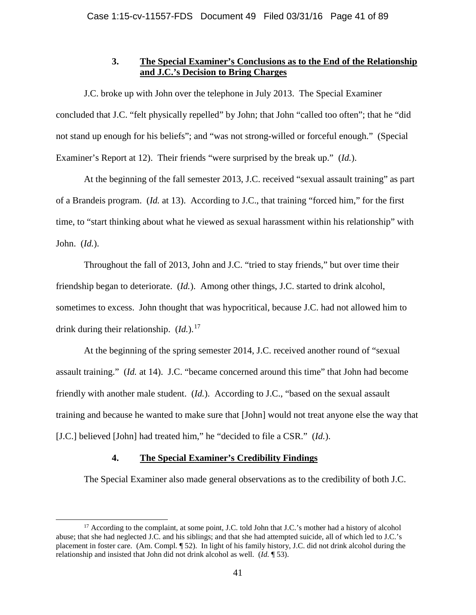## **3. The Special Examiner's Conclusions as to the End of the Relationship and J.C.'s Decision to Bring Charges**

J.C. broke up with John over the telephone in July 2013. The Special Examiner concluded that J.C. "felt physically repelled" by John; that John "called too often"; that he "did not stand up enough for his beliefs"; and "was not strong-willed or forceful enough." (Special Examiner's Report at 12). Their friends "were surprised by the break up." (*Id.*).

At the beginning of the fall semester 2013, J.C. received "sexual assault training" as part of a Brandeis program. (*Id.* at 13). According to J.C., that training "forced him," for the first time, to "start thinking about what he viewed as sexual harassment within his relationship" with John. (*Id.*).

Throughout the fall of 2013, John and J.C. "tried to stay friends," but over time their friendship began to deteriorate. (*Id.*). Among other things, J.C. started to drink alcohol, sometimes to excess. John thought that was hypocritical, because J.C. had not allowed him to drink during their relationship. (*Id.*).<sup>[17](#page-40-0)</sup>

At the beginning of the spring semester 2014, J.C. received another round of "sexual assault training." (*Id.* at 14). J.C. "became concerned around this time" that John had become friendly with another male student. (*Id.*). According to J.C., "based on the sexual assault training and because he wanted to make sure that [John] would not treat anyone else the way that [J.C.] believed [John] had treated him," he "decided to file a CSR." (*Id.*).

## **4. The Special Examiner's Credibility Findings**

The Special Examiner also made general observations as to the credibility of both J.C.

<span id="page-40-0"></span><sup>&</sup>lt;sup>17</sup> According to the complaint, at some point, J.C. told John that J.C.'s mother had a history of alcohol abuse; that she had neglected J.C. and his siblings; and that she had attempted suicide, all of which led to J.C.'s placement in foster care. (Am. Compl. ¶ 52). In light of his family history, J.C. did not drink alcohol during the relationship and insisted that John did not drink alcohol as well. (*Id.* ¶ 53).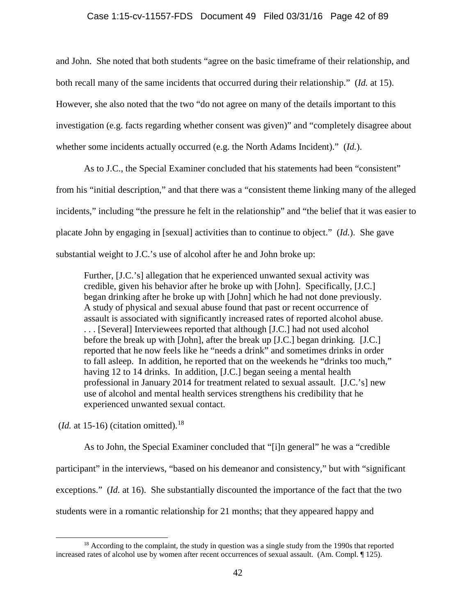## Case 1:15-cv-11557-FDS Document 49 Filed 03/31/16 Page 42 of 89

and John. She noted that both students "agree on the basic timeframe of their relationship, and both recall many of the same incidents that occurred during their relationship." (*Id.* at 15). However, she also noted that the two "do not agree on many of the details important to this investigation (e.g. facts regarding whether consent was given)" and "completely disagree about whether some incidents actually occurred (e.g. the North Adams Incident)." (*Id.*).

As to J.C., the Special Examiner concluded that his statements had been "consistent" from his "initial description," and that there was a "consistent theme linking many of the alleged incidents," including "the pressure he felt in the relationship" and "the belief that it was easier to placate John by engaging in [sexual] activities than to continue to object." (*Id.*). She gave substantial weight to J.C.'s use of alcohol after he and John broke up:

Further, [J.C.'s] allegation that he experienced unwanted sexual activity was credible, given his behavior after he broke up with [John]. Specifically, [J.C.] began drinking after he broke up with [John] which he had not done previously. A study of physical and sexual abuse found that past or recent occurrence of assault is associated with significantly increased rates of reported alcohol abuse. . . . [Several] Interviewees reported that although [J.C.] had not used alcohol before the break up with [John], after the break up [J.C.] began drinking. [J.C.] reported that he now feels like he "needs a drink" and sometimes drinks in order to fall asleep. In addition, he reported that on the weekends he "drinks too much," having 12 to 14 drinks. In addition, [J.C.] began seeing a mental health professional in January 2014 for treatment related to sexual assault. [J.C.'s] new use of alcohol and mental health services strengthens his credibility that he experienced unwanted sexual contact.

 $(Id. at 15-16)$  (citation omitted).<sup>[18](#page-41-0)</sup>

As to John, the Special Examiner concluded that "[i]n general" he was a "credible participant" in the interviews, "based on his demeanor and consistency," but with "significant exceptions." (*Id.* at 16). She substantially discounted the importance of the fact that the two students were in a romantic relationship for 21 months; that they appeared happy and

<span id="page-41-0"></span> $18$  According to the complaint, the study in question was a single study from the 1990s that reported increased rates of alcohol use by women after recent occurrences of sexual assault. (Am. Compl. ¶ 125).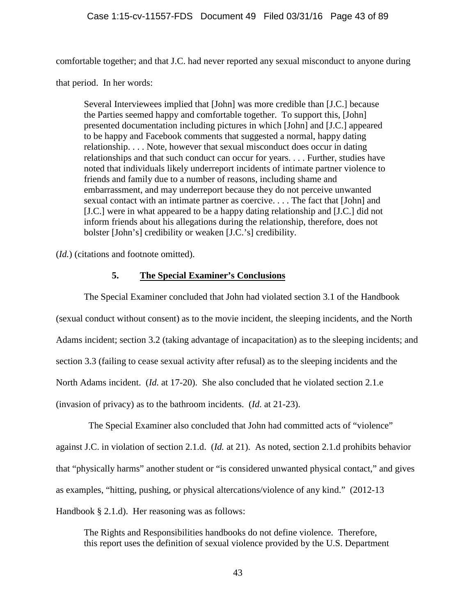comfortable together; and that J.C. had never reported any sexual misconduct to anyone during

that period. In her words:

Several Interviewees implied that [John] was more credible than [J.C.] because the Parties seemed happy and comfortable together. To support this, [John] presented documentation including pictures in which [John] and [J.C.] appeared to be happy and Facebook comments that suggested a normal, happy dating relationship. . . . Note, however that sexual misconduct does occur in dating relationships and that such conduct can occur for years. . . . Further, studies have noted that individuals likely underreport incidents of intimate partner violence to friends and family due to a number of reasons, including shame and embarrassment, and may underreport because they do not perceive unwanted sexual contact with an intimate partner as coercive. . . . The fact that [John] and [J.C.] were in what appeared to be a happy dating relationship and [J.C.] did not inform friends about his allegations during the relationship, therefore, does not bolster [John's] credibility or weaken [J.C.'s] credibility.

(*Id.*) (citations and footnote omitted).

## **5. The Special Examiner's Conclusions**

The Special Examiner concluded that John had violated section 3.1 of the Handbook (sexual conduct without consent) as to the movie incident, the sleeping incidents, and the North Adams incident; section 3.2 (taking advantage of incapacitation) as to the sleeping incidents; and section 3.3 (failing to cease sexual activity after refusal) as to the sleeping incidents and the North Adams incident. (*Id.* at 17-20). She also concluded that he violated section 2.1.e (invasion of privacy) as to the bathroom incidents. (*Id.* at 21-23).

 The Special Examiner also concluded that John had committed acts of "violence" against J.C. in violation of section 2.1.d. (*Id.* at 21). As noted, section 2.1.d prohibits behavior that "physically harms" another student or "is considered unwanted physical contact," and gives as examples, "hitting, pushing, or physical altercations/violence of any kind." (2012-13 Handbook § 2.1.d). Her reasoning was as follows:

The Rights and Responsibilities handbooks do not define violence. Therefore, this report uses the definition of sexual violence provided by the U.S. Department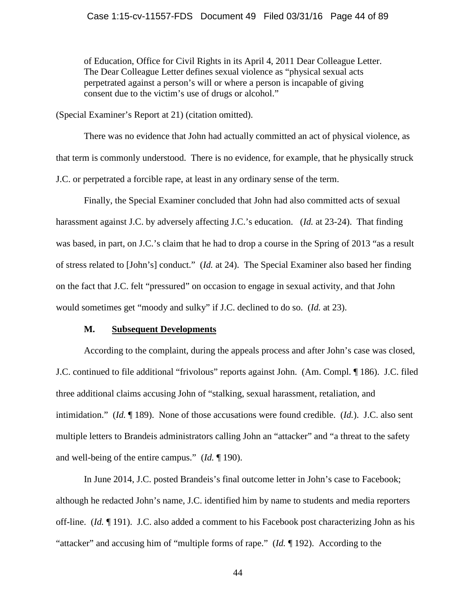of Education, Office for Civil Rights in its April 4, 2011 Dear Colleague Letter. The Dear Colleague Letter defines sexual violence as "physical sexual acts perpetrated against a person's will or where a person is incapable of giving consent due to the victim's use of drugs or alcohol."

(Special Examiner's Report at 21) (citation omitted).

There was no evidence that John had actually committed an act of physical violence, as that term is commonly understood. There is no evidence, for example, that he physically struck J.C. or perpetrated a forcible rape, at least in any ordinary sense of the term.

Finally, the Special Examiner concluded that John had also committed acts of sexual harassment against J.C. by adversely affecting J.C.'s education. (*Id.* at 23-24). That finding was based, in part, on J.C.'s claim that he had to drop a course in the Spring of 2013 "as a result of stress related to [John's] conduct." (*Id.* at 24). The Special Examiner also based her finding on the fact that J.C. felt "pressured" on occasion to engage in sexual activity, and that John would sometimes get "moody and sulky" if J.C. declined to do so. (*Id.* at 23).

## **M. Subsequent Developments**

According to the complaint, during the appeals process and after John's case was closed, J.C. continued to file additional "frivolous" reports against John. (Am. Compl. ¶ 186). J.C. filed three additional claims accusing John of "stalking, sexual harassment, retaliation, and intimidation." (*Id.* ¶ 189). None of those accusations were found credible. (*Id.*). J.C. also sent multiple letters to Brandeis administrators calling John an "attacker" and "a threat to the safety and well-being of the entire campus." (*Id.* ¶ 190).

In June 2014, J.C. posted Brandeis's final outcome letter in John's case to Facebook; although he redacted John's name, J.C. identified him by name to students and media reporters off-line. (*Id.* ¶ 191). J.C. also added a comment to his Facebook post characterizing John as his "attacker" and accusing him of "multiple forms of rape." (*Id.* ¶ 192). According to the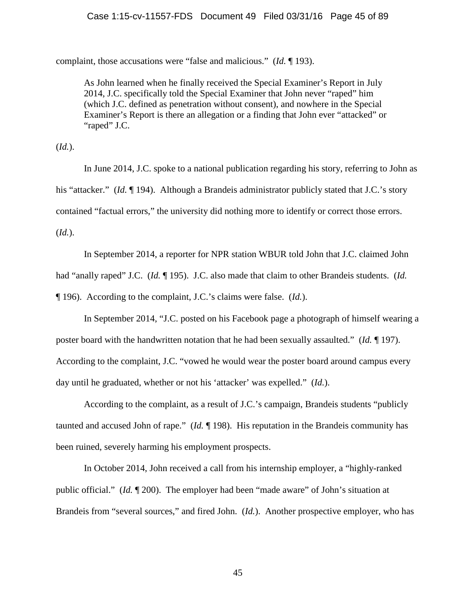## Case 1:15-cv-11557-FDS Document 49 Filed 03/31/16 Page 45 of 89

complaint, those accusations were "false and malicious." (*Id.* ¶ 193).

As John learned when he finally received the Special Examiner's Report in July 2014, J.C. specifically told the Special Examiner that John never "raped" him (which J.C. defined as penetration without consent), and nowhere in the Special Examiner's Report is there an allegation or a finding that John ever "attacked" or "raped" J.C.

(*Id.*).

In June 2014, J.C. spoke to a national publication regarding his story, referring to John as his "attacker." (*Id.* 194). Although a Brandeis administrator publicly stated that J.C.'s story contained "factual errors," the university did nothing more to identify or correct those errors. (*Id.*).

In September 2014, a reporter for NPR station WBUR told John that J.C. claimed John had "anally raped" J.C. (*Id.* ¶ 195). J.C. also made that claim to other Brandeis students. (*Id.* ¶ 196). According to the complaint, J.C.'s claims were false. (*Id.*).

In September 2014, "J.C. posted on his Facebook page a photograph of himself wearing a poster board with the handwritten notation that he had been sexually assaulted." (*Id.* ¶ 197). According to the complaint, J.C. "vowed he would wear the poster board around campus every day until he graduated, whether or not his 'attacker' was expelled." (*Id.*).

According to the complaint, as a result of J.C.'s campaign, Brandeis students "publicly taunted and accused John of rape." (*Id.* ¶ 198). His reputation in the Brandeis community has been ruined, severely harming his employment prospects.

In October 2014, John received a call from his internship employer, a "highly-ranked public official." (*Id.* ¶ 200). The employer had been "made aware" of John's situation at Brandeis from "several sources," and fired John. (*Id.*). Another prospective employer, who has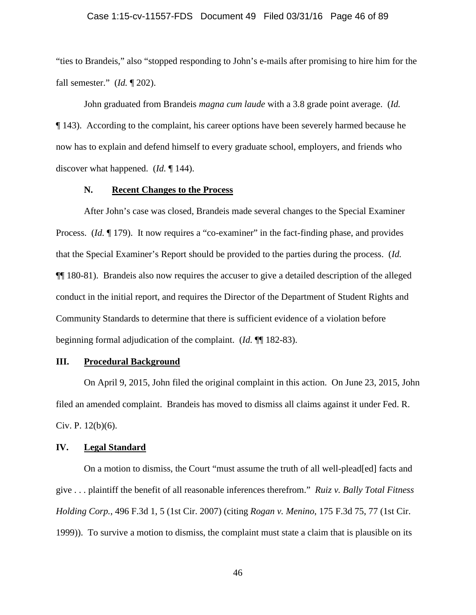#### Case 1:15-cv-11557-FDS Document 49 Filed 03/31/16 Page 46 of 89

"ties to Brandeis," also "stopped responding to John's e-mails after promising to hire him for the fall semester." (*Id.* ¶ 202).

John graduated from Brandeis *magna cum laude* with a 3.8 grade point average. (*Id.* ¶ 143). According to the complaint, his career options have been severely harmed because he now has to explain and defend himself to every graduate school, employers, and friends who discover what happened. (*Id.* ¶ 144).

## **N. Recent Changes to the Process**

After John's case was closed, Brandeis made several changes to the Special Examiner Process. *(Id.* 179). It now requires a "co-examiner" in the fact-finding phase, and provides that the Special Examiner's Report should be provided to the parties during the process. (*Id.* ¶¶ 180-81). Brandeis also now requires the accuser to give a detailed description of the alleged conduct in the initial report, and requires the Director of the Department of Student Rights and Community Standards to determine that there is sufficient evidence of a violation before beginning formal adjudication of the complaint. (*Id.* ¶¶ 182-83).

## **III. Procedural Background**

On April 9, 2015, John filed the original complaint in this action. On June 23, 2015, John filed an amended complaint. Brandeis has moved to dismiss all claims against it under Fed. R. Civ. P. 12(b)(6).

## **IV. Legal Standard**

On a motion to dismiss, the Court "must assume the truth of all well-plead[ed] facts and give . . . plaintiff the benefit of all reasonable inferences therefrom." *Ruiz v. Bally Total Fitness Holding Corp.*, 496 F.3d 1, 5 (1st Cir. 2007) (citing *Rogan v. Menino*, 175 F.3d 75, 77 (1st Cir. 1999)). To survive a motion to dismiss, the complaint must state a claim that is plausible on its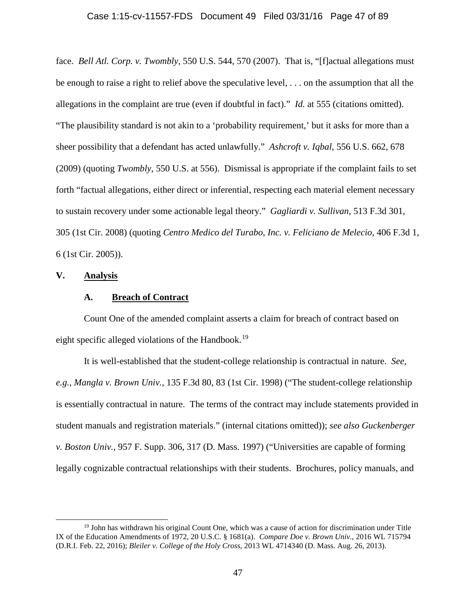### Case 1:15-cv-11557-FDS Document 49 Filed 03/31/16 Page 47 of 89

face. *Bell Atl. Corp. v. Twombly*, 550 U.S. 544, 570 (2007). That is, "[f]actual allegations must be enough to raise a right to relief above the speculative level, . . . on the assumption that all the allegations in the complaint are true (even if doubtful in fact)." *Id.* at 555 (citations omitted). "The plausibility standard is not akin to a 'probability requirement,' but it asks for more than a sheer possibility that a defendant has acted unlawfully." *Ashcroft v. Iqbal*, 556 U.S. 662, 678 (2009) (quoting *Twombly*, 550 U.S. at 556). Dismissal is appropriate if the complaint fails to set forth "factual allegations, either direct or inferential, respecting each material element necessary to sustain recovery under some actionable legal theory." *Gagliardi v. Sullivan*, 513 F.3d 301, 305 (1st Cir. 2008) (quoting *Centro Medico del Turabo*, *Inc. v. Feliciano de Melecio*, 406 F.3d 1, 6 (1st Cir. 2005)).

## **V. Analysis**

## **A. Breach of Contract**

Count One of the amended complaint asserts a claim for breach of contract based on eight specific alleged violations of the Handbook.<sup>19</sup>

It is well-established that the student-college relationship is contractual in nature. *See, e.g.*, *Mangla v. Brown Univ.*, 135 F.3d 80, 83 (1st Cir. 1998) ("The student-college relationship is essentially contractual in nature. The terms of the contract may include statements provided in student manuals and registration materials." (internal citations omitted)); *see also Guckenberger v. Boston Univ.*, 957 F. Supp. 306, 317 (D. Mass. 1997) ("Universities are capable of forming legally cognizable contractual relationships with their students. Brochures, policy manuals, and

<span id="page-46-0"></span> <sup>19</sup> John has withdrawn his original Count One, which was a cause of action for discrimination under Title IX of the Education Amendments of 1972, 20 U.S.C. § 1681(a). *Compare Doe v. Brown Univ.*, 2016 WL 715794 (D.R.I. Feb. 22, 2016); *Bleiler v. College of the Holy Cross*, 2013 WL 4714340 (D. Mass. Aug. 26, 2013).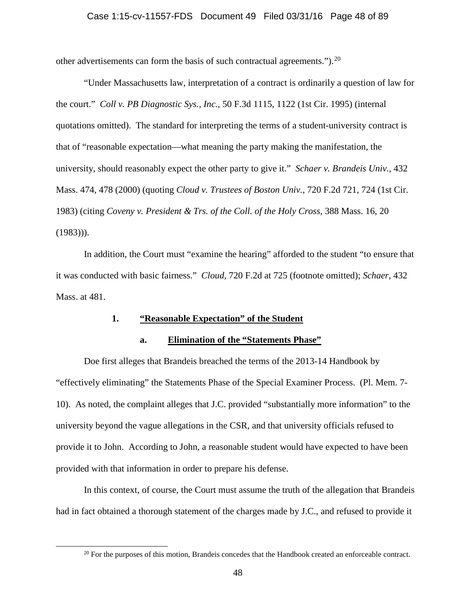## Case 1:15-cv-11557-FDS Document 49 Filed 03/31/16 Page 48 of 89

other advertisements can form the basis of such contractual agreements.").<sup>[20](#page-47-0)</sup>

"Under Massachusetts law, interpretation of a contract is ordinarily a question of law for the court." *Coll v. PB Diagnostic Sys., Inc.*, 50 F.3d 1115, 1122 (1st Cir. 1995) (internal quotations omitted). The standard for interpreting the terms of a student-university contract is that of "reasonable expectation—what meaning the party making the manifestation, the university, should reasonably expect the other party to give it." *Schaer v. Brandeis Univ.*, 432 Mass. 474, 478 (2000) (quoting *Cloud v. Trustees of Boston Univ.*, 720 F.2d 721, 724 (1st Cir. 1983) (citing *Coveny v. President & Trs. of the Coll. of the Holy Cross*, 388 Mass. 16, 20  $(1983))$ .

In addition, the Court must "examine the hearing" afforded to the student "to ensure that it was conducted with basic fairness." *Cloud*, 720 F.2d at 725 (footnote omitted); *Schaer*, 432 Mass. at 481.

## **1. "Reasonable Expectation" of the Student**

## **a. Elimination of the "Statements Phase"**

Doe first alleges that Brandeis breached the terms of the 2013-14 Handbook by "effectively eliminating" the Statements Phase of the Special Examiner Process. (Pl. Mem. 7- 10). As noted, the complaint alleges that J.C. provided "substantially more information" to the university beyond the vague allegations in the CSR, and that university officials refused to provide it to John. According to John, a reasonable student would have expected to have been provided with that information in order to prepare his defense.

In this context, of course, the Court must assume the truth of the allegation that Brandeis had in fact obtained a thorough statement of the charges made by J.C., and refused to provide it

<span id="page-47-0"></span><sup>&</sup>lt;sup>20</sup> For the purposes of this motion, Brandeis concedes that the Handbook created an enforceable contract.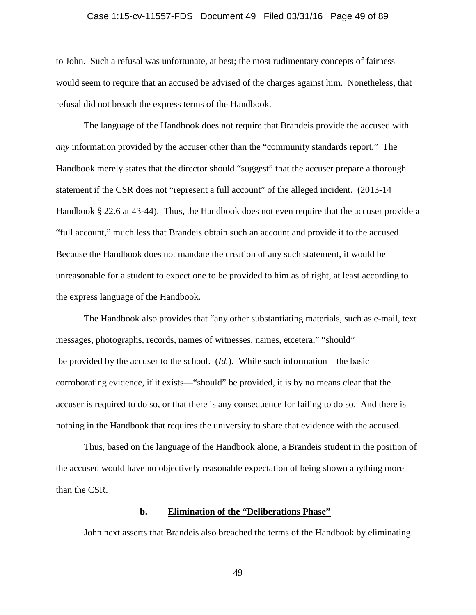# Case 1:15-cv-11557-FDS Document 49 Filed 03/31/16 Page 49 of 89

to John. Such a refusal was unfortunate, at best; the most rudimentary concepts of fairness would seem to require that an accused be advised of the charges against him. Nonetheless, that refusal did not breach the express terms of the Handbook.

The language of the Handbook does not require that Brandeis provide the accused with *any* information provided by the accuser other than the "community standards report." The Handbook merely states that the director should "suggest" that the accuser prepare a thorough statement if the CSR does not "represent a full account" of the alleged incident. (2013-14 Handbook § 22.6 at 43-44). Thus, the Handbook does not even require that the accuser provide a "full account," much less that Brandeis obtain such an account and provide it to the accused. Because the Handbook does not mandate the creation of any such statement, it would be unreasonable for a student to expect one to be provided to him as of right, at least according to the express language of the Handbook.

The Handbook also provides that "any other substantiating materials, such as e-mail, text messages, photographs, records, names of witnesses, names, etcetera," "should" be provided by the accuser to the school. (*Id.*). While such information—the basic corroborating evidence, if it exists—"should" be provided, it is by no means clear that the accuser is required to do so, or that there is any consequence for failing to do so. And there is nothing in the Handbook that requires the university to share that evidence with the accused.

Thus, based on the language of the Handbook alone, a Brandeis student in the position of the accused would have no objectively reasonable expectation of being shown anything more than the CSR.

## **b. Elimination of the "Deliberations Phase"**

John next asserts that Brandeis also breached the terms of the Handbook by eliminating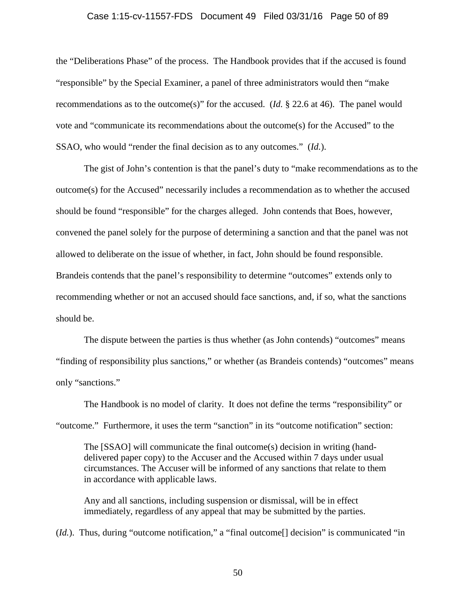## Case 1:15-cv-11557-FDS Document 49 Filed 03/31/16 Page 50 of 89

the "Deliberations Phase" of the process. The Handbook provides that if the accused is found "responsible" by the Special Examiner, a panel of three administrators would then "make recommendations as to the outcome(s)" for the accused. (*Id.* § 22.6 at 46). The panel would vote and "communicate its recommendations about the outcome(s) for the Accused" to the SSAO, who would "render the final decision as to any outcomes." (*Id.*).

The gist of John's contention is that the panel's duty to "make recommendations as to the outcome(s) for the Accused" necessarily includes a recommendation as to whether the accused should be found "responsible" for the charges alleged. John contends that Boes, however, convened the panel solely for the purpose of determining a sanction and that the panel was not allowed to deliberate on the issue of whether, in fact, John should be found responsible. Brandeis contends that the panel's responsibility to determine "outcomes" extends only to recommending whether or not an accused should face sanctions, and, if so, what the sanctions should be.

The dispute between the parties is thus whether (as John contends) "outcomes" means "finding of responsibility plus sanctions," or whether (as Brandeis contends) "outcomes" means only "sanctions."

The Handbook is no model of clarity. It does not define the terms "responsibility" or "outcome." Furthermore, it uses the term "sanction" in its "outcome notification" section:

The [SSAO] will communicate the final outcome(s) decision in writing (handdelivered paper copy) to the Accuser and the Accused within 7 days under usual circumstances. The Accuser will be informed of any sanctions that relate to them in accordance with applicable laws.

Any and all sanctions, including suspension or dismissal, will be in effect immediately, regardless of any appeal that may be submitted by the parties.

(*Id.*). Thus, during "outcome notification," a "final outcome<sup>[]</sup> decision" is communicated "in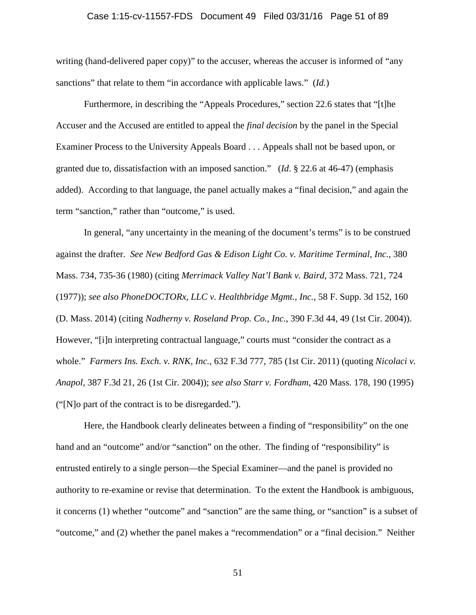## Case 1:15-cv-11557-FDS Document 49 Filed 03/31/16 Page 51 of 89

writing (hand-delivered paper copy)" to the accuser, whereas the accuser is informed of "any sanctions" that relate to them "in accordance with applicable laws." (*Id.*)

Furthermore, in describing the "Appeals Procedures," section 22.6 states that "[t]he Accuser and the Accused are entitled to appeal the *final decision* by the panel in the Special Examiner Process to the University Appeals Board . . . Appeals shall not be based upon, or granted due to, dissatisfaction with an imposed sanction." (*Id*. § 22.6 at 46-47) (emphasis added). According to that language, the panel actually makes a "final decision," and again the term "sanction," rather than "outcome," is used.

In general, "any uncertainty in the meaning of the document's terms" is to be construed against the drafter. *See New Bedford Gas & Edison Light Co. v. Maritime Terminal, Inc.*, 380 Mass. 734, 735-36 (1980) (citing *Merrimack Valley Nat'l Bank v. Baird*, 372 Mass. 721, 724 (1977)); *see also PhoneDOCTORx, LLC v. Healthbridge Mgmt., Inc.*, 58 F. Supp. 3d 152, 160 (D. Mass. 2014) (citing *Nadherny v. Roseland Prop. Co., Inc.*, 390 F.3d 44, 49 (1st Cir. 2004)). However, "[i]n interpreting contractual language," courts must "consider the contract as a whole." *Farmers Ins. Exch. v. RNK, Inc.*, 632 F.3d 777, 785 (1st Cir. 2011) (quoting *Nicolaci v. Anapol*, 387 F.3d 21, 26 (1st Cir. 2004)); *see also Starr v. Fordham*, 420 Mass. 178, 190 (1995) ("[N]o part of the contract is to be disregarded.").

Here, the Handbook clearly delineates between a finding of "responsibility" on the one hand and an "outcome" and/or "sanction" on the other. The finding of "responsibility" is entrusted entirely to a single person—the Special Examiner—and the panel is provided no authority to re-examine or revise that determination. To the extent the Handbook is ambiguous, it concerns (1) whether "outcome" and "sanction" are the same thing, or "sanction" is a subset of "outcome," and (2) whether the panel makes a "recommendation" or a "final decision." Neither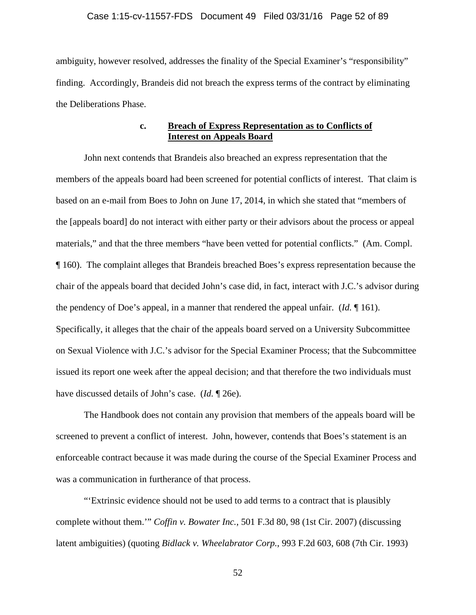## Case 1:15-cv-11557-FDS Document 49 Filed 03/31/16 Page 52 of 89

ambiguity, however resolved, addresses the finality of the Special Examiner's "responsibility" finding. Accordingly, Brandeis did not breach the express terms of the contract by eliminating the Deliberations Phase.

## **c. Breach of Express Representation as to Conflicts of Interest on Appeals Board**

John next contends that Brandeis also breached an express representation that the members of the appeals board had been screened for potential conflicts of interest. That claim is based on an e-mail from Boes to John on June 17, 2014, in which she stated that "members of the [appeals board] do not interact with either party or their advisors about the process or appeal materials," and that the three members "have been vetted for potential conflicts." (Am. Compl. ¶ 160). The complaint alleges that Brandeis breached Boes's express representation because the chair of the appeals board that decided John's case did, in fact, interact with J.C.'s advisor during the pendency of Doe's appeal, in a manner that rendered the appeal unfair. (*Id.* ¶ 161). Specifically, it alleges that the chair of the appeals board served on a University Subcommittee on Sexual Violence with J.C.'s advisor for the Special Examiner Process; that the Subcommittee issued its report one week after the appeal decision; and that therefore the two individuals must have discussed details of John's case. (*Id.* ¶ 26e).

The Handbook does not contain any provision that members of the appeals board will be screened to prevent a conflict of interest. John, however, contends that Boes's statement is an enforceable contract because it was made during the course of the Special Examiner Process and was a communication in furtherance of that process.

"'Extrinsic evidence should not be used to add terms to a contract that is plausibly complete without them.'" *Coffin v. Bowater Inc.*, 501 F.3d 80, 98 (1st Cir. 2007) (discussing latent ambiguities) (quoting *Bidlack v. Wheelabrator Corp.*, 993 F.2d 603, 608 (7th Cir. 1993)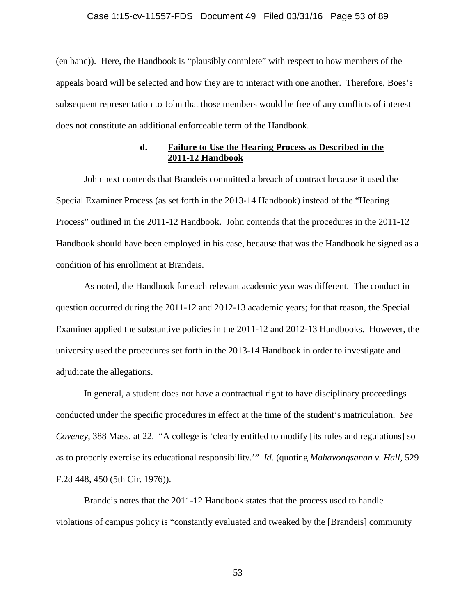## Case 1:15-cv-11557-FDS Document 49 Filed 03/31/16 Page 53 of 89

(en banc)). Here, the Handbook is "plausibly complete" with respect to how members of the appeals board will be selected and how they are to interact with one another. Therefore, Boes's subsequent representation to John that those members would be free of any conflicts of interest does not constitute an additional enforceable term of the Handbook.

## **d. Failure to Use the Hearing Process as Described in the 2011-12 Handbook**

John next contends that Brandeis committed a breach of contract because it used the Special Examiner Process (as set forth in the 2013-14 Handbook) instead of the "Hearing Process" outlined in the 2011-12 Handbook. John contends that the procedures in the 2011-12 Handbook should have been employed in his case, because that was the Handbook he signed as a condition of his enrollment at Brandeis.

As noted, the Handbook for each relevant academic year was different. The conduct in question occurred during the 2011-12 and 2012-13 academic years; for that reason, the Special Examiner applied the substantive policies in the 2011-12 and 2012-13 Handbooks. However, the university used the procedures set forth in the 2013-14 Handbook in order to investigate and adjudicate the allegations.

In general, a student does not have a contractual right to have disciplinary proceedings conducted under the specific procedures in effect at the time of the student's matriculation. *See Coveney*, 388 Mass. at 22. "A college is 'clearly entitled to modify [its rules and regulations] so as to properly exercise its educational responsibility.'" *Id.* (quoting *Mahavongsanan v. Hall*, 529 F.2d 448, 450 (5th Cir. 1976)).

Brandeis notes that the 2011-12 Handbook states that the process used to handle violations of campus policy is "constantly evaluated and tweaked by the [Brandeis] community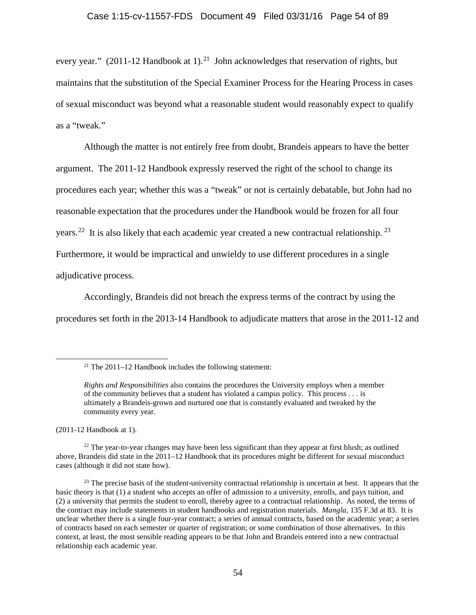every year."  $(2011-12 \text{ Handbook at } 1)$ .<sup>21</sup> John acknowledges that reservation of rights, but maintains that the substitution of the Special Examiner Process for the Hearing Process in cases of sexual misconduct was beyond what a reasonable student would reasonably expect to qualify as a "tweak."

Although the matter is not entirely free from doubt, Brandeis appears to have the better argument. The 2011-12 Handbook expressly reserved the right of the school to change its procedures each year; whether this was a "tweak" or not is certainly debatable, but John had no reasonable expectation that the procedures under the Handbook would be frozen for all four years.<sup>22</sup> It is also likely that each academic year created a new contractual relationship.<sup>23</sup> Furthermore, it would be impractical and unwieldy to use different procedures in a single adjudicative process.

Accordingly, Brandeis did not breach the express terms of the contract by using the procedures set forth in the 2013-14 Handbook to adjudicate matters that arose in the 2011-12 and

(2011-12 Handbook at 1).

<span id="page-53-0"></span><sup>&</sup>lt;sup>21</sup> The 2011–12 Handbook includes the following statement:

*Rights and Responsibilities* also contains the procedures the University employs when a member of the community believes that a student has violated a campus policy. This process . . . is ultimately a Brandeis-grown and nurtured one that is constantly evaluated and tweaked by the community every year.

<span id="page-53-1"></span> $22$  The year-to-year changes may have been less significant than they appear at first blush; as outlined above, Brandeis did state in the 2011–12 Handbook that its procedures might be different for sexual misconduct cases (although it did not state how).

<span id="page-53-2"></span><sup>&</sup>lt;sup>23</sup> The precise basis of the student-university contractual relationship is uncertain at best. It appears that the basic theory is that (1) a student who accepts an offer of admission to a university, enrolls, and pays tuition, and (2) a university that permits the student to enroll, thereby agree to a contractual relationship. As noted, the terms of the contract may include statements in student handbooks and registration materials. *Mangla*, 135 F.3d at 83. It is unclear whether there is a single four-year contract; a series of annual contracts, based on the academic year; a series of contracts based on each semester or quarter of registration; or some combination of those alternatives. In this context, at least, the most sensible reading appears to be that John and Brandeis entered into a new contractual relationship each academic year.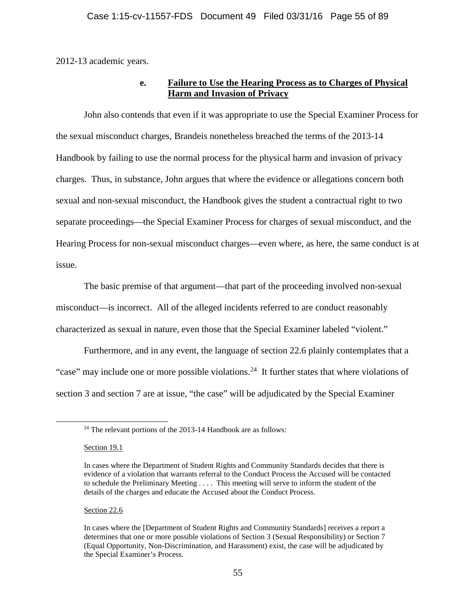2012-13 academic years.

## **e. Failure to Use the Hearing Process as to Charges of Physical Harm and Invasion of Privacy**

John also contends that even if it was appropriate to use the Special Examiner Process for the sexual misconduct charges, Brandeis nonetheless breached the terms of the 2013-14 Handbook by failing to use the normal process for the physical harm and invasion of privacy charges. Thus, in substance, John argues that where the evidence or allegations concern both sexual and non-sexual misconduct, the Handbook gives the student a contractual right to two separate proceedings—the Special Examiner Process for charges of sexual misconduct, and the Hearing Process for non-sexual misconduct charges—even where, as here, the same conduct is at issue.

The basic premise of that argument—that part of the proceeding involved non-sexual misconduct—is incorrect. All of the alleged incidents referred to are conduct reasonably characterized as sexual in nature, even those that the Special Examiner labeled "violent."

Furthermore, and in any event, the language of section 22.6 plainly contemplates that a "case" may include one or more possible violations.<sup>24</sup> It further states that where violations of section 3 and section 7 are at issue, "the case" will be adjudicated by the Special Examiner

Section 19.1

Section 22.6

<span id="page-54-0"></span> $24$  The relevant portions of the 2013-14 Handbook are as follows:

In cases where the Department of Student Rights and Community Standards decides that there is evidence of a violation that warrants referral to the Conduct Process the Accused will be contacted to schedule the Preliminary Meeting . . . . This meeting will serve to inform the student of the details of the charges and educate the Accused about the Conduct Process.

In cases where the [Department of Student Rights and Community Standards] receives a report a determines that one or more possible violations of Section 3 (Sexual Responsibility) or Section 7 (Equal Opportunity, Non-Discrimination, and Harassment) exist, the case will be adjudicated by the Special Examiner's Process.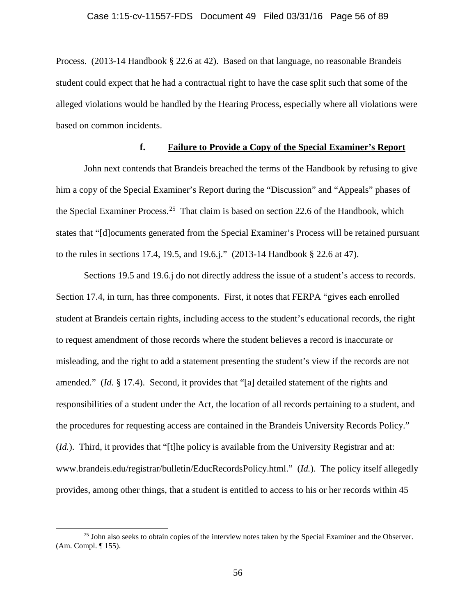Process. (2013-14 Handbook § 22.6 at 42). Based on that language, no reasonable Brandeis student could expect that he had a contractual right to have the case split such that some of the alleged violations would be handled by the Hearing Process, especially where all violations were based on common incidents.

## **f. Failure to Provide a Copy of the Special Examiner's Report**

John next contends that Brandeis breached the terms of the Handbook by refusing to give him a copy of the Special Examiner's Report during the "Discussion" and "Appeals" phases of the Special Examiner Process.<sup>[25](#page-55-0)</sup> That claim is based on section 22.6 of the Handbook, which states that "[d]ocuments generated from the Special Examiner's Process will be retained pursuant to the rules in sections 17.4, 19.5, and 19.6.j." (2013-14 Handbook § 22.6 at 47).

Sections 19.5 and 19.6.j do not directly address the issue of a student's access to records. Section 17.4, in turn, has three components. First, it notes that FERPA "gives each enrolled student at Brandeis certain rights, including access to the student's educational records, the right to request amendment of those records where the student believes a record is inaccurate or misleading, and the right to add a statement presenting the student's view if the records are not amended." (*Id.* § 17.4). Second, it provides that "[a] detailed statement of the rights and responsibilities of a student under the Act, the location of all records pertaining to a student, and the procedures for requesting access are contained in the Brandeis University Records Policy." (*Id.*). Third, it provides that "[t]he policy is available from the University Registrar and at: www.brandeis.edu/registrar/bulletin/EducRecordsPolicy.html." (*Id.*). The policy itself allegedly provides, among other things, that a student is entitled to access to his or her records within 45

<span id="page-55-0"></span><sup>&</sup>lt;sup>25</sup> John also seeks to obtain copies of the interview notes taken by the Special Examiner and the Observer. (Am. Compl. ¶ 155).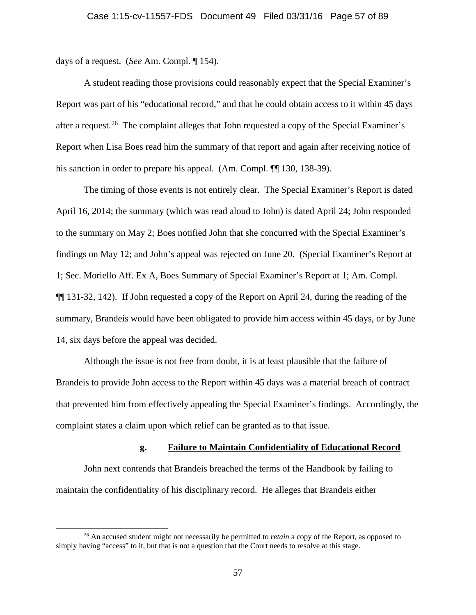days of a request. (*See* Am. Compl. ¶ 154).

A student reading those provisions could reasonably expect that the Special Examiner's Report was part of his "educational record," and that he could obtain access to it within 45 days after a request.<sup>26</sup> The complaint alleges that John requested a copy of the Special Examiner's Report when Lisa Boes read him the summary of that report and again after receiving notice of his sanction in order to prepare his appeal. (Am. Compl.  $\P$  130, 138-39).

The timing of those events is not entirely clear. The Special Examiner's Report is dated April 16, 2014; the summary (which was read aloud to John) is dated April 24; John responded to the summary on May 2; Boes notified John that she concurred with the Special Examiner's findings on May 12; and John's appeal was rejected on June 20. (Special Examiner's Report at 1; Sec. Moriello Aff. Ex A, Boes Summary of Special Examiner's Report at 1; Am. Compl. ¶¶ 131-32, 142). If John requested a copy of the Report on April 24, during the reading of the summary, Brandeis would have been obligated to provide him access within 45 days, or by June 14, six days before the appeal was decided.

Although the issue is not free from doubt, it is at least plausible that the failure of Brandeis to provide John access to the Report within 45 days was a material breach of contract that prevented him from effectively appealing the Special Examiner's findings. Accordingly, the complaint states a claim upon which relief can be granted as to that issue.

#### **g. Failure to Maintain Confidentiality of Educational Record**

John next contends that Brandeis breached the terms of the Handbook by failing to maintain the confidentiality of his disciplinary record. He alleges that Brandeis either

<span id="page-56-0"></span> <sup>26</sup> An accused student might not necessarily be permitted to *retain* a copy of the Report, as opposed to simply having "access" to it, but that is not a question that the Court needs to resolve at this stage.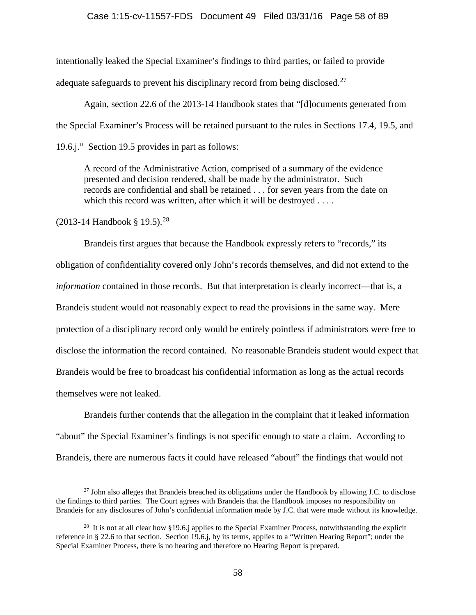## Case 1:15-cv-11557-FDS Document 49 Filed 03/31/16 Page 58 of 89

intentionally leaked the Special Examiner's findings to third parties, or failed to provide adequate safeguards to prevent his disciplinary record from being disclosed.<sup>[27](#page-57-0)</sup>

Again, section 22.6 of the 2013-14 Handbook states that "[d]ocuments generated from the Special Examiner's Process will be retained pursuant to the rules in Sections 17.4, 19.5, and 19.6.j." Section 19.5 provides in part as follows:

A record of the Administrative Action, comprised of a summary of the evidence presented and decision rendered, shall be made by the administrator. Such records are confidential and shall be retained . . . for seven years from the date on which this record was written, after which it will be destroyed . . . .

(2013-14 Handbook § 19.5). [28](#page-57-1)

Brandeis first argues that because the Handbook expressly refers to "records," its obligation of confidentiality covered only John's records themselves, and did not extend to the *information* contained in those records. But that interpretation is clearly incorrect—that is, a Brandeis student would not reasonably expect to read the provisions in the same way. Mere protection of a disciplinary record only would be entirely pointless if administrators were free to disclose the information the record contained. No reasonable Brandeis student would expect that Brandeis would be free to broadcast his confidential information as long as the actual records themselves were not leaked.

Brandeis further contends that the allegation in the complaint that it leaked information "about" the Special Examiner's findings is not specific enough to state a claim. According to Brandeis, there are numerous facts it could have released "about" the findings that would not

<span id="page-57-0"></span> $^{27}$  John also alleges that Brandeis breached its obligations under the Handbook by allowing J.C. to disclose the findings to third parties. The Court agrees with Brandeis that the Handbook imposes no responsibility on Brandeis for any disclosures of John's confidential information made by J.C. that were made without its knowledge.

<span id="page-57-1"></span><sup>&</sup>lt;sup>28</sup> It is not at all clear how §19.6.j applies to the Special Examiner Process, notwithstanding the explicit reference in § 22.6 to that section. Section 19.6.j, by its terms, applies to a "Written Hearing Report"; under the Special Examiner Process, there is no hearing and therefore no Hearing Report is prepared.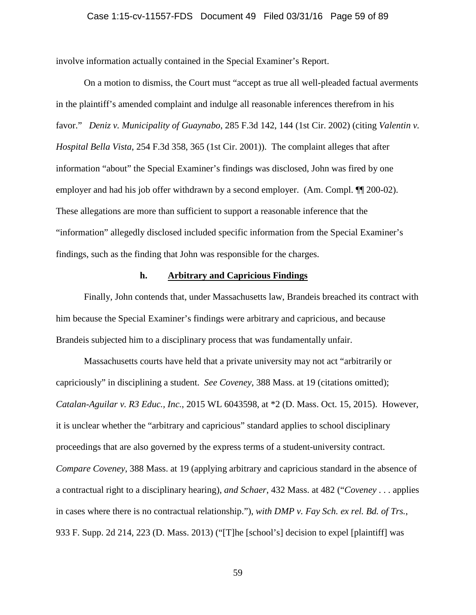## Case 1:15-cv-11557-FDS Document 49 Filed 03/31/16 Page 59 of 89

involve information actually contained in the Special Examiner's Report.

On a motion to dismiss, the Court must "accept as true all well-pleaded factual averments in the plaintiff's amended complaint and indulge all reasonable inferences therefrom in his favor." *Deniz v. Municipality of Guaynabo*, 285 F.3d 142, 144 (1st Cir. 2002) (citing *Valentin v. Hospital Bella Vista*, 254 F.3d 358, 365 (1st Cir. 2001)). The complaint alleges that after information "about" the Special Examiner's findings was disclosed, John was fired by one employer and had his job offer withdrawn by a second employer. (Am. Compl.  $\P$  200-02). These allegations are more than sufficient to support a reasonable inference that the "information" allegedly disclosed included specific information from the Special Examiner's findings, such as the finding that John was responsible for the charges.

## **h. Arbitrary and Capricious Findings**

Finally, John contends that, under Massachusetts law, Brandeis breached its contract with him because the Special Examiner's findings were arbitrary and capricious, and because Brandeis subjected him to a disciplinary process that was fundamentally unfair.

Massachusetts courts have held that a private university may not act "arbitrarily or capriciously" in disciplining a student. *See Coveney*, 388 Mass. at 19 (citations omitted); *Catalan-Aguilar v. R3 Educ., Inc.*, 2015 WL 6043598, at \*2 (D. Mass. Oct. 15, 2015). However, it is unclear whether the "arbitrary and capricious" standard applies to school disciplinary proceedings that are also governed by the express terms of a student-university contract. *Compare Coveney*, 388 Mass. at 19 (applying arbitrary and capricious standard in the absence of a contractual right to a disciplinary hearing), *and Schaer*, 432 Mass. at 482 ("*Coveney* . . . applies in cases where there is no contractual relationship."), *with DMP v. Fay Sch. ex rel. Bd. of Trs.*, 933 F. Supp. 2d 214, 223 (D. Mass. 2013) ("[T]he [school's] decision to expel [plaintiff] was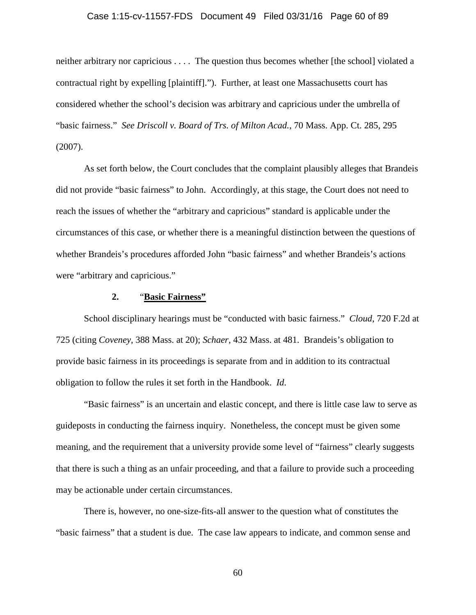## Case 1:15-cv-11557-FDS Document 49 Filed 03/31/16 Page 60 of 89

neither arbitrary nor capricious . . . . The question thus becomes whether [the school] violated a contractual right by expelling [plaintiff]."). Further, at least one Massachusetts court has considered whether the school's decision was arbitrary and capricious under the umbrella of "basic fairness." *See Driscoll v. Board of Trs. of Milton Acad.*, 70 Mass. App. Ct. 285, 295 (2007).

As set forth below, the Court concludes that the complaint plausibly alleges that Brandeis did not provide "basic fairness" to John. Accordingly, at this stage, the Court does not need to reach the issues of whether the "arbitrary and capricious" standard is applicable under the circumstances of this case, or whether there is a meaningful distinction between the questions of whether Brandeis's procedures afforded John "basic fairness" and whether Brandeis's actions were "arbitrary and capricious."

## **2.** "**Basic Fairness"**

School disciplinary hearings must be "conducted with basic fairness." *Cloud*, 720 F.2d at 725 (citing *Coveney*, 388 Mass. at 20); *Schaer*, 432 Mass. at 481. Brandeis's obligation to provide basic fairness in its proceedings is separate from and in addition to its contractual obligation to follow the rules it set forth in the Handbook. *Id*.

"Basic fairness" is an uncertain and elastic concept, and there is little case law to serve as guideposts in conducting the fairness inquiry. Nonetheless, the concept must be given some meaning, and the requirement that a university provide some level of "fairness" clearly suggests that there is such a thing as an unfair proceeding, and that a failure to provide such a proceeding may be actionable under certain circumstances.

There is, however, no one-size-fits-all answer to the question what of constitutes the "basic fairness" that a student is due. The case law appears to indicate, and common sense and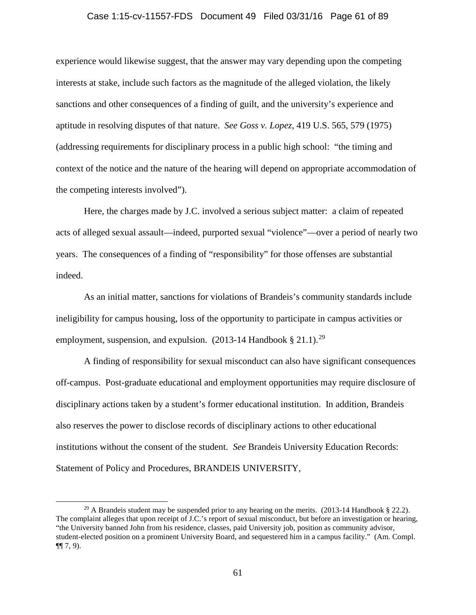#### Case 1:15-cv-11557-FDS Document 49 Filed 03/31/16 Page 61 of 89

experience would likewise suggest, that the answer may vary depending upon the competing interests at stake, include such factors as the magnitude of the alleged violation, the likely sanctions and other consequences of a finding of guilt, and the university's experience and aptitude in resolving disputes of that nature. *See Goss v. Lopez*, 419 U.S. 565, 579 (1975) (addressing requirements for disciplinary process in a public high school: "the timing and context of the notice and the nature of the hearing will depend on appropriate accommodation of the competing interests involved").

Here, the charges made by J.C. involved a serious subject matter: a claim of repeated acts of alleged sexual assault—indeed, purported sexual "violence"—over a period of nearly two years. The consequences of a finding of "responsibility" for those offenses are substantial indeed.

As an initial matter, sanctions for violations of Brandeis's community standards include ineligibility for campus housing, loss of the opportunity to participate in campus activities or employment, suspension, and expulsion. (2013-14 Handbook  $\S 21.1$ ).<sup>[29](#page-60-0)</sup>

A finding of responsibility for sexual misconduct can also have significant consequences off-campus. Post-graduate educational and employment opportunities may require disclosure of disciplinary actions taken by a student's former educational institution. In addition, Brandeis also reserves the power to disclose records of disciplinary actions to other educational institutions without the consent of the student. *See* Brandeis University Education Records: Statement of Policy and Procedures, BRANDEIS UNIVERSITY,

<span id="page-60-0"></span><sup>&</sup>lt;sup>29</sup> A Brandeis student may be suspended prior to any hearing on the merits. (2013-14 Handbook § 22.2). The complaint alleges that upon receipt of J.C.'s report of sexual misconduct, but before an investigation or hearing, "the University banned John from his residence, classes, paid University job, position as community advisor, student-elected position on a prominent University Board, and sequestered him in a campus facility." (Am. Compl.  $\P\P$  7, 9).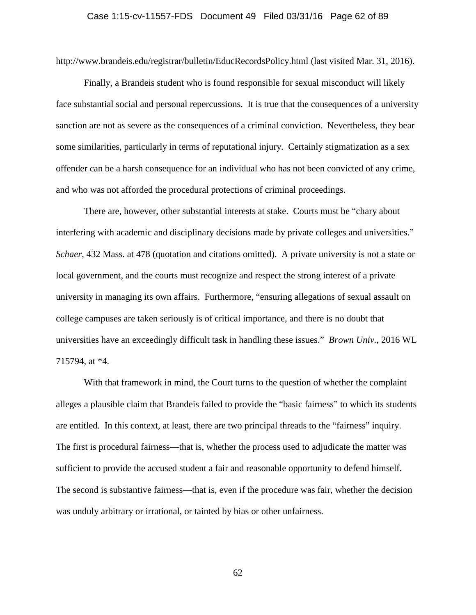## Case 1:15-cv-11557-FDS Document 49 Filed 03/31/16 Page 62 of 89

http://www.brandeis.edu/registrar/bulletin/EducRecordsPolicy.html (last visited Mar. 31, 2016).

Finally, a Brandeis student who is found responsible for sexual misconduct will likely face substantial social and personal repercussions. It is true that the consequences of a university sanction are not as severe as the consequences of a criminal conviction. Nevertheless, they bear some similarities, particularly in terms of reputational injury. Certainly stigmatization as a sex offender can be a harsh consequence for an individual who has not been convicted of any crime, and who was not afforded the procedural protections of criminal proceedings.

There are, however, other substantial interests at stake. Courts must be "chary about interfering with academic and disciplinary decisions made by private colleges and universities." *Schaer*, 432 Mass. at 478 (quotation and citations omitted). A private university is not a state or local government, and the courts must recognize and respect the strong interest of a private university in managing its own affairs. Furthermore, "ensuring allegations of sexual assault on college campuses are taken seriously is of critical importance, and there is no doubt that universities have an exceedingly difficult task in handling these issues." *Brown Univ.*, 2016 WL 715794, at \*4.

With that framework in mind, the Court turns to the question of whether the complaint alleges a plausible claim that Brandeis failed to provide the "basic fairness" to which its students are entitled. In this context, at least, there are two principal threads to the "fairness" inquiry. The first is procedural fairness—that is, whether the process used to adjudicate the matter was sufficient to provide the accused student a fair and reasonable opportunity to defend himself. The second is substantive fairness—that is, even if the procedure was fair, whether the decision was unduly arbitrary or irrational, or tainted by bias or other unfairness.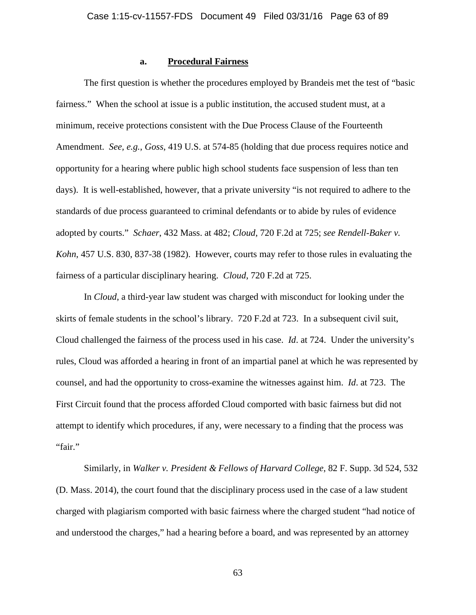## **a. Procedural Fairness**

The first question is whether the procedures employed by Brandeis met the test of "basic fairness." When the school at issue is a public institution, the accused student must, at a minimum, receive protections consistent with the Due Process Clause of the Fourteenth Amendment. *See, e.g.*, *Goss*, 419 U.S. at 574-85 (holding that due process requires notice and opportunity for a hearing where public high school students face suspension of less than ten days). It is well-established, however, that a private university "is not required to adhere to the standards of due process guaranteed to criminal defendants or to abide by rules of evidence adopted by courts." *Schaer*, 432 Mass. at 482; *Cloud*, 720 F.2d at 725; *see Rendell-Baker v. Kohn*, 457 U.S. 830, 837-38 (1982). However, courts may refer to those rules in evaluating the fairness of a particular disciplinary hearing. *Cloud*, 720 F.2d at 725.

In *Cloud*, a third-year law student was charged with misconduct for looking under the skirts of female students in the school's library. 720 F.2d at 723. In a subsequent civil suit, Cloud challenged the fairness of the process used in his case. *Id*. at 724. Under the university's rules, Cloud was afforded a hearing in front of an impartial panel at which he was represented by counsel, and had the opportunity to cross-examine the witnesses against him. *Id*. at 723. The First Circuit found that the process afforded Cloud comported with basic fairness but did not attempt to identify which procedures, if any, were necessary to a finding that the process was "fair."

Similarly, in *Walker v. President & Fellows of Harvard College*, 82 F. Supp. 3d 524, 532 (D. Mass. 2014), the court found that the disciplinary process used in the case of a law student charged with plagiarism comported with basic fairness where the charged student "had notice of and understood the charges," had a hearing before a board, and was represented by an attorney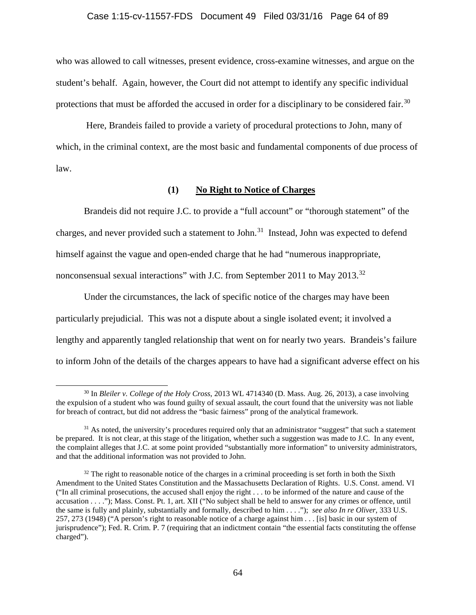## Case 1:15-cv-11557-FDS Document 49 Filed 03/31/16 Page 64 of 89

who was allowed to call witnesses, present evidence, cross-examine witnesses, and argue on the student's behalf. Again, however, the Court did not attempt to identify any specific individual protections that must be afforded the accused in order for a disciplinary to be considered fair.<sup>[30](#page-63-0)</sup>

Here, Brandeis failed to provide a variety of procedural protections to John, many of which, in the criminal context, are the most basic and fundamental components of due process of law.

## **(1) No Right to Notice of Charges**

Brandeis did not require J.C. to provide a "full account" or "thorough statement" of the charges, and never provided such a statement to John.<sup>[31](#page-63-1)</sup> Instead, John was expected to defend himself against the vague and open-ended charge that he had "numerous inappropriate, nonconsensual sexual interactions" with J.C. from September 2011 to May 2013.[32](#page-63-2)

Under the circumstances, the lack of specific notice of the charges may have been particularly prejudicial. This was not a dispute about a single isolated event; it involved a lengthy and apparently tangled relationship that went on for nearly two years. Brandeis's failure to inform John of the details of the charges appears to have had a significant adverse effect on his

<span id="page-63-0"></span> <sup>30</sup> In *Bleiler v. College of the Holy Cross*, 2013 WL 4714340 (D. Mass. Aug. 26, 2013), a case involving the expulsion of a student who was found guilty of sexual assault, the court found that the university was not liable for breach of contract, but did not address the "basic fairness" prong of the analytical framework.

<span id="page-63-1"></span><sup>&</sup>lt;sup>31</sup> As noted, the university's procedures required only that an administrator "suggest" that such a statement be prepared. It is not clear, at this stage of the litigation, whether such a suggestion was made to J.C. In any event, the complaint alleges that J.C. at some point provided "substantially more information" to university administrators, and that the additional information was not provided to John.

<span id="page-63-2"></span> $32$  The right to reasonable notice of the charges in a criminal proceeding is set forth in both the Sixth Amendment to the United States Constitution and the Massachusetts Declaration of Rights. U.S. Const. amend. VI ("In all criminal prosecutions, the accused shall enjoy the right . . . to be informed of the nature and cause of the accusation . . . ."); Mass. Const. Pt. 1, art. XII ("No subject shall be held to answer for any crimes or offence, until the same is fully and plainly, substantially and formally, described to him . . . ."); *see also In re Oliver*, 333 U.S. 257, 273 (1948) ("A person's right to reasonable notice of a charge against him . . . [is] basic in our system of jurisprudence"); Fed. R. Crim. P. 7 (requiring that an indictment contain "the essential facts constituting the offense charged").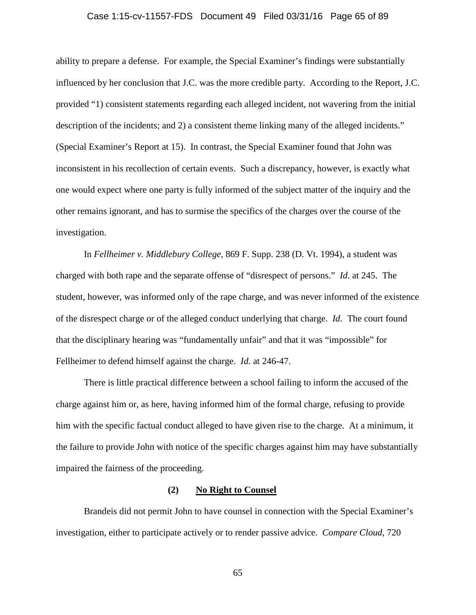## Case 1:15-cv-11557-FDS Document 49 Filed 03/31/16 Page 65 of 89

ability to prepare a defense. For example, the Special Examiner's findings were substantially influenced by her conclusion that J.C. was the more credible party. According to the Report, J.C. provided "1) consistent statements regarding each alleged incident, not wavering from the initial description of the incidents; and 2) a consistent theme linking many of the alleged incidents." (Special Examiner's Report at 15). In contrast, the Special Examiner found that John was inconsistent in his recollection of certain events. Such a discrepancy, however, is exactly what one would expect where one party is fully informed of the subject matter of the inquiry and the other remains ignorant, and has to surmise the specifics of the charges over the course of the investigation.

In *Fellheimer v. Middlebury College*, 869 F. Supp. 238 (D. Vt. 1994), a student was charged with both rape and the separate offense of "disrespect of persons." *Id.* at 245. The student, however, was informed only of the rape charge, and was never informed of the existence of the disrespect charge or of the alleged conduct underlying that charge. *Id.* The court found that the disciplinary hearing was "fundamentally unfair" and that it was "impossible" for Fellheimer to defend himself against the charge. *Id.* at 246-47.

There is little practical difference between a school failing to inform the accused of the charge against him or, as here, having informed him of the formal charge, refusing to provide him with the specific factual conduct alleged to have given rise to the charge. At a minimum, it the failure to provide John with notice of the specific charges against him may have substantially impaired the fairness of the proceeding.

### **(2) No Right to Counsel**

Brandeis did not permit John to have counsel in connection with the Special Examiner's investigation, either to participate actively or to render passive advice. *Compare Cloud*, 720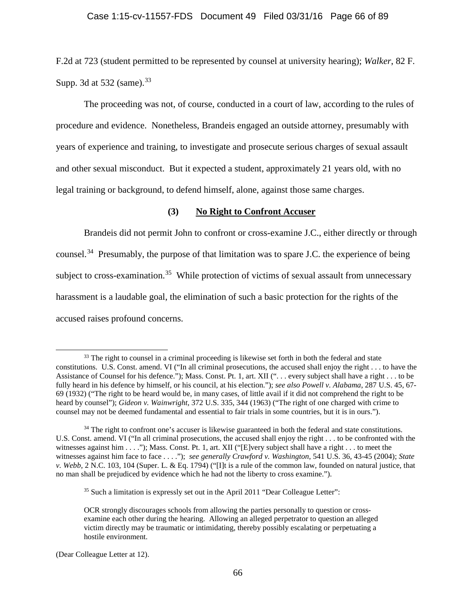F.2d at 723 (student permitted to be represented by counsel at university hearing); *Walker*, 82 F. Supp. 3d at 532 (same).  $33$ 

The proceeding was not, of course, conducted in a court of law, according to the rules of procedure and evidence. Nonetheless, Brandeis engaged an outside attorney, presumably with years of experience and training, to investigate and prosecute serious charges of sexual assault and other sexual misconduct. But it expected a student, approximately 21 years old, with no legal training or background, to defend himself, alone, against those same charges.

## **(3) No Right to Confront Accuser**

Brandeis did not permit John to confront or cross-examine J.C., either directly or through counsel.<sup>[34](#page-65-1)</sup> Presumably, the purpose of that limitation was to spare J.C. the experience of being subject to cross-examination.<sup>35</sup> While protection of victims of sexual assault from unnecessary harassment is a laudable goal, the elimination of such a basic protection for the rights of the accused raises profound concerns.

<span id="page-65-0"></span><sup>&</sup>lt;sup>33</sup> The right to counsel in a criminal proceeding is likewise set forth in both the federal and state constitutions. U.S. Const. amend. VI ("In all criminal prosecutions, the accused shall enjoy the right . . . to have the Assistance of Counsel for his defence."); Mass. Const. Pt. 1, art. XII ("... every subject shall have a right ... to be fully heard in his defence by himself, or his council, at his election."); *see also Powell v. Alabama*, 287 U.S. 45, 67- 69 (1932) ("The right to be heard would be, in many cases, of little avail if it did not comprehend the right to be heard by counsel"); *Gideon v. Wainwright*, 372 U.S. 335, 344 (1963) ("The right of one charged with crime to counsel may not be deemed fundamental and essential to fair trials in some countries, but it is in ours.").

<span id="page-65-1"></span><sup>&</sup>lt;sup>34</sup> The right to confront one's accuser is likewise guaranteed in both the federal and state constitutions. U.S. Const. amend. VI ("In all criminal prosecutions, the accused shall enjoy the right . . . to be confronted with the witnesses against him . . . ."); Mass. Const. Pt. 1, art. XII ("[E]very subject shall have a right . . . to meet the witnesses against him face to face . . . ."); *see generally Crawford v. Washington*, 541 U.S. 36, 43-45 (2004); *State v. Webb,* 2 N.C. 103, 104 (Super. L. & Eq. 1794) ("[I]t is a rule of the common law, founded on natural justice, that no man shall be prejudiced by evidence which he had not the liberty to cross examine.").

<span id="page-65-2"></span> $35$  Such a limitation is expressly set out in the April 2011 "Dear Colleague Letter":

OCR strongly discourages schools from allowing the parties personally to question or crossexamine each other during the hearing. Allowing an alleged perpetrator to question an alleged victim directly may be traumatic or intimidating, thereby possibly escalating or perpetuating a hostile environment.

<sup>(</sup>Dear Colleague Letter at 12).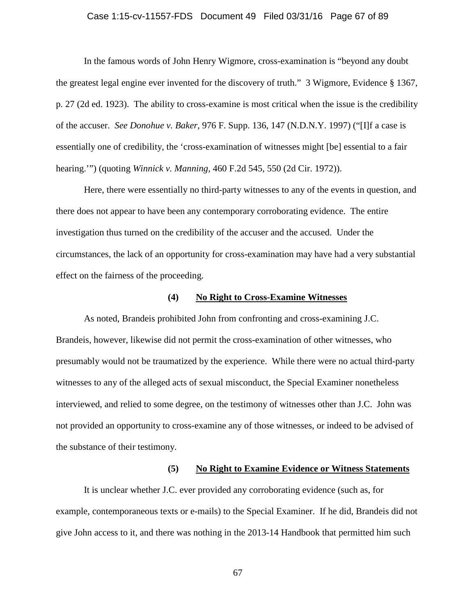## Case 1:15-cv-11557-FDS Document 49 Filed 03/31/16 Page 67 of 89

In the famous words of John Henry Wigmore, cross-examination is "beyond any doubt the greatest legal engine ever invented for the discovery of truth." 3 Wigmore, Evidence § 1367, p. 27 (2d ed. 1923). The ability to cross-examine is most critical when the issue is the credibility of the accuser. *See Donohue v. Baker*, 976 F. Supp. 136, 147 (N.D.N.Y. 1997) ("[I]f a case is essentially one of credibility, the 'cross-examination of witnesses might [be] essential to a fair hearing.'") (quoting *Winnick v. Manning*, 460 F.2d 545, 550 (2d Cir. 1972)).

Here, there were essentially no third-party witnesses to any of the events in question, and there does not appear to have been any contemporary corroborating evidence. The entire investigation thus turned on the credibility of the accuser and the accused. Under the circumstances, the lack of an opportunity for cross-examination may have had a very substantial effect on the fairness of the proceeding.

### **(4) No Right to Cross-Examine Witnesses**

As noted, Brandeis prohibited John from confronting and cross-examining J.C. Brandeis, however, likewise did not permit the cross-examination of other witnesses, who presumably would not be traumatized by the experience. While there were no actual third-party witnesses to any of the alleged acts of sexual misconduct, the Special Examiner nonetheless interviewed, and relied to some degree, on the testimony of witnesses other than J.C. John was not provided an opportunity to cross-examine any of those witnesses, or indeed to be advised of the substance of their testimony.

#### **(5) No Right to Examine Evidence or Witness Statements**

It is unclear whether J.C. ever provided any corroborating evidence (such as, for example, contemporaneous texts or e-mails) to the Special Examiner. If he did, Brandeis did not give John access to it, and there was nothing in the 2013-14 Handbook that permitted him such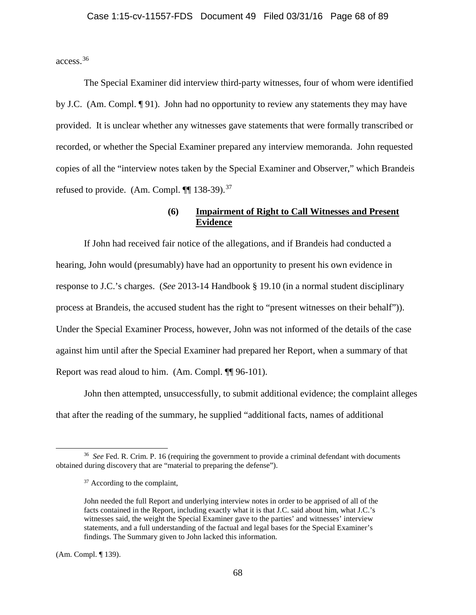access.[36](#page-67-0)

The Special Examiner did interview third-party witnesses, four of whom were identified by J.C. (Am. Compl. ¶ 91). John had no opportunity to review any statements they may have provided. It is unclear whether any witnesses gave statements that were formally transcribed or recorded, or whether the Special Examiner prepared any interview memoranda. John requested copies of all the "interview notes taken by the Special Examiner and Observer," which Brandeis refused to provide. (Am. Compl.  $\P$ [138-39).<sup>37</sup>

# **(6) Impairment of Right to Call Witnesses and Present Evidence**

If John had received fair notice of the allegations, and if Brandeis had conducted a hearing, John would (presumably) have had an opportunity to present his own evidence in response to J.C.'s charges. (*See* 2013-14 Handbook § 19.10 (in a normal student disciplinary process at Brandeis, the accused student has the right to "present witnesses on their behalf")). Under the Special Examiner Process, however, John was not informed of the details of the case against him until after the Special Examiner had prepared her Report, when a summary of that Report was read aloud to him. (Am. Compl. ¶¶ 96-101).

John then attempted, unsuccessfully, to submit additional evidence; the complaint alleges that after the reading of the summary, he supplied "additional facts, names of additional

(Am. Compl. ¶ 139).

<span id="page-67-1"></span><span id="page-67-0"></span> <sup>36</sup> *See* Fed. R. Crim. P. 16 (requiring the government to provide a criminal defendant with documents obtained during discovery that are "material to preparing the defense").

<sup>&</sup>lt;sup>37</sup> According to the complaint,

John needed the full Report and underlying interview notes in order to be apprised of all of the facts contained in the Report, including exactly what it is that J.C. said about him, what J.C.'s witnesses said, the weight the Special Examiner gave to the parties' and witnesses' interview statements, and a full understanding of the factual and legal bases for the Special Examiner's findings. The Summary given to John lacked this information.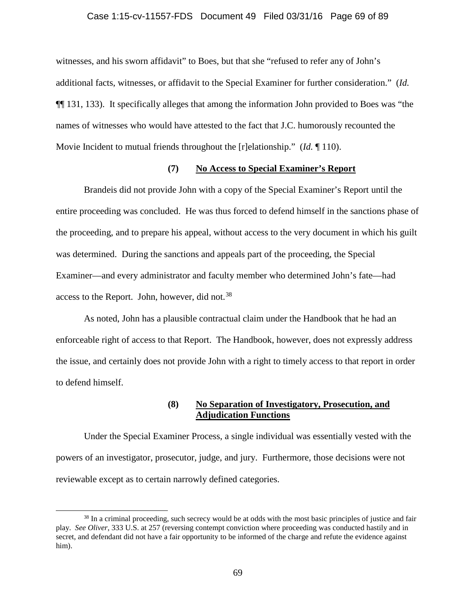#### Case 1:15-cv-11557-FDS Document 49 Filed 03/31/16 Page 69 of 89

witnesses, and his sworn affidavit" to Boes, but that she "refused to refer any of John's additional facts, witnesses, or affidavit to the Special Examiner for further consideration." (*Id.* ¶¶ 131, 133). It specifically alleges that among the information John provided to Boes was "the names of witnesses who would have attested to the fact that J.C. humorously recounted the Movie Incident to mutual friends throughout the [r]elationship." (*Id.* ¶ 110).

## **(7) No Access to Special Examiner's Report**

Brandeis did not provide John with a copy of the Special Examiner's Report until the entire proceeding was concluded. He was thus forced to defend himself in the sanctions phase of the proceeding, and to prepare his appeal, without access to the very document in which his guilt was determined. During the sanctions and appeals part of the proceeding, the Special Examiner—and every administrator and faculty member who determined John's fate—had access to the Report. John, however, did not.<sup>[38](#page-68-0)</sup>

As noted, John has a plausible contractual claim under the Handbook that he had an enforceable right of access to that Report. The Handbook, however, does not expressly address the issue, and certainly does not provide John with a right to timely access to that report in order to defend himself.

## **(8) No Separation of Investigatory, Prosecution, and Adjudication Functions**

Under the Special Examiner Process, a single individual was essentially vested with the powers of an investigator, prosecutor, judge, and jury. Furthermore, those decisions were not reviewable except as to certain narrowly defined categories.

<span id="page-68-0"></span><sup>&</sup>lt;sup>38</sup> In a criminal proceeding, such secrecy would be at odds with the most basic principles of justice and fair play. *See Oliver*, 333 U.S. at 257 (reversing contempt conviction where proceeding was conducted hastily and in secret, and defendant did not have a fair opportunity to be informed of the charge and refute the evidence against him).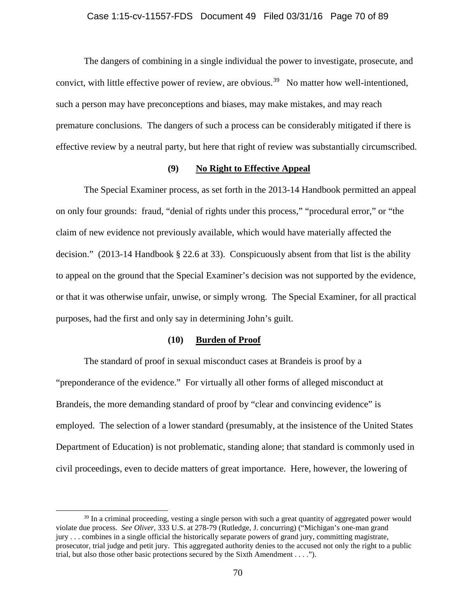#### Case 1:15-cv-11557-FDS Document 49 Filed 03/31/16 Page 70 of 89

The dangers of combining in a single individual the power to investigate, prosecute, and convict, with little effective power of review, are obvious.<sup>39</sup> No matter how well-intentioned, such a person may have preconceptions and biases, may make mistakes, and may reach premature conclusions. The dangers of such a process can be considerably mitigated if there is effective review by a neutral party, but here that right of review was substantially circumscribed.

## **(9) No Right to Effective Appeal**

The Special Examiner process, as set forth in the 2013-14 Handbook permitted an appeal on only four grounds: fraud, "denial of rights under this process," "procedural error," or "the claim of new evidence not previously available, which would have materially affected the decision." (2013-14 Handbook § 22.6 at 33). Conspicuously absent from that list is the ability to appeal on the ground that the Special Examiner's decision was not supported by the evidence, or that it was otherwise unfair, unwise, or simply wrong. The Special Examiner, for all practical purposes, had the first and only say in determining John's guilt.

#### **(10) Burden of Proof**

The standard of proof in sexual misconduct cases at Brandeis is proof by a "preponderance of the evidence." For virtually all other forms of alleged misconduct at Brandeis, the more demanding standard of proof by "clear and convincing evidence" is employed. The selection of a lower standard (presumably, at the insistence of the United States Department of Education) is not problematic, standing alone; that standard is commonly used in civil proceedings, even to decide matters of great importance. Here, however, the lowering of

<span id="page-69-0"></span><sup>&</sup>lt;sup>39</sup> In a criminal proceeding, vesting a single person with such a great quantity of aggregated power would violate due process. *See Oliver*, 333 U.S. at 278-79 (Rutledge, J. concurring) ("Michigan's one-man grand jury . . . combines in a single official the historically separate powers of grand jury, committing magistrate, prosecutor, trial judge and petit jury. This aggregated authority denies to the accused not only the right to a public trial, but also those other basic protections secured by the Sixth Amendment . . . .").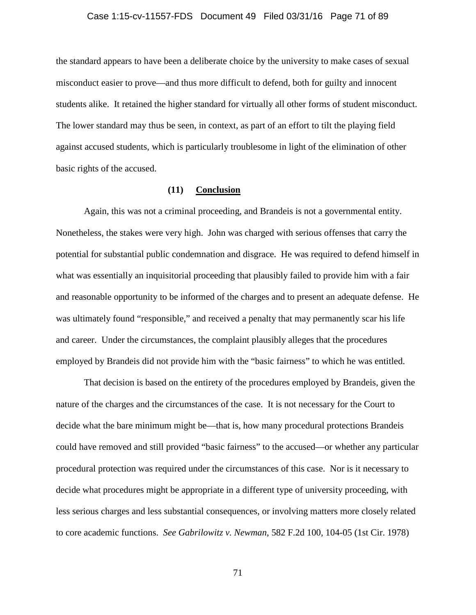## Case 1:15-cv-11557-FDS Document 49 Filed 03/31/16 Page 71 of 89

the standard appears to have been a deliberate choice by the university to make cases of sexual misconduct easier to prove—and thus more difficult to defend, both for guilty and innocent students alike. It retained the higher standard for virtually all other forms of student misconduct. The lower standard may thus be seen, in context, as part of an effort to tilt the playing field against accused students, which is particularly troublesome in light of the elimination of other basic rights of the accused.

## **(11) Conclusion**

Again, this was not a criminal proceeding, and Brandeis is not a governmental entity. Nonetheless, the stakes were very high. John was charged with serious offenses that carry the potential for substantial public condemnation and disgrace. He was required to defend himself in what was essentially an inquisitorial proceeding that plausibly failed to provide him with a fair and reasonable opportunity to be informed of the charges and to present an adequate defense. He was ultimately found "responsible," and received a penalty that may permanently scar his life and career. Under the circumstances, the complaint plausibly alleges that the procedures employed by Brandeis did not provide him with the "basic fairness" to which he was entitled.

That decision is based on the entirety of the procedures employed by Brandeis, given the nature of the charges and the circumstances of the case. It is not necessary for the Court to decide what the bare minimum might be—that is, how many procedural protections Brandeis could have removed and still provided "basic fairness" to the accused—or whether any particular procedural protection was required under the circumstances of this case. Nor is it necessary to decide what procedures might be appropriate in a different type of university proceeding, with less serious charges and less substantial consequences, or involving matters more closely related to core academic functions. *See Gabrilowitz v. Newman*, 582 F.2d 100, 104-05 (1st Cir. 1978)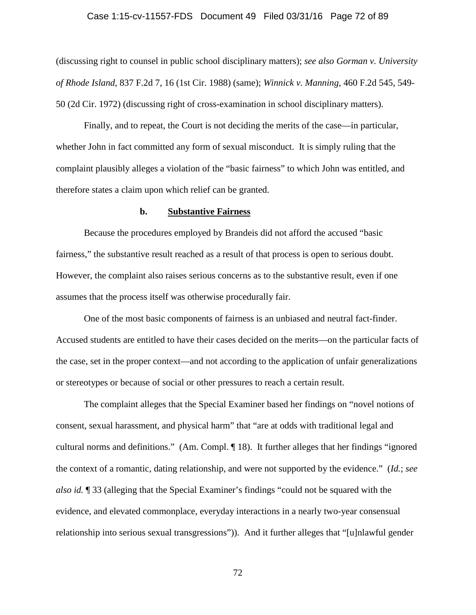# Case 1:15-cv-11557-FDS Document 49 Filed 03/31/16 Page 72 of 89

(discussing right to counsel in public school disciplinary matters); *see also Gorman v. University of Rhode Island*, 837 F.2d 7, 16 (1st Cir. 1988) (same); *Winnick v. Manning*, 460 F.2d 545, 549- 50 (2d Cir. 1972) (discussing right of cross-examination in school disciplinary matters).

Finally, and to repeat, the Court is not deciding the merits of the case—in particular, whether John in fact committed any form of sexual misconduct. It is simply ruling that the complaint plausibly alleges a violation of the "basic fairness" to which John was entitled, and therefore states a claim upon which relief can be granted.

## **b. Substantive Fairness**

Because the procedures employed by Brandeis did not afford the accused "basic fairness," the substantive result reached as a result of that process is open to serious doubt. However, the complaint also raises serious concerns as to the substantive result, even if one assumes that the process itself was otherwise procedurally fair.

One of the most basic components of fairness is an unbiased and neutral fact-finder. Accused students are entitled to have their cases decided on the merits—on the particular facts of the case, set in the proper context—and not according to the application of unfair generalizations or stereotypes or because of social or other pressures to reach a certain result.

The complaint alleges that the Special Examiner based her findings on "novel notions of consent, sexual harassment, and physical harm" that "are at odds with traditional legal and cultural norms and definitions." (Am. Compl. ¶ 18). It further alleges that her findings "ignored the context of a romantic, dating relationship, and were not supported by the evidence." (*Id.*; *see also id.* ¶ 33 (alleging that the Special Examiner's findings "could not be squared with the evidence, and elevated commonplace, everyday interactions in a nearly two-year consensual relationship into serious sexual transgressions")). And it further alleges that "[u]nlawful gender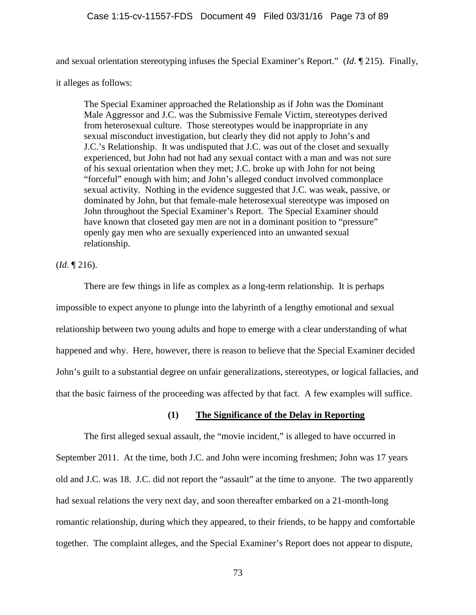and sexual orientation stereotyping infuses the Special Examiner's Report." (*Id*. ¶ 215). Finally,

it alleges as follows:

The Special Examiner approached the Relationship as if John was the Dominant Male Aggressor and J.C. was the Submissive Female Victim, stereotypes derived from heterosexual culture. Those stereotypes would be inappropriate in any sexual misconduct investigation, but clearly they did not apply to John's and J.C.'s Relationship. It was undisputed that J.C. was out of the closet and sexually experienced, but John had not had any sexual contact with a man and was not sure of his sexual orientation when they met; J.C. broke up with John for not being "forceful" enough with him; and John's alleged conduct involved commonplace sexual activity. Nothing in the evidence suggested that J.C. was weak, passive, or dominated by John, but that female-male heterosexual stereotype was imposed on John throughout the Special Examiner's Report. The Special Examiner should have known that closeted gay men are not in a dominant position to "pressure" openly gay men who are sexually experienced into an unwanted sexual relationship.

(*Id*. ¶ 216).

There are few things in life as complex as a long-term relationship. It is perhaps impossible to expect anyone to plunge into the labyrinth of a lengthy emotional and sexual relationship between two young adults and hope to emerge with a clear understanding of what happened and why. Here, however, there is reason to believe that the Special Examiner decided John's guilt to a substantial degree on unfair generalizations, stereotypes, or logical fallacies, and that the basic fairness of the proceeding was affected by that fact. A few examples will suffice.

## **(1) The Significance of the Delay in Reporting**

The first alleged sexual assault, the "movie incident," is alleged to have occurred in September 2011. At the time, both J.C. and John were incoming freshmen; John was 17 years old and J.C. was 18. J.C. did not report the "assault" at the time to anyone. The two apparently had sexual relations the very next day, and soon thereafter embarked on a 21-month-long romantic relationship, during which they appeared, to their friends, to be happy and comfortable together. The complaint alleges, and the Special Examiner's Report does not appear to dispute,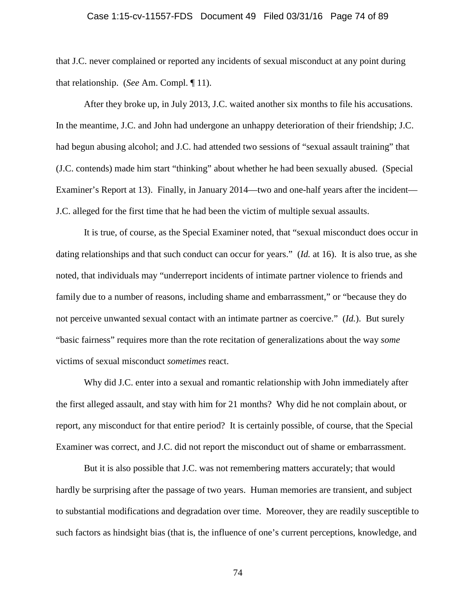#### Case 1:15-cv-11557-FDS Document 49 Filed 03/31/16 Page 74 of 89

that J.C. never complained or reported any incidents of sexual misconduct at any point during that relationship. (*See* Am. Compl. ¶ 11).

After they broke up, in July 2013, J.C. waited another six months to file his accusations. In the meantime, J.C. and John had undergone an unhappy deterioration of their friendship; J.C. had begun abusing alcohol; and J.C. had attended two sessions of "sexual assault training" that (J.C. contends) made him start "thinking" about whether he had been sexually abused. (Special Examiner's Report at 13). Finally, in January 2014—two and one-half years after the incident— J.C. alleged for the first time that he had been the victim of multiple sexual assaults.

It is true, of course, as the Special Examiner noted, that "sexual misconduct does occur in dating relationships and that such conduct can occur for years." (*Id.* at 16). It is also true, as she noted, that individuals may "underreport incidents of intimate partner violence to friends and family due to a number of reasons, including shame and embarrassment," or "because they do not perceive unwanted sexual contact with an intimate partner as coercive." (*Id.*). But surely "basic fairness" requires more than the rote recitation of generalizations about the way *some* victims of sexual misconduct *sometimes* react.

Why did J.C. enter into a sexual and romantic relationship with John immediately after the first alleged assault, and stay with him for 21 months? Why did he not complain about, or report, any misconduct for that entire period? It is certainly possible, of course, that the Special Examiner was correct, and J.C. did not report the misconduct out of shame or embarrassment.

But it is also possible that J.C. was not remembering matters accurately; that would hardly be surprising after the passage of two years. Human memories are transient, and subject to substantial modifications and degradation over time. Moreover, they are readily susceptible to such factors as hindsight bias (that is, the influence of one's current perceptions, knowledge, and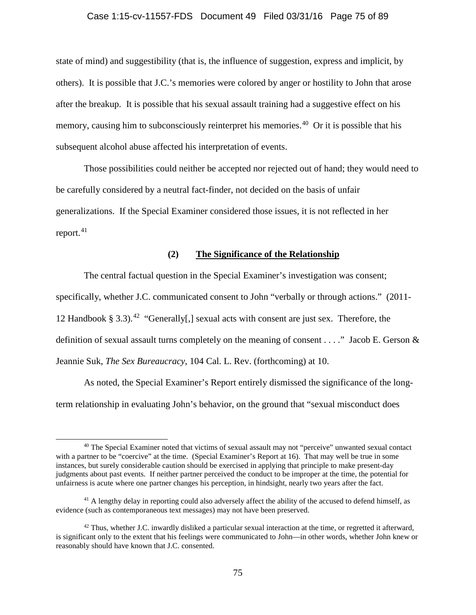#### Case 1:15-cv-11557-FDS Document 49 Filed 03/31/16 Page 75 of 89

state of mind) and suggestibility (that is, the influence of suggestion, express and implicit, by others). It is possible that J.C.'s memories were colored by anger or hostility to John that arose after the breakup. It is possible that his sexual assault training had a suggestive effect on his memory, causing him to subconsciously reinterpret his memories.<sup>40</sup> Or it is possible that his subsequent alcohol abuse affected his interpretation of events.

Those possibilities could neither be accepted nor rejected out of hand; they would need to be carefully considered by a neutral fact-finder, not decided on the basis of unfair generalizations. If the Special Examiner considered those issues, it is not reflected in her report. $41$ 

## **(2) The Significance of the Relationship**

The central factual question in the Special Examiner's investigation was consent; specifically, whether J.C. communicated consent to John "verbally or through actions." (2011- 12 Handbook § 3.3).<sup>42</sup> "Generally[,] sexual acts with consent are just sex. Therefore, the definition of sexual assault turns completely on the meaning of consent  $\dots$ ." Jacob E. Gerson  $\&$ Jeannie Suk, *The Sex Bureaucracy*, 104 Cal. L. Rev. (forthcoming) at 10.

As noted, the Special Examiner's Report entirely dismissed the significance of the longterm relationship in evaluating John's behavior, on the ground that "sexual misconduct does

<span id="page-74-0"></span> <sup>40</sup> The Special Examiner noted that victims of sexual assault may not "perceive" unwanted sexual contact with a partner to be "coercive" at the time. (Special Examiner's Report at 16). That may well be true in some instances, but surely considerable caution should be exercised in applying that principle to make present-day judgments about past events. If neither partner perceived the conduct to be improper at the time, the potential for unfairness is acute where one partner changes his perception, in hindsight, nearly two years after the fact.

<span id="page-74-1"></span><sup>&</sup>lt;sup>41</sup> A lengthy delay in reporting could also adversely affect the ability of the accused to defend himself, as evidence (such as contemporaneous text messages) may not have been preserved.

<span id="page-74-2"></span> $42$  Thus, whether J.C. inwardly disliked a particular sexual interaction at the time, or regretted it afterward, is significant only to the extent that his feelings were communicated to John—in other words, whether John knew or reasonably should have known that J.C. consented.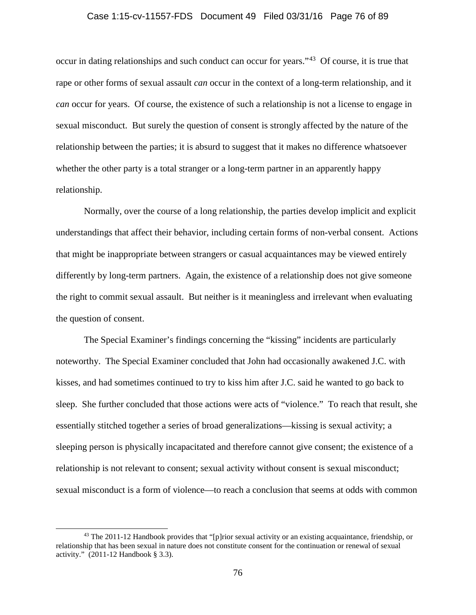#### Case 1:15-cv-11557-FDS Document 49 Filed 03/31/16 Page 76 of 89

occur in dating relationships and such conduct can occur for years."[43](#page-75-0) Of course, it is true that rape or other forms of sexual assault *can* occur in the context of a long-term relationship, and it *can* occur for years. Of course, the existence of such a relationship is not a license to engage in sexual misconduct. But surely the question of consent is strongly affected by the nature of the relationship between the parties; it is absurd to suggest that it makes no difference whatsoever whether the other party is a total stranger or a long-term partner in an apparently happy relationship.

Normally, over the course of a long relationship, the parties develop implicit and explicit understandings that affect their behavior, including certain forms of non-verbal consent. Actions that might be inappropriate between strangers or casual acquaintances may be viewed entirely differently by long-term partners. Again, the existence of a relationship does not give someone the right to commit sexual assault. But neither is it meaningless and irrelevant when evaluating the question of consent.

The Special Examiner's findings concerning the "kissing" incidents are particularly noteworthy. The Special Examiner concluded that John had occasionally awakened J.C. with kisses, and had sometimes continued to try to kiss him after J.C. said he wanted to go back to sleep. She further concluded that those actions were acts of "violence." To reach that result, she essentially stitched together a series of broad generalizations—kissing is sexual activity; a sleeping person is physically incapacitated and therefore cannot give consent; the existence of a relationship is not relevant to consent; sexual activity without consent is sexual misconduct; sexual misconduct is a form of violence—to reach a conclusion that seems at odds with common

<span id="page-75-0"></span><sup>&</sup>lt;sup>43</sup> The 2011-12 Handbook provides that "[p]rior sexual activity or an existing acquaintance, friendship, or relationship that has been sexual in nature does not constitute consent for the continuation or renewal of sexual activity." (2011-12 Handbook § 3.3).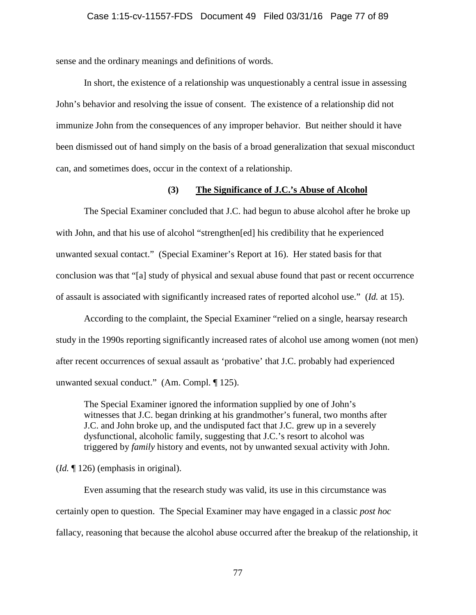sense and the ordinary meanings and definitions of words.

In short, the existence of a relationship was unquestionably a central issue in assessing John's behavior and resolving the issue of consent. The existence of a relationship did not immunize John from the consequences of any improper behavior. But neither should it have been dismissed out of hand simply on the basis of a broad generalization that sexual misconduct can, and sometimes does, occur in the context of a relationship.

#### **(3) The Significance of J.C.'s Abuse of Alcohol**

The Special Examiner concluded that J.C. had begun to abuse alcohol after he broke up with John, and that his use of alcohol "strengthen[ed] his credibility that he experienced unwanted sexual contact." (Special Examiner's Report at 16). Her stated basis for that conclusion was that "[a] study of physical and sexual abuse found that past or recent occurrence of assault is associated with significantly increased rates of reported alcohol use." (*Id.* at 15).

According to the complaint, the Special Examiner "relied on a single, hearsay research study in the 1990s reporting significantly increased rates of alcohol use among women (not men) after recent occurrences of sexual assault as 'probative' that J.C. probably had experienced unwanted sexual conduct." (Am. Compl. ¶ 125).

The Special Examiner ignored the information supplied by one of John's witnesses that J.C. began drinking at his grandmother's funeral, two months after J.C. and John broke up, and the undisputed fact that J.C. grew up in a severely dysfunctional, alcoholic family, suggesting that J.C.'s resort to alcohol was triggered by *family* history and events, not by unwanted sexual activity with John.

(*Id.* ¶ 126) (emphasis in original).

Even assuming that the research study was valid, its use in this circumstance was certainly open to question. The Special Examiner may have engaged in a classic *post hoc* fallacy, reasoning that because the alcohol abuse occurred after the breakup of the relationship, it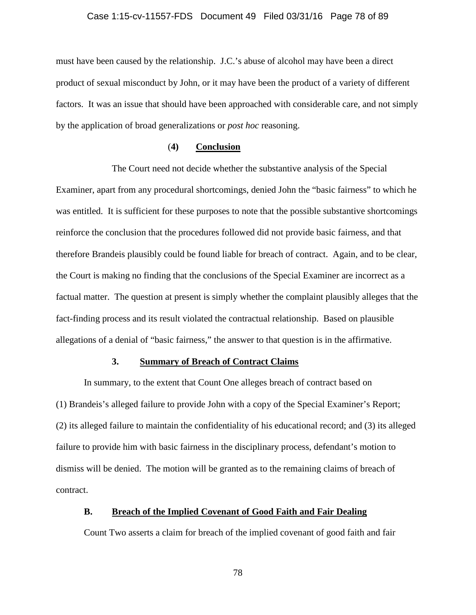# Case 1:15-cv-11557-FDS Document 49 Filed 03/31/16 Page 78 of 89

must have been caused by the relationship. J.C.'s abuse of alcohol may have been a direct product of sexual misconduct by John, or it may have been the product of a variety of different factors. It was an issue that should have been approached with considerable care, and not simply by the application of broad generalizations or *post hoc* reasoning.

## (**4) Conclusion**

The Court need not decide whether the substantive analysis of the Special Examiner, apart from any procedural shortcomings, denied John the "basic fairness" to which he was entitled. It is sufficient for these purposes to note that the possible substantive shortcomings reinforce the conclusion that the procedures followed did not provide basic fairness, and that therefore Brandeis plausibly could be found liable for breach of contract. Again, and to be clear, the Court is making no finding that the conclusions of the Special Examiner are incorrect as a factual matter. The question at present is simply whether the complaint plausibly alleges that the fact-finding process and its result violated the contractual relationship. Based on plausible allegations of a denial of "basic fairness," the answer to that question is in the affirmative.

#### **3. Summary of Breach of Contract Claims**

In summary, to the extent that Count One alleges breach of contract based on (1) Brandeis's alleged failure to provide John with a copy of the Special Examiner's Report; (2) its alleged failure to maintain the confidentiality of his educational record; and (3) its alleged failure to provide him with basic fairness in the disciplinary process, defendant's motion to dismiss will be denied. The motion will be granted as to the remaining claims of breach of contract.

## **B. Breach of the Implied Covenant of Good Faith and Fair Dealing**

Count Two asserts a claim for breach of the implied covenant of good faith and fair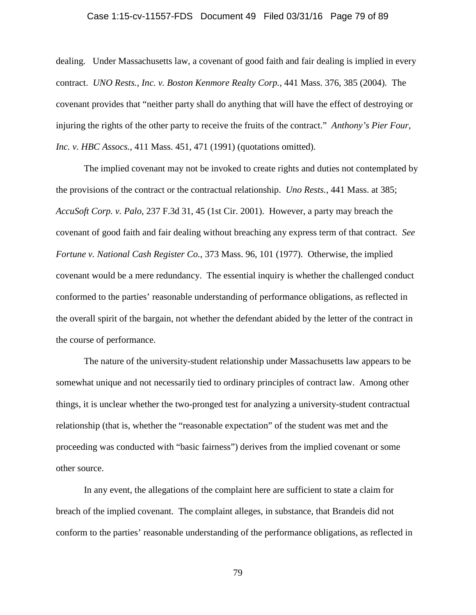#### Case 1:15-cv-11557-FDS Document 49 Filed 03/31/16 Page 79 of 89

dealing. Under Massachusetts law, a covenant of good faith and fair dealing is implied in every contract. *UNO Rests., Inc. v. Boston Kenmore Realty Corp.*, 441 Mass. 376, 385 (2004). The covenant provides that "neither party shall do anything that will have the effect of destroying or injuring the rights of the other party to receive the fruits of the contract." *Anthony's Pier Four, Inc. v. HBC Assocs.*, 411 Mass. 451, 471 (1991) (quotations omitted).

The implied covenant may not be invoked to create rights and duties not contemplated by the provisions of the contract or the contractual relationship. *Uno Rests.*, 441 Mass. at 385; *AccuSoft Corp. v. Palo*, 237 F.3d 31, 45 (1st Cir. 2001). However, a party may breach the covenant of good faith and fair dealing without breaching any express term of that contract. *See Fortune v. National Cash Register Co.*, 373 Mass. 96, 101 (1977). Otherwise, the implied covenant would be a mere redundancy. The essential inquiry is whether the challenged conduct conformed to the parties' reasonable understanding of performance obligations, as reflected in the overall spirit of the bargain, not whether the defendant abided by the letter of the contract in the course of performance.

The nature of the university-student relationship under Massachusetts law appears to be somewhat unique and not necessarily tied to ordinary principles of contract law. Among other things, it is unclear whether the two-pronged test for analyzing a university-student contractual relationship (that is, whether the "reasonable expectation" of the student was met and the proceeding was conducted with "basic fairness") derives from the implied covenant or some other source.

In any event, the allegations of the complaint here are sufficient to state a claim for breach of the implied covenant. The complaint alleges, in substance, that Brandeis did not conform to the parties' reasonable understanding of the performance obligations, as reflected in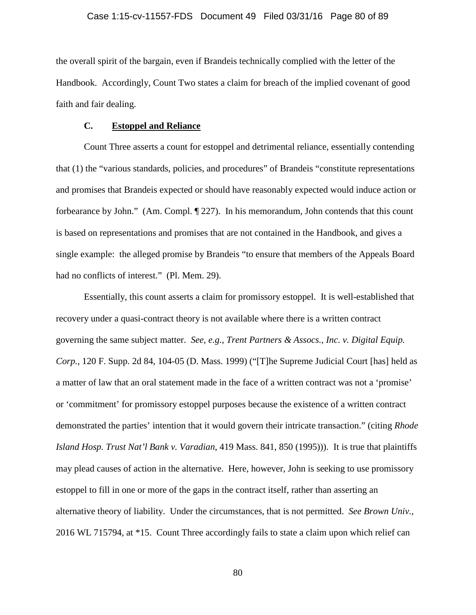the overall spirit of the bargain, even if Brandeis technically complied with the letter of the Handbook. Accordingly, Count Two states a claim for breach of the implied covenant of good faith and fair dealing.

#### **C. Estoppel and Reliance**

Count Three asserts a count for estoppel and detrimental reliance, essentially contending that (1) the "various standards, policies, and procedures" of Brandeis "constitute representations and promises that Brandeis expected or should have reasonably expected would induce action or forbearance by John." (Am. Compl. ¶ 227). In his memorandum, John contends that this count is based on representations and promises that are not contained in the Handbook, and gives a single example: the alleged promise by Brandeis "to ensure that members of the Appeals Board had no conflicts of interest." (Pl. Mem. 29).

Essentially, this count asserts a claim for promissory estoppel. It is well-established that recovery under a quasi-contract theory is not available where there is a written contract governing the same subject matter. *See, e.g.*, *Trent Partners & Assocs., Inc. v. Digital Equip. Corp.*, 120 F. Supp. 2d 84, 104-05 (D. Mass. 1999) ("[T]he Supreme Judicial Court [has] held as a matter of law that an oral statement made in the face of a written contract was not a 'promise' or 'commitment' for promissory estoppel purposes because the existence of a written contract demonstrated the parties' intention that it would govern their intricate transaction." (citing *Rhode Island Hosp. Trust Nat'l Bank v. Varadian*, 419 Mass. 841, 850 (1995))). It is true that plaintiffs may plead causes of action in the alternative. Here, however, John is seeking to use promissory estoppel to fill in one or more of the gaps in the contract itself, rather than asserting an alternative theory of liability. Under the circumstances, that is not permitted. *See Brown Univ.*, 2016 WL 715794, at \*15. Count Three accordingly fails to state a claim upon which relief can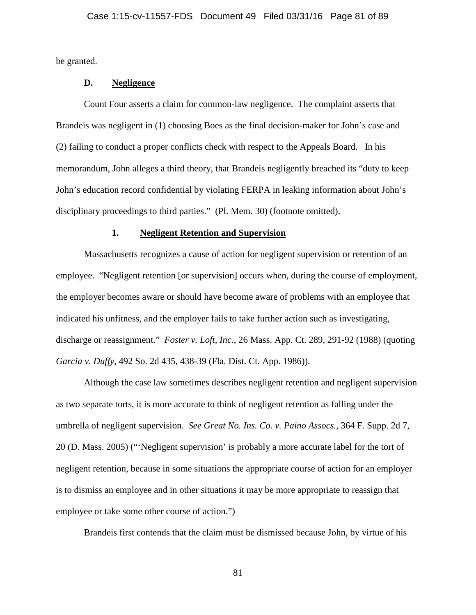be granted.

## **D. Negligence**

Count Four asserts a claim for common-law negligence. The complaint asserts that Brandeis was negligent in (1) choosing Boes as the final decision-maker for John's case and (2) failing to conduct a proper conflicts check with respect to the Appeals Board. In his memorandum, John alleges a third theory, that Brandeis negligently breached its "duty to keep John's education record confidential by violating FERPA in leaking information about John's disciplinary proceedings to third parties." (Pl. Mem. 30) (footnote omitted).

#### **1. Negligent Retention and Supervision**

Massachusetts recognizes a cause of action for negligent supervision or retention of an employee. "Negligent retention [or supervision] occurs when, during the course of employment, the employer becomes aware or should have become aware of problems with an employee that indicated his unfitness, and the employer fails to take further action such as investigating, discharge or reassignment." *Foster v. Loft, Inc.*, 26 Mass. App. Ct. 289, 291-92 (1988) (quoting *Garcia v. Duffy*, 492 So. 2d 435, 438-39 (Fla. Dist. Ct. App. 1986)).

Although the case law sometimes describes negligent retention and negligent supervision as two separate torts, it is more accurate to think of negligent retention as falling under the umbrella of negligent supervision. *See Great No. Ins. Co. v. Paino Assocs.*, 364 F. Supp. 2d 7, 20 (D. Mass. 2005) ("'Negligent supervision' is probably a more accurate label for the tort of negligent retention, because in some situations the appropriate course of action for an employer is to dismiss an employee and in other situations it may be more appropriate to reassign that employee or take some other course of action.")

Brandeis first contends that the claim must be dismissed because John, by virtue of his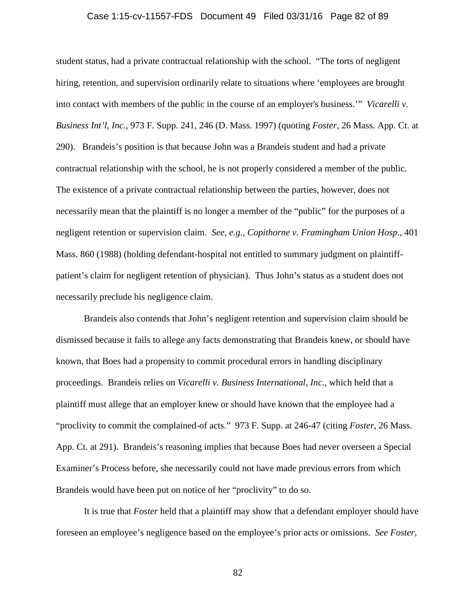#### Case 1:15-cv-11557-FDS Document 49 Filed 03/31/16 Page 82 of 89

student status, had a private contractual relationship with the school. "The torts of negligent hiring, retention, and supervision ordinarily relate to situations where 'employees are brought into contact with members of the public in the course of an employer's business.'" *Vicarelli v. Business Int'l, Inc.*, 973 F. Supp. 241, 246 (D. Mass. 1997) (quoting *Foster*, 26 Mass. App. Ct. at 290). Brandeis's position is that because John was a Brandeis student and had a private contractual relationship with the school, he is not properly considered a member of the public. The existence of a private contractual relationship between the parties, however, does not necessarily mean that the plaintiff is no longer a member of the "public" for the purposes of a negligent retention or supervision claim. *See, e.g.*, *Copithorne v. Framingham Union Hosp.*, 401 Mass. 860 (1988) (holding defendant-hospital not entitled to summary judgment on plaintiffpatient's claim for negligent retention of physician). Thus John's status as a student does not necessarily preclude his negligence claim.

Brandeis also contends that John's negligent retention and supervision claim should be dismissed because it fails to allege any facts demonstrating that Brandeis knew, or should have known, that Boes had a propensity to commit procedural errors in handling disciplinary proceedings. Brandeis relies on *Vicarelli v. Business International, Inc.*, which held that a plaintiff must allege that an employer knew or should have known that the employee had a "proclivity to commit the complained-of acts." 973 F. Supp. at 246-47 (citing *Foster*, 26 Mass. App. Ct. at 291). Brandeis's reasoning implies that because Boes had never overseen a Special Examiner's Process before, she necessarily could not have made previous errors from which Brandeis would have been put on notice of her "proclivity" to do so.

It is true that *Foster* held that a plaintiff may show that a defendant employer should have foreseen an employee's negligence based on the employee's prior acts or omissions. *See Foster*,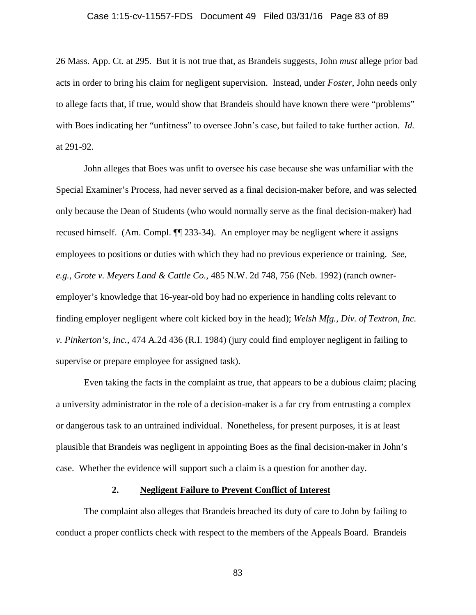#### Case 1:15-cv-11557-FDS Document 49 Filed 03/31/16 Page 83 of 89

26 Mass. App. Ct. at 295. But it is not true that, as Brandeis suggests, John *must* allege prior bad acts in order to bring his claim for negligent supervision. Instead, under *Foster*, John needs only to allege facts that, if true, would show that Brandeis should have known there were "problems" with Boes indicating her "unfitness" to oversee John's case, but failed to take further action. *Id.* at 291-92.

John alleges that Boes was unfit to oversee his case because she was unfamiliar with the Special Examiner's Process, had never served as a final decision-maker before, and was selected only because the Dean of Students (who would normally serve as the final decision-maker) had recused himself. (Am. Compl. ¶¶ 233-34). An employer may be negligent where it assigns employees to positions or duties with which they had no previous experience or training. *See, e.g.*, *Grote v. Meyers Land & Cattle Co.*, 485 N.W. 2d 748, 756 (Neb. 1992) (ranch owneremployer's knowledge that 16-year-old boy had no experience in handling colts relevant to finding employer negligent where colt kicked boy in the head); *Welsh Mfg., Div. of Textron, Inc. v. Pinkerton's, Inc.*, 474 A.2d 436 (R.I. 1984) (jury could find employer negligent in failing to supervise or prepare employee for assigned task).

Even taking the facts in the complaint as true, that appears to be a dubious claim; placing a university administrator in the role of a decision-maker is a far cry from entrusting a complex or dangerous task to an untrained individual. Nonetheless, for present purposes, it is at least plausible that Brandeis was negligent in appointing Boes as the final decision-maker in John's case. Whether the evidence will support such a claim is a question for another day.

#### **2. Negligent Failure to Prevent Conflict of Interest**

The complaint also alleges that Brandeis breached its duty of care to John by failing to conduct a proper conflicts check with respect to the members of the Appeals Board. Brandeis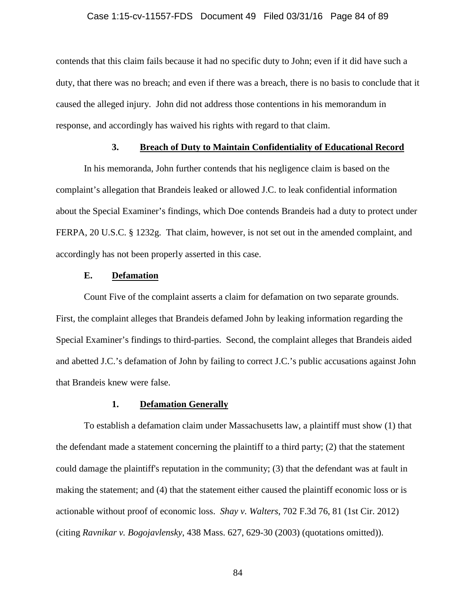#### Case 1:15-cv-11557-FDS Document 49 Filed 03/31/16 Page 84 of 89

contends that this claim fails because it had no specific duty to John; even if it did have such a duty, that there was no breach; and even if there was a breach, there is no basis to conclude that it caused the alleged injury. John did not address those contentions in his memorandum in response, and accordingly has waived his rights with regard to that claim.

#### **3. Breach of Duty to Maintain Confidentiality of Educational Record**

In his memoranda, John further contends that his negligence claim is based on the complaint's allegation that Brandeis leaked or allowed J.C. to leak confidential information about the Special Examiner's findings, which Doe contends Brandeis had a duty to protect under FERPA, 20 U.S.C. § 1232g. That claim, however, is not set out in the amended complaint, and accordingly has not been properly asserted in this case.

#### **E. Defamation**

Count Five of the complaint asserts a claim for defamation on two separate grounds. First, the complaint alleges that Brandeis defamed John by leaking information regarding the Special Examiner's findings to third-parties. Second, the complaint alleges that Brandeis aided and abetted J.C.'s defamation of John by failing to correct J.C.'s public accusations against John that Brandeis knew were false.

#### **1. Defamation Generally**

To establish a defamation claim under Massachusetts law, a plaintiff must show (1) that the defendant made a statement concerning the plaintiff to a third party; (2) that the statement could damage the plaintiff's reputation in the community; (3) that the defendant was at fault in making the statement; and (4) that the statement either caused the plaintiff economic loss or is actionable without proof of economic loss. *Shay v. Walters*, 702 F.3d 76, 81 (1st Cir. 2012) (citing *Ravnikar v. Bogojavlensky*, 438 Mass. 627, 629-30 (2003) (quotations omitted)).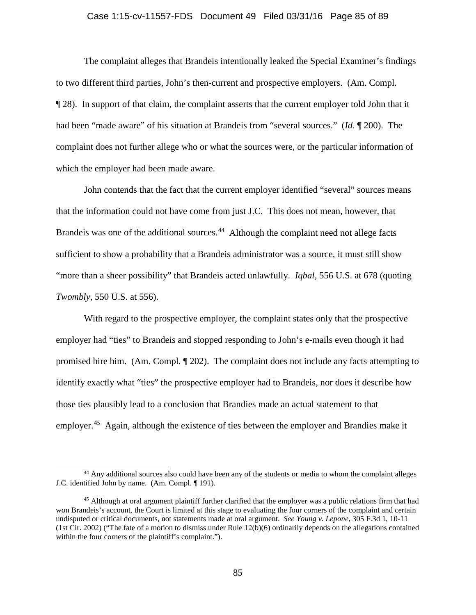#### Case 1:15-cv-11557-FDS Document 49 Filed 03/31/16 Page 85 of 89

The complaint alleges that Brandeis intentionally leaked the Special Examiner's findings to two different third parties, John's then-current and prospective employers. (Am. Compl*.*  ¶ 28). In support of that claim, the complaint asserts that the current employer told John that it had been "made aware" of his situation at Brandeis from "several sources." (*Id.* ¶ 200). The complaint does not further allege who or what the sources were, or the particular information of which the employer had been made aware.

John contends that the fact that the current employer identified "several" sources means that the information could not have come from just J.C. This does not mean, however, that Brandeis was one of the additional sources.<sup>[44](#page-84-0)</sup> Although the complaint need not allege facts sufficient to show a probability that a Brandeis administrator was a source, it must still show "more than a sheer possibility" that Brandeis acted unlawfully. *Iqbal*, 556 U.S. at 678 (quoting *Twombly*, 550 U.S. at 556).

With regard to the prospective employer, the complaint states only that the prospective employer had "ties" to Brandeis and stopped responding to John's e-mails even though it had promised hire him. (Am. Compl. ¶ 202). The complaint does not include any facts attempting to identify exactly what "ties" the prospective employer had to Brandeis, nor does it describe how those ties plausibly lead to a conclusion that Brandies made an actual statement to that employer.<sup>[45](#page-84-1)</sup> Again, although the existence of ties between the employer and Brandies make it

<span id="page-84-0"></span><sup>&</sup>lt;sup>44</sup> Any additional sources also could have been any of the students or media to whom the complaint alleges J.C. identified John by name. (Am. Compl. ¶ 191).

<span id="page-84-1"></span><sup>&</sup>lt;sup>45</sup> Although at oral argument plaintiff further clarified that the employer was a public relations firm that had won Brandeis's account, the Court is limited at this stage to evaluating the four corners of the complaint and certain undisputed or critical documents, not statements made at oral argument. *See Young v. Lepone*, 305 F.3d 1, 10-11 (1st Cir. 2002) ("The fate of a motion to dismiss under Rule 12(b)(6) ordinarily depends on the allegations contained within the four corners of the plaintiff's complaint.").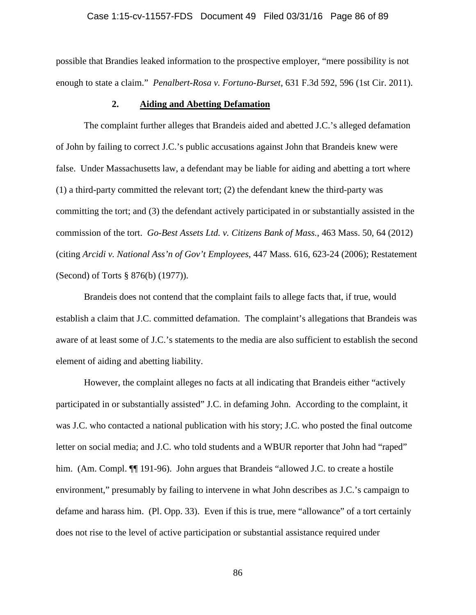# Case 1:15-cv-11557-FDS Document 49 Filed 03/31/16 Page 86 of 89

possible that Brandies leaked information to the prospective employer, "mere possibility is not enough to state a claim." *Penalbert-Rosa v. Fortuno-Burset*, 631 F.3d 592, 596 (1st Cir. 2011).

## **2. Aiding and Abetting Defamation**

The complaint further alleges that Brandeis aided and abetted J.C.'s alleged defamation of John by failing to correct J.C.'s public accusations against John that Brandeis knew were false. Under Massachusetts law, a defendant may be liable for aiding and abetting a tort where (1) a third-party committed the relevant tort; (2) the defendant knew the third-party was committing the tort; and (3) the defendant actively participated in or substantially assisted in the commission of the tort. *Go-Best Assets Ltd. v. Citizens Bank of Mass.*, 463 Mass. 50, 64 (2012) (citing *Arcidi v. National Ass'n of Gov't Employees*, 447 Mass. 616, 623-24 (2006); Restatement (Second) of Torts § 876(b) (1977)).

Brandeis does not contend that the complaint fails to allege facts that, if true, would establish a claim that J.C. committed defamation. The complaint's allegations that Brandeis was aware of at least some of J.C.'s statements to the media are also sufficient to establish the second element of aiding and abetting liability.

However, the complaint alleges no facts at all indicating that Brandeis either "actively participated in or substantially assisted" J.C. in defaming John. According to the complaint, it was J.C. who contacted a national publication with his story; J.C. who posted the final outcome letter on social media; and J.C. who told students and a WBUR reporter that John had "raped" him. (Am. Compl.  $\P$ [[191-96). John argues that Brandeis "allowed J.C. to create a hostile environment," presumably by failing to intervene in what John describes as J.C.'s campaign to defame and harass him. (Pl. Opp. 33). Even if this is true, mere "allowance" of a tort certainly does not rise to the level of active participation or substantial assistance required under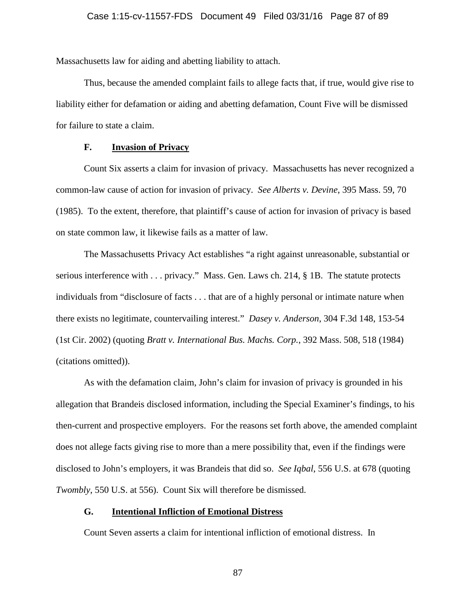Massachusetts law for aiding and abetting liability to attach.

Thus, because the amended complaint fails to allege facts that, if true, would give rise to liability either for defamation or aiding and abetting defamation, Count Five will be dismissed for failure to state a claim.

# **F. Invasion of Privacy**

Count Six asserts a claim for invasion of privacy. Massachusetts has never recognized a common-law cause of action for invasion of privacy. *See Alberts v. Devine*, 395 Mass. 59, 70 (1985). To the extent, therefore, that plaintiff's cause of action for invasion of privacy is based on state common law, it likewise fails as a matter of law.

The Massachusetts Privacy Act establishes "a right against unreasonable, substantial or serious interference with . . . privacy." Mass. Gen. Laws ch. 214, § 1B. The statute protects individuals from "disclosure of facts . . . that are of a highly personal or intimate nature when there exists no legitimate, countervailing interest." *Dasey v. Anderson*, 304 F.3d 148, 153-54 (1st Cir. 2002) (quoting *Bratt v. International Bus. Machs. Corp.*, 392 Mass. 508, 518 (1984) (citations omitted)).

As with the defamation claim, John's claim for invasion of privacy is grounded in his allegation that Brandeis disclosed information, including the Special Examiner's findings, to his then-current and prospective employers. For the reasons set forth above, the amended complaint does not allege facts giving rise to more than a mere possibility that, even if the findings were disclosed to John's employers, it was Brandeis that did so. *See Iqbal*, 556 U.S. at 678 (quoting *Twombly*, 550 U.S. at 556). Count Six will therefore be dismissed.

#### **G. Intentional Infliction of Emotional Distress**

Count Seven asserts a claim for intentional infliction of emotional distress. In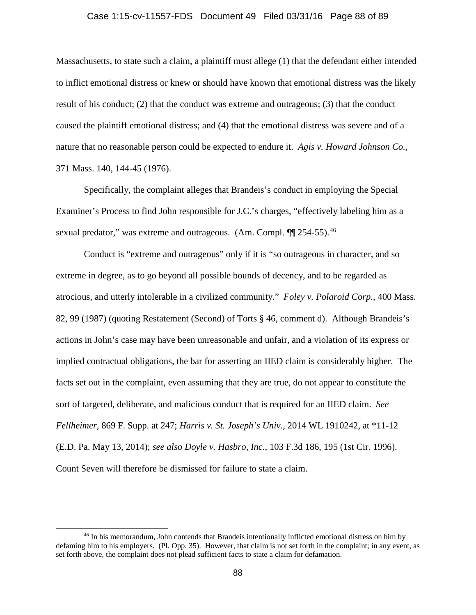#### Case 1:15-cv-11557-FDS Document 49 Filed 03/31/16 Page 88 of 89

Massachusetts, to state such a claim, a plaintiff must allege (1) that the defendant either intended to inflict emotional distress or knew or should have known that emotional distress was the likely result of his conduct; (2) that the conduct was extreme and outrageous; (3) that the conduct caused the plaintiff emotional distress; and (4) that the emotional distress was severe and of a nature that no reasonable person could be expected to endure it. *Agis v. Howard Johnson Co.*, 371 Mass. 140, 144-45 (1976).

Specifically, the complaint alleges that Brandeis's conduct in employing the Special Examiner's Process to find John responsible for J.C.'s charges, "effectively labeling him as a sexual predator," was extreme and outrageous. (Am. Compl.  $\P$ [ 254-55).<sup>46</sup>

Conduct is "extreme and outrageous" only if it is "so outrageous in character, and so extreme in degree, as to go beyond all possible bounds of decency, and to be regarded as atrocious, and utterly intolerable in a civilized community." *Foley v. Polaroid Corp.*, 400 Mass. 82, 99 (1987) (quoting Restatement (Second) of Torts § 46, comment d). Although Brandeis's actions in John's case may have been unreasonable and unfair, and a violation of its express or implied contractual obligations, the bar for asserting an IIED claim is considerably higher. The facts set out in the complaint, even assuming that they are true, do not appear to constitute the sort of targeted, deliberate, and malicious conduct that is required for an IIED claim. *See Fellheimer*, 869 F. Supp. at 247; *Harris v. St. Joseph's Univ*., 2014 WL 1910242, at \*11-12 (E.D. Pa. May 13, 2014); *see also Doyle v. Hasbro, Inc.*, 103 F.3d 186, 195 (1st Cir. 1996). Count Seven will therefore be dismissed for failure to state a claim.

<span id="page-87-0"></span> <sup>46</sup> In his memorandum, John contends that Brandeis intentionally inflicted emotional distress on him by defaming him to his employers. (Pl. Opp. 35). However, that claim is not set forth in the complaint; in any event, as set forth above, the complaint does not plead sufficient facts to state a claim for defamation.